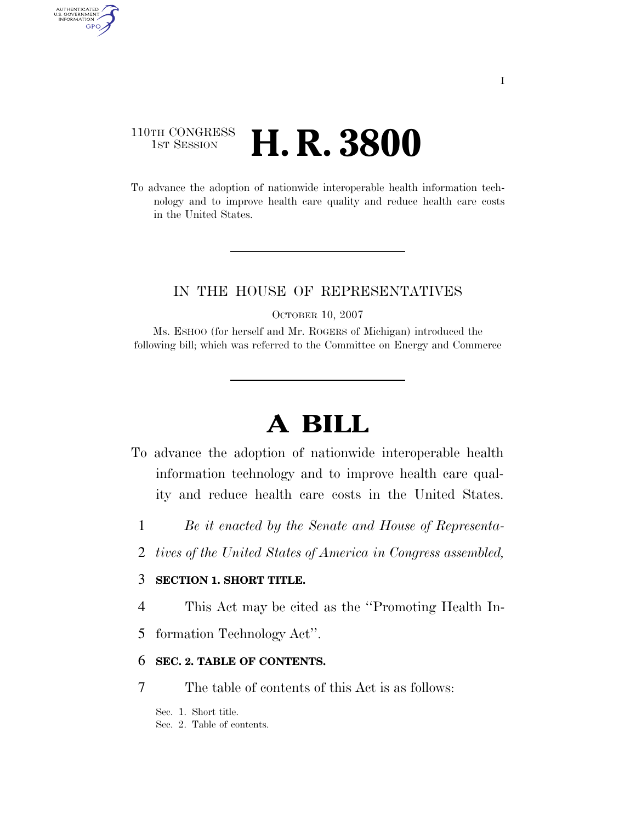## 110TH CONGRESS **1ST SESSION <b>H. R. 3800**

AUTHENTICATED U.S. GOVERNMENT GPO

> To advance the adoption of nationwide interoperable health information technology and to improve health care quality and reduce health care costs in the United States.

## IN THE HOUSE OF REPRESENTATIVES

OCTOBER 10, 2007

Ms. ESHOO (for herself and Mr. ROGERS of Michigan) introduced the following bill; which was referred to the Committee on Energy and Commerce

# **A BILL**

- To advance the adoption of nationwide interoperable health information technology and to improve health care quality and reduce health care costs in the United States.
	- 1 *Be it enacted by the Senate and House of Representa-*
	- 2 *tives of the United States of America in Congress assembled,*

### 3 **SECTION 1. SHORT TITLE.**

- 4 This Act may be cited as the ''Promoting Health In-
- 5 formation Technology Act''.

## 6 **SEC. 2. TABLE OF CONTENTS.**

7 The table of contents of this Act is as follows:

Sec. 1. Short title.

Sec. 2. Table of contents.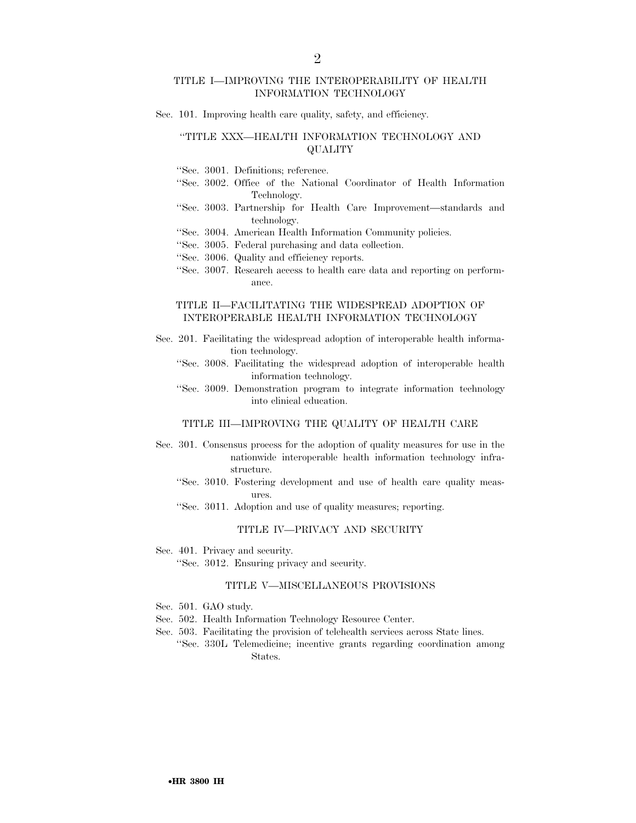#### TITLE I—IMPROVING THE INTEROPERABILITY OF HEALTH INFORMATION TECHNOLOGY

Sec. 101. Improving health care quality, safety, and efficiency.

#### ''TITLE XXX—HEALTH INFORMATION TECHNOLOGY AND QUALITY

''Sec. 3001. Definitions; reference.

- ''Sec. 3002. Office of the National Coordinator of Health Information Technology.
- ''Sec. 3003. Partnership for Health Care Improvement—standards and technology.
- ''Sec. 3004. American Health Information Community policies.
- ''Sec. 3005. Federal purchasing and data collection.
- ''Sec. 3006. Quality and efficiency reports.
- ''Sec. 3007. Research access to health care data and reporting on performance.

#### TITLE II—FACILITATING THE WIDESPREAD ADOPTION OF INTEROPERABLE HEALTH INFORMATION TECHNOLOGY

- Sec. 201. Facilitating the widespread adoption of interoperable health information technology.
	- ''Sec. 3008. Facilitating the widespread adoption of interoperable health information technology.
	- ''Sec. 3009. Demonstration program to integrate information technology into clinical education.

#### TITLE III—IMPROVING THE QUALITY OF HEALTH CARE

- Sec. 301. Consensus process for the adoption of quality measures for use in the nationwide interoperable health information technology infrastructure.
	- ''Sec. 3010. Fostering development and use of health care quality measures.
	- ''Sec. 3011. Adoption and use of quality measures; reporting.

#### TITLE IV—PRIVACY AND SECURITY

Sec. 401. Privacy and security.

''Sec. 3012. Ensuring privacy and security.

#### TITLE V—MISCELLANEOUS PROVISIONS

- Sec. 501. GAO study.
- Sec. 502. Health Information Technology Resource Center.
- Sec. 503. Facilitating the provision of telehealth services across State lines.
	- ''Sec. 330L Telemedicine; incentive grants regarding coordination among States.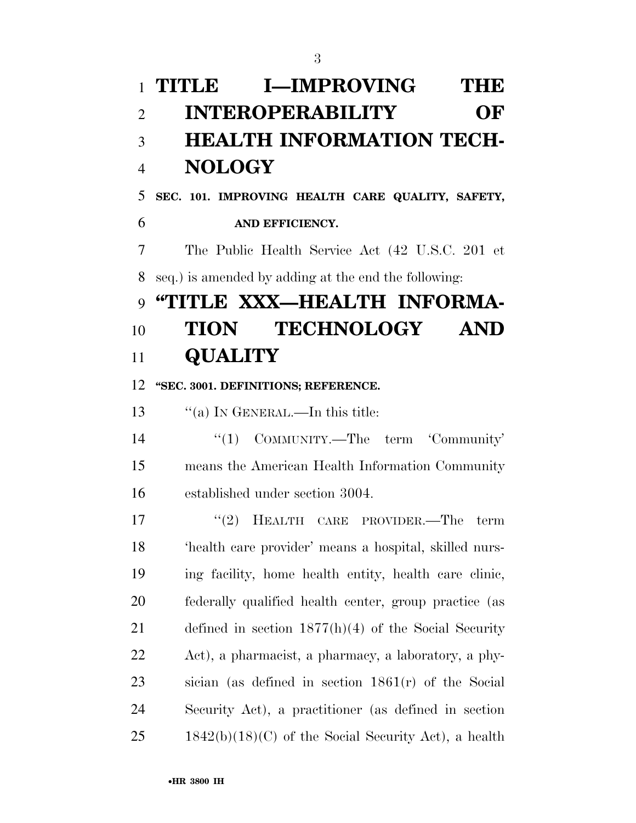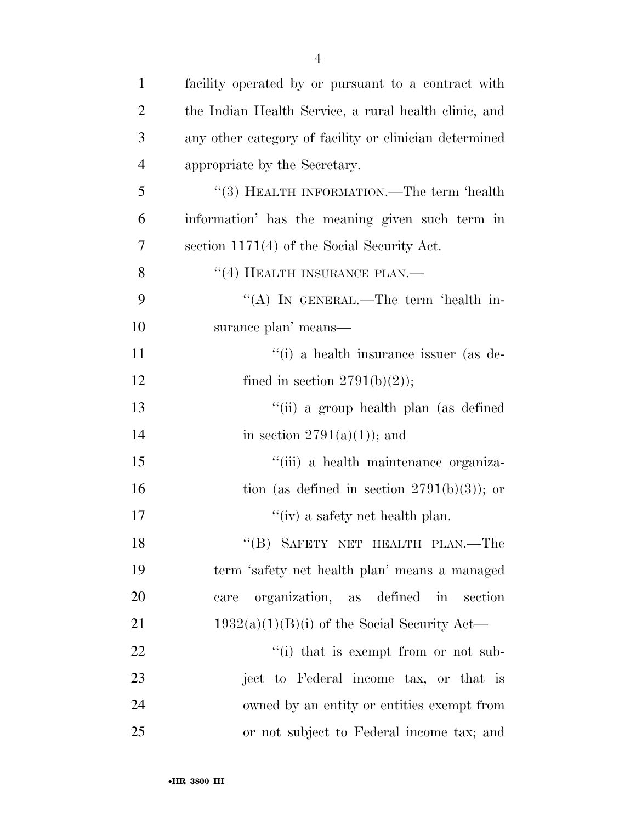| $\mathbf{1}$   | facility operated by or pursuant to a contract with    |
|----------------|--------------------------------------------------------|
| $\overline{2}$ | the Indian Health Service, a rural health clinic, and  |
| 3              | any other category of facility or clinician determined |
| $\overline{4}$ | appropriate by the Secretary.                          |
| 5              | "(3) HEALTH INFORMATION.—The term 'health              |
| 6              | information' has the meaning given such term in        |
| 7              | section 1171(4) of the Social Security Act.            |
| 8              | "(4) HEALTH INSURANCE PLAN.—                           |
| 9              | "(A) IN GENERAL.—The term 'health in-                  |
| 10             | surance plan' means—                                   |
| 11             | "(i) a health insurance issuer (as de-                 |
| 12             | fined in section $2791(b)(2)$ ;                        |
| 13             | "(ii) a group health plan (as defined                  |
| 14             | in section $2791(a)(1)$ ; and                          |
| 15             | "(iii) a health maintenance organiza-                  |
| 16             | tion (as defined in section $2791(b)(3)$ ); or         |
| 17             | "(iv) a safety net health plan.                        |
| 18             | "(B) SAFETY NET HEALTH PLAN.—The                       |
| 19             | term 'safety net health plan' means a managed          |
| 20             | organization, as defined<br>in<br>section<br>care      |
| 21             | $1932(a)(1)(B)(i)$ of the Social Security Act—         |
| 22             | "(i) that is exempt from or not sub-                   |
| 23             | ject to Federal income tax, or that is                 |
| 24             | owned by an entity or entities exempt from             |
| 25             | or not subject to Federal income tax; and              |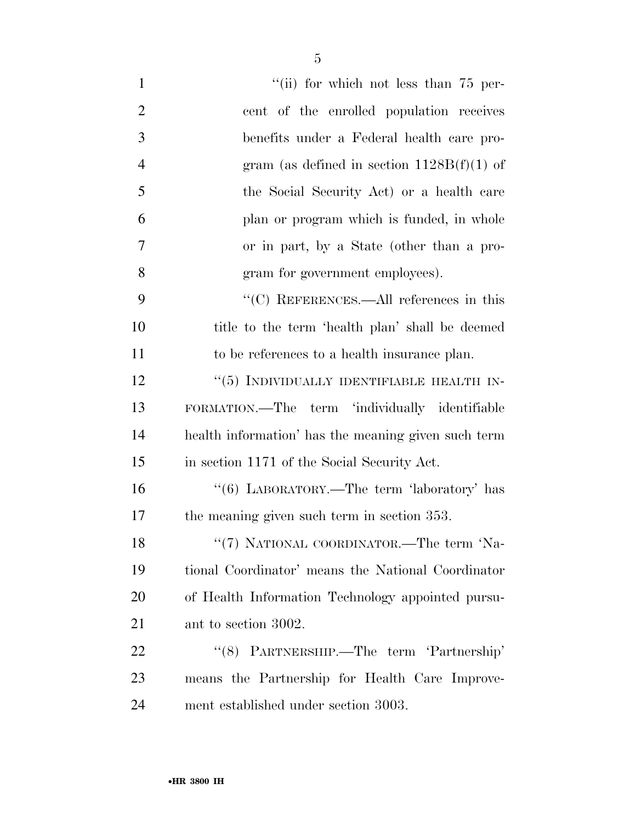| $\mathbf{1}$   | "(ii) for which not less than $75$ per-             |
|----------------|-----------------------------------------------------|
| $\overline{2}$ | cent of the enrolled population receives            |
| 3              | benefits under a Federal health care pro-           |
| $\overline{4}$ | gram (as defined in section $1128B(f)(1)$ of        |
| 5              | the Social Security Act) or a health care           |
| 6              | plan or program which is funded, in whole           |
| 7              | or in part, by a State (other than a pro-           |
| 8              | gram for government employees).                     |
| 9              | "(C) REFERENCES.—All references in this             |
| 10             | title to the term 'health plan' shall be deemed     |
| 11             | to be references to a health insurance plan.        |
| 12             | $``(5)$ INDIVIDUALLY IDENTIFIABLE HEALTH IN-        |
| 13             | FORMATION.—The term 'individually identifiable      |
| 14             | health information' has the meaning given such term |
| 15             | in section 1171 of the Social Security Act.         |
| 16             | "(6) LABORATORY.—The term 'laboratory' has          |
| 17             | the meaning given such term in section 353.         |
| 18             | "(7) NATIONAL COORDINATOR.—The term 'Na-            |
| 19             | tional Coordinator' means the National Coordinator  |
| 20             | of Health Information Technology appointed pursu-   |
| 21             | ant to section 3002.                                |
| 22             | "(8) PARTNERSHIP.—The term 'Partnership'            |
| 23             | means the Partnership for Health Care Improve-      |
| 24             | ment established under section 3003.                |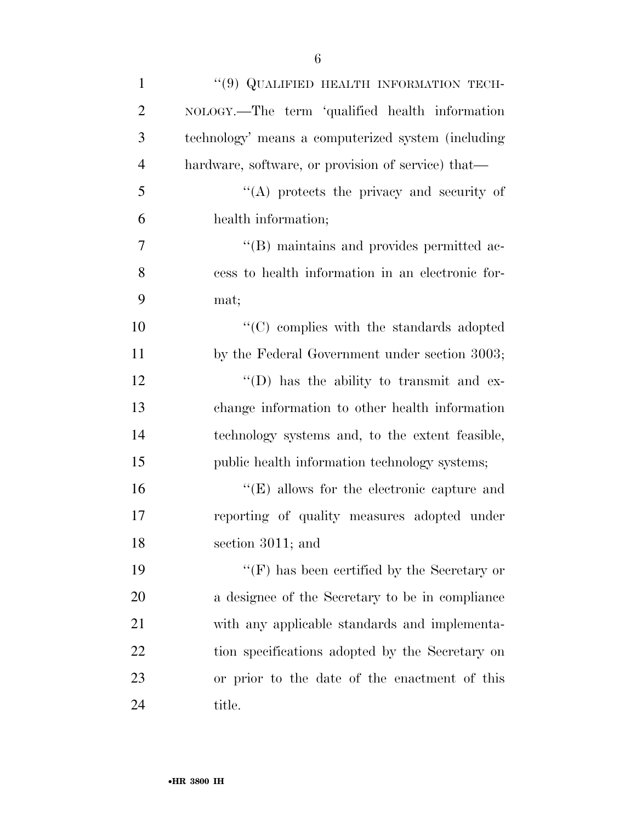| $\mathbf{1}$   | "(9) QUALIFIED HEALTH INFORMATION TECH-             |
|----------------|-----------------------------------------------------|
| $\overline{2}$ | NOLOGY.—The term 'qualified health information      |
| 3              | technology' means a computerized system (including) |
| $\overline{4}$ | hardware, software, or provision of service) that—  |
| 5              | $\lq\lq$ protects the privacy and security of       |
| 6              | health information;                                 |
| 7              | "(B) maintains and provides permitted ac-           |
| 8              | cess to health information in an electronic for-    |
| 9              | mat;                                                |
| 10             | "(C) complies with the standards adopted            |
| 11             | by the Federal Government under section 3003;       |
| 12             | $\lq\lq$ (D) has the ability to transmit and ex-    |
| 13             | change information to other health information      |
| 14             | technology systems and, to the extent feasible,     |
| 15             | public health information technology systems;       |
| 16             | $\lq\lq(E)$ allows for the electronic capture and   |
| 17             | reporting of quality measures adopted under         |
| 18             | section 3011; and                                   |
| 19             | "(F) has been certified by the Secretary or         |
| 20             | a designee of the Secretary to be in compliance     |
| 21             | with any applicable standards and implementa-       |
| 22             | tion specifications adopted by the Secretary on     |
| 23             | or prior to the date of the enactment of this       |
| 24             | title.                                              |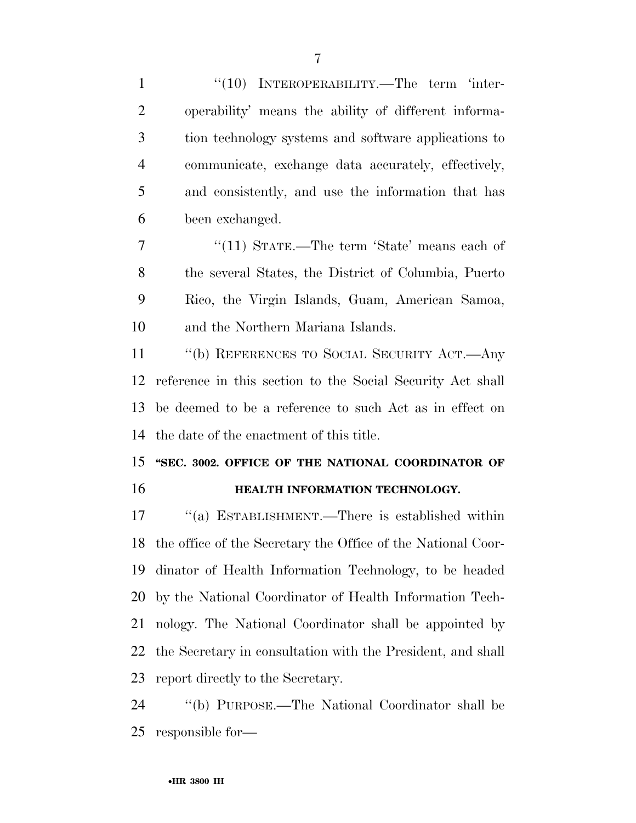| $\mathbf{1}$   | $``(10)$ INTEROPERABILITY.—The term 'inter-                |
|----------------|------------------------------------------------------------|
| $\overline{2}$ | operability' means the ability of different informa-       |
| 3              | tion technology systems and software applications to       |
| $\overline{4}$ | communicate, exchange data accurately, effectively,        |
| 5              | and consistently, and use the information that has         |
| 6              | been exchanged.                                            |
| 7              | "(11) STATE.—The term 'State' means each of                |
| 8              | the several States, the District of Columbia, Puerto       |
| 9              | Rico, the Virgin Islands, Guam, American Samoa,            |
| 10             | and the Northern Mariana Islands.                          |
| 11             | "(b) REFERENCES TO SOCIAL SECURITY ACT.—Any                |
| 12             | reference in this section to the Social Security Act shall |
|                | 13 be deemed to be a reference to such Act as in effect on |
|                | 14 the date of the enactment of this title.                |
|                | 15 "SEC. 3002. OFFICE OF THE NATIONAL COORDINATOR OF       |

## **HEALTH INFORMATION TECHNOLOGY.**

17 "(a) ESTABLISHMENT.—There is established within the office of the Secretary the Office of the National Coor- dinator of Health Information Technology, to be headed by the National Coordinator of Health Information Tech- nology. The National Coordinator shall be appointed by the Secretary in consultation with the President, and shall report directly to the Secretary.

 ''(b) PURPOSE.—The National Coordinator shall be responsible for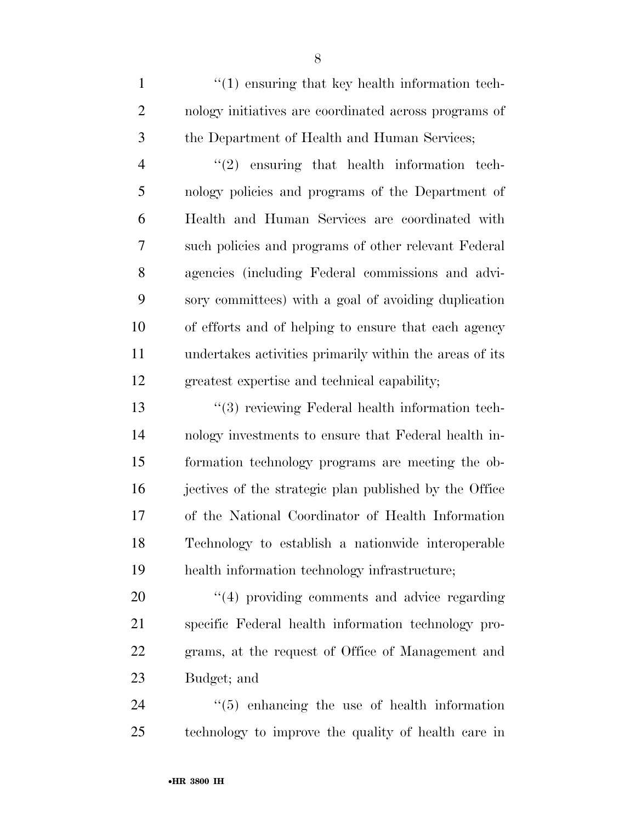1 ''(1) ensuring that key health information tech- nology initiatives are coordinated across programs of the Department of Health and Human Services;

 ''(2) ensuring that health information tech- nology policies and programs of the Department of Health and Human Services are coordinated with such policies and programs of other relevant Federal agencies (including Federal commissions and advi- sory committees) with a goal of avoiding duplication of efforts and of helping to ensure that each agency undertakes activities primarily within the areas of its greatest expertise and technical capability;

 ''(3) reviewing Federal health information tech- nology investments to ensure that Federal health in- formation technology programs are meeting the ob- jectives of the strategic plan published by the Office of the National Coordinator of Health Information Technology to establish a nationwide interoperable health information technology infrastructure;

 $\frac{4}{4}$  providing comments and advice regarding specific Federal health information technology pro- grams, at the request of Office of Management and Budget; and

 ''(5) enhancing the use of health information technology to improve the quality of health care in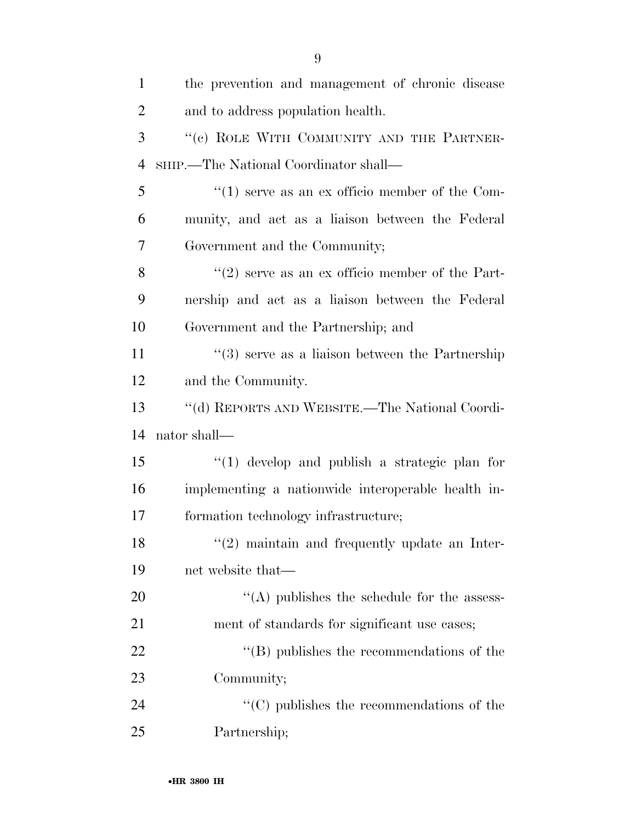| $\mathbf{1}$   | the prevention and management of chronic disease            |
|----------------|-------------------------------------------------------------|
| $\overline{2}$ | and to address population health.                           |
| 3              | "(c) ROLE WITH COMMUNITY AND THE PARTNER-                   |
| $\overline{4}$ | SHIP.—The National Coordinator shall—                       |
| 5              | $``(1)$ serve as an ex officio member of the Com-           |
| 6              | munity, and act as a liaison between the Federal            |
| 7              | Government and the Community;                               |
| 8              | $(2)$ serve as an ex officio member of the Part-            |
| 9              | nership and act as a liaison between the Federal            |
| 10             | Government and the Partnership; and                         |
| 11             | $\cdot\cdot$ (3) serve as a liaison between the Partnership |
| 12             | and the Community.                                          |
| 13             | "(d) REPORTS AND WEBSITE.—The National Coordi-              |
| 14             | nator shall—                                                |
| 15             | $(1)$ develop and publish a strategic plan for              |
| 16             | implementing a nationwide interoperable health in-          |
| 17             | formation technology infrastructure;                        |
| 18             | $f'(2)$ maintain and frequently update an Inter-            |
| 19             | net website that—                                           |
| 20             | $\lq\lq$ publishes the schedule for the assess-             |
| 21             | ment of standards for significant use cases;                |
| 22             | $\lq\lq (B)$ publishes the recommendations of the           |
| 23             | Community;                                                  |
| 24             | $\lq\lq$ (C) publishes the recommendations of the           |
| 25             | Partnership;                                                |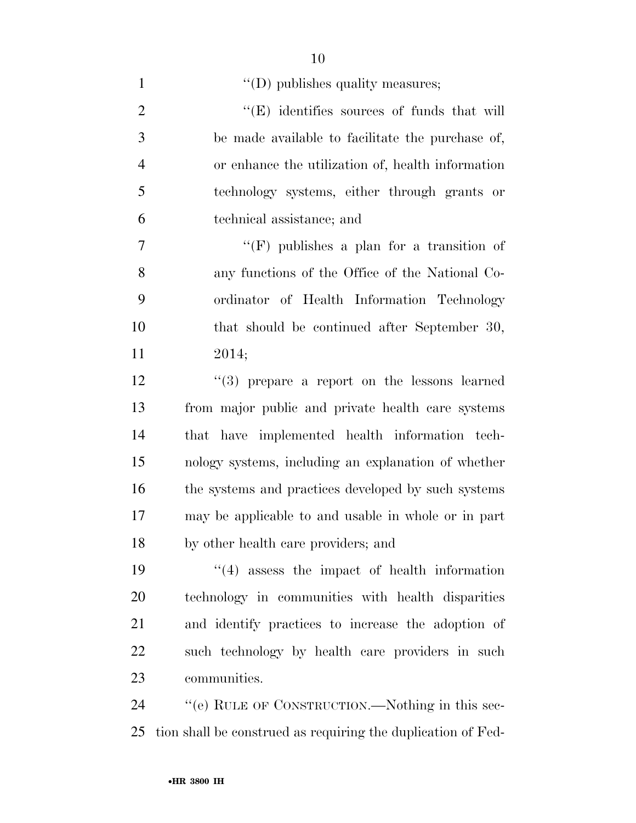| $\mathbf{1}$   | $\lq\lq$ (D) publishes quality measures;                     |
|----------------|--------------------------------------------------------------|
| $\overline{2}$ | $\lq\lq$ identifies sources of funds that will               |
| 3              | be made available to facilitate the purchase of,             |
| $\overline{4}$ | or enhance the utilization of, health information            |
| 5              | technology systems, either through grants or                 |
| 6              | technical assistance; and                                    |
| $\overline{7}$ | "(F) publishes a plan for a transition of                    |
| 8              | any functions of the Office of the National Co-              |
| 9              | ordinator of Health Information Technology                   |
| 10             | that should be continued after September 30,                 |
| 11             | 2014;                                                        |
| 12             | "(3) prepare a report on the lessons learned                 |
| 13             | from major public and private health care systems            |
| 14             | that have implemented health information tech-               |
| 15             | nology systems, including an explanation of whether          |
| 16             | the systems and practices developed by such systems          |
| 17             | may be applicable to and usable in whole or in part          |
| 18             | by other health care providers; and                          |
| 19             | $\lq(4)$ assess the impact of health information             |
| 20             | technology in communities with health disparities            |
| 21             | and identify practices to increase the adoption of           |
| 22             | such technology by health care providers in such             |
| 23             | communities.                                                 |
| 24             | "(e) RULE OF CONSTRUCTION.—Nothing in this sec-              |
| 25             | tion shall be construed as requiring the duplication of Fed- |

•**HR 3800 IH**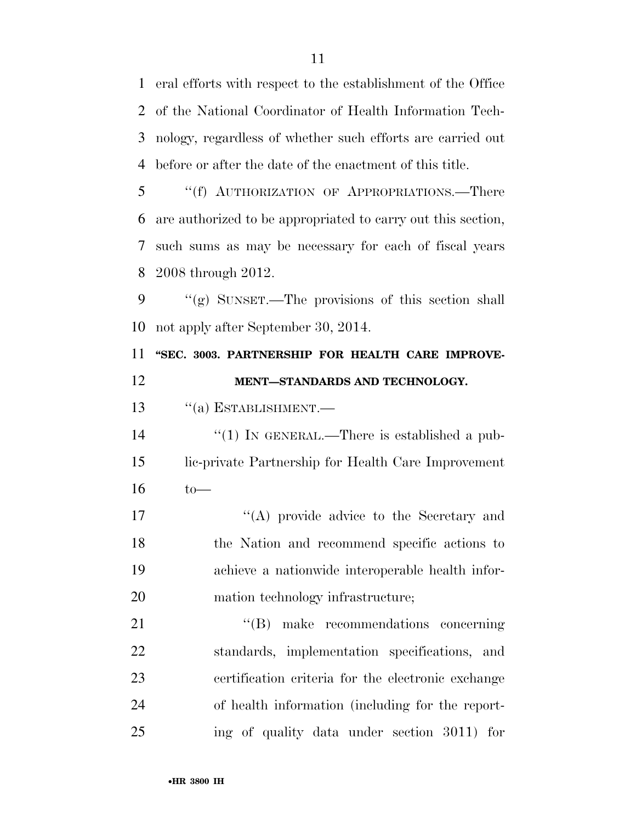eral efforts with respect to the establishment of the Office of the National Coordinator of Health Information Tech- nology, regardless of whether such efforts are carried out before or after the date of the enactment of this title.

 ''(f) AUTHORIZATION OF APPROPRIATIONS.—There are authorized to be appropriated to carry out this section, such sums as may be necessary for each of fiscal years 2008 through 2012.

 ''(g) SUNSET.—The provisions of this section shall not apply after September 30, 2014.

 **''SEC. 3003. PARTNERSHIP FOR HEALTH CARE IMPROVE-MENT—STANDARDS AND TECHNOLOGY.** 

13 "(a) ESTABLISHMENT.

14  $\frac{1}{2}$  (1) In GENERAL.—There is established a pub- lic-private Partnership for Health Care Improvement to—

17 ''(A) provide advice to the Secretary and the Nation and recommend specific actions to achieve a nationwide interoperable health infor-20 mation technology infrastructure;

21 "(B) make recommendations concerning standards, implementation specifications, and certification criteria for the electronic exchange of health information (including for the report-ing of quality data under section 3011) for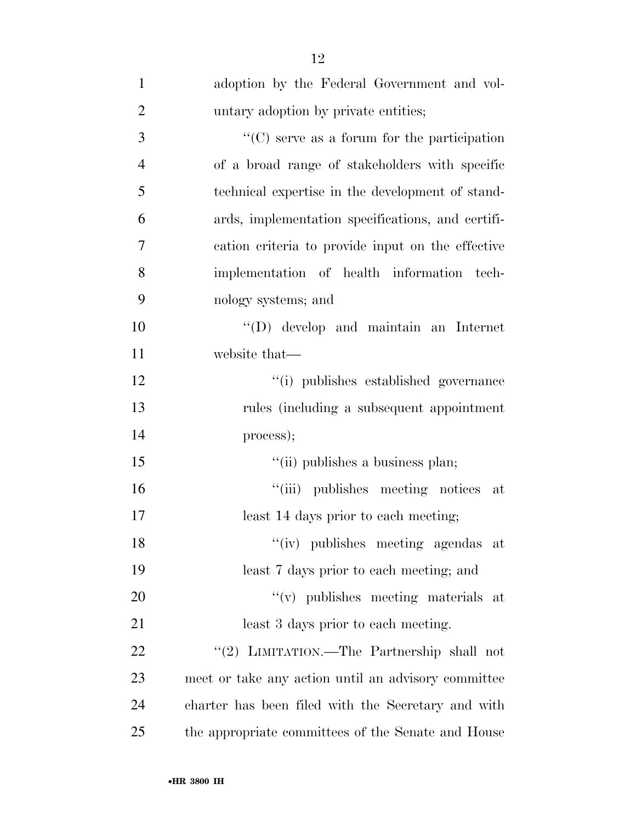| $\mathbf{1}$   | adoption by the Federal Government and vol-         |
|----------------|-----------------------------------------------------|
| $\overline{2}$ | untary adoption by private entities;                |
| 3              | $\lq\lq$ (C) serve as a forum for the participation |
| $\overline{4}$ | of a broad range of stakeholders with specific      |
| 5              | technical expertise in the development of stand-    |
| 6              | ards, implementation specifications, and certifi-   |
| 7              | cation criteria to provide input on the effective   |
| 8              | implementation of health information tech-          |
| 9              | nology systems; and                                 |
| 10             | $\lq\lq$ (D) develop and maintain an Internet       |
| 11             | website that—                                       |
| 12             | "(i) publishes established governance               |
| 13             | rules (including a subsequent appointment           |
| 14             | process);                                           |
| 15             | "(ii) publishes a business plan;                    |
| 16             | "(iii) publishes meeting notices at                 |
| 17             | least 14 days prior to each meeting;                |
| 18             | "(iv) publishes meeting agendas at                  |
| 19             | least 7 days prior to each meeting; and             |
| 20             | $f'(v)$ publishes meeting materials at              |
| 21             | least 3 days prior to each meeting.                 |
| 22             | "(2) LIMITATION.—The Partnership shall not          |
| 23             | meet or take any action until an advisory committee |
| 24             | charter has been filed with the Secretary and with  |
| 25             | the appropriate committees of the Senate and House  |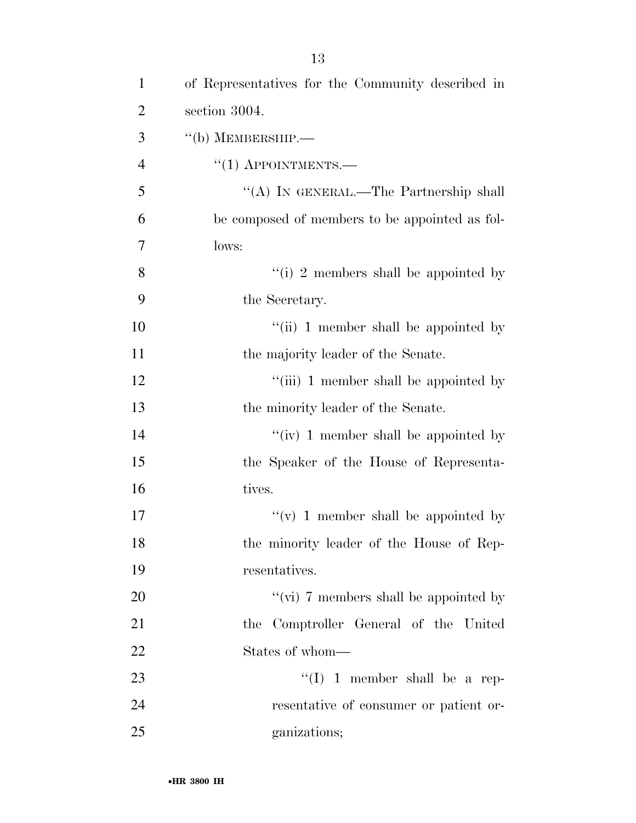| $\mathbf{1}$   | of Representatives for the Community described in |
|----------------|---------------------------------------------------|
| $\overline{2}$ | section 3004.                                     |
| 3              | $``$ (b) MEMBERSHIP.—                             |
| $\overline{4}$ | $``(1)$ APPOINTMENTS.—                            |
| 5              | "(A) IN GENERAL.—The Partnership shall            |
| 6              | be composed of members to be appointed as fol-    |
| 7              | lows:                                             |
| 8              | "(i) 2 members shall be appointed by              |
| 9              | the Secretary.                                    |
| 10             | "(ii) 1 member shall be appointed by              |
| 11             | the majority leader of the Senate.                |
| 12             | "(iii) 1 member shall be appointed by             |
| 13             | the minority leader of the Senate.                |
| 14             | "(iv) 1 member shall be appointed by              |
| 15             | the Speaker of the House of Representa-           |
| 16             | tives.                                            |
| 17             | "(v) 1 member shall be appointed by               |
| 18             | the minority leader of the House of Rep-          |
| 19             | resentatives.                                     |
| 20             | "(vi) 7 members shall be appointed by             |
| 21             | the Comptroller General of the United             |
| 22             | States of whom—                                   |
| 23             | "(I) 1 member shall be a rep-                     |
| 24             | resentative of consumer or patient or-            |
| 25             | ganizations;                                      |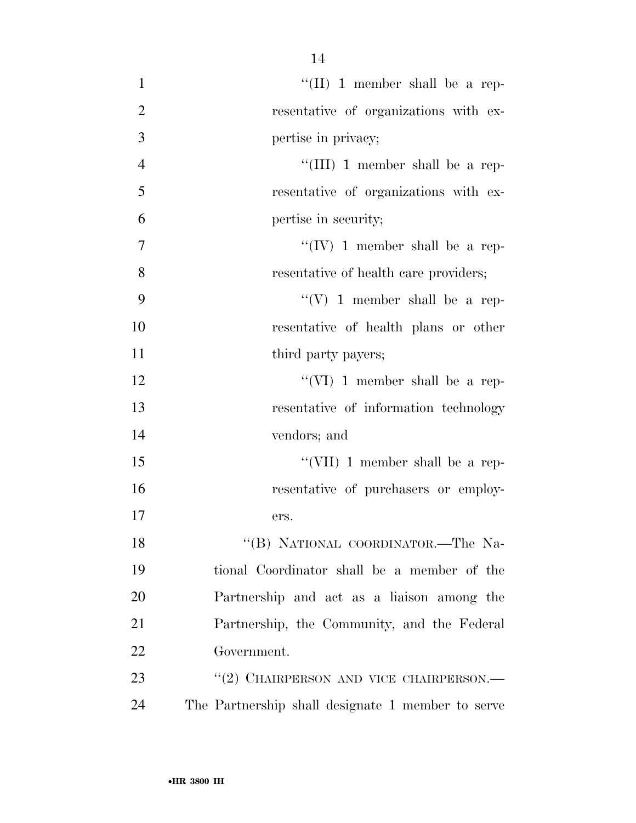| $\mathbf{1}$   | "(II) 1 member shall be a rep-                    |
|----------------|---------------------------------------------------|
| $\overline{2}$ | resentative of organizations with ex-             |
| 3              | pertise in privacy;                               |
| $\overline{4}$ | "(III) 1 member shall be a rep-                   |
| 5              | resentative of organizations with ex-             |
| 6              | pertise in security;                              |
| 7              | "(IV) 1 member shall be a rep-                    |
| 8              | resentative of health care providers;             |
| 9              | "(V) 1 member shall be a rep-                     |
| 10             | resentative of health plans or other              |
| 11             | third party payers;                               |
| 12             | "(VI) 1 member shall be a rep-                    |
| 13             | resentative of information technology             |
| 14             | vendors; and                                      |
| 15             | "(VII) 1 member shall be a rep-                   |
| 16             | resentative of purchasers or employ-              |
| 17             | ers.                                              |
| 18             | "(B) NATIONAL COORDINATOR.-The Na-                |
| 19             | tional Coordinator shall be a member of the       |
| 20             | Partnership and act as a liaison among the        |
| 21             | Partnership, the Community, and the Federal       |
| 22             | Government.                                       |
| 23             | "(2) CHAIRPERSON AND VICE CHAIRPERSON.—           |
| 24             | The Partnership shall designate 1 member to serve |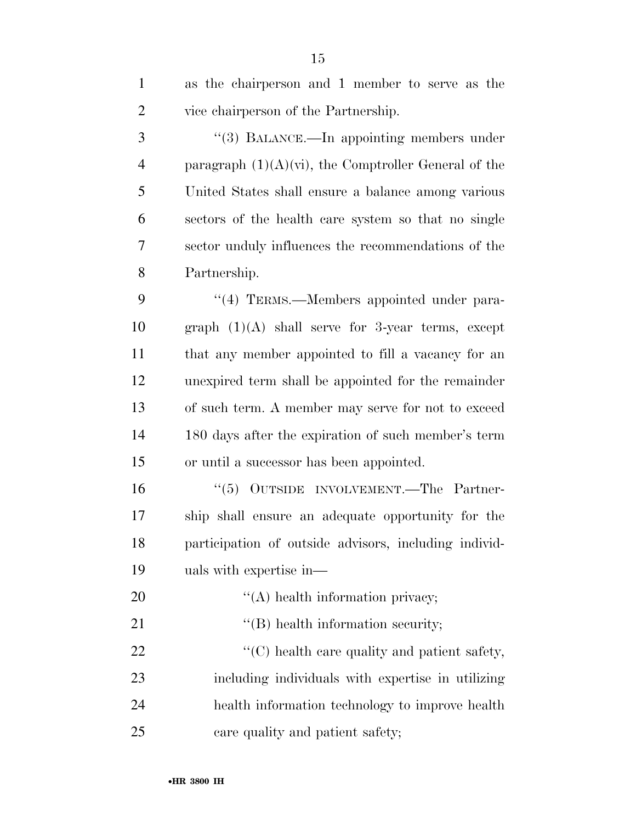| $\mathbf{1}$   | as the chairperson and 1 member to serve as the         |
|----------------|---------------------------------------------------------|
| $\overline{2}$ | vice chairperson of the Partnership.                    |
| 3              | "(3) BALANCE.—In appointing members under               |
| $\overline{4}$ | paragraph $(1)(A)(vi)$ , the Comptroller General of the |
| 5              | United States shall ensure a balance among various      |
| 6              | sectors of the health care system so that no single     |
| 7              | sector unduly influences the recommendations of the     |
| 8              | Partnership.                                            |
| 9              | "(4) TERMS.—Members appointed under para-               |
| 10             | graph $(1)(A)$ shall serve for 3-year terms, except     |
| 11             | that any member appointed to fill a vacancy for an      |
| 12             | unexpired term shall be appointed for the remainder     |
| 13             | of such term. A member may serve for not to exceed      |
| 14             | 180 days after the expiration of such member's term     |
| 15             | or until a successor has been appointed.                |
| 16             | "(5) OUTSIDE INVOLVEMENT.—The Partner-                  |
| 17             | ship shall ensure an adequate opportunity for the       |
| 18             | participation of outside advisors, including individ-   |
| 19             | uals with expertise in—                                 |
| 20             | $\lq\lq$ health information privacy;                    |
| 21             | $\lq\lq$ health information security;                   |
| 22             | "(C) health care quality and patient safety,            |
| 23             | including individuals with expertise in utilizing       |
| 24             | health information technology to improve health         |
| 25             | care quality and patient safety;                        |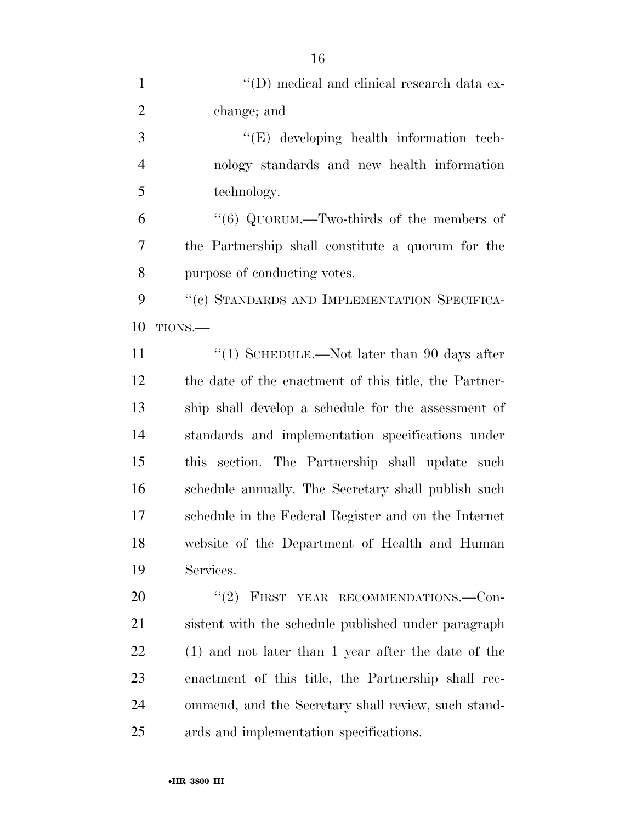| $\mathbf{1}$   | "(D) medical and clinical research data ex-           |
|----------------|-------------------------------------------------------|
| $\overline{2}$ | change; and                                           |
| 3              | $\lq\lq(E)$ developing health information tech-       |
| $\overline{4}$ | nology standards and new health information           |
| 5              | technology.                                           |
| 6              | "(6) QUORUM.—Two-thirds of the members of             |
| $\overline{7}$ | the Partnership shall constitute a quorum for the     |
| 8              | purpose of conducting votes.                          |
| 9              | "(c) STANDARDS AND IMPLEMENTATION SPECIFICA-          |
| 10             | TIONS.                                                |
| 11             | "(1) SCHEDULE.—Not later than 90 days after           |
| 12             | the date of the enactment of this title, the Partner- |
| 13             | ship shall develop a schedule for the assessment of   |
| 14             | standards and implementation specifications under     |
| 15             | this section. The Partnership shall update such       |
| 16             | schedule annually. The Secretary shall publish such   |
| 17             | schedule in the Federal Register and on the Internet  |
| 18             | website of the Department of Health and Human         |
| 19             | Services.                                             |
| 20             | $(2)$ FIRST<br>YEAR RECOMMENDATIONS.—Con-             |
| 21             | sistent with the schedule published under paragraph   |
| 22             | $(1)$ and not later than 1 year after the date of the |
| 23             | enactment of this title, the Partnership shall rec-   |
| 24             | ommend, and the Secretary shall review, such stand-   |
| 25             | ards and implementation specifications.               |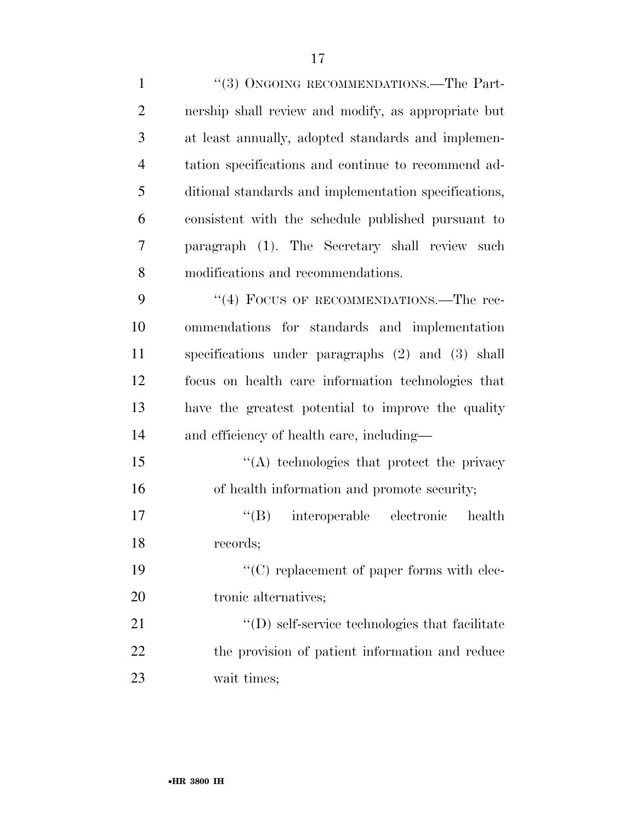| $\mathbf{1}$   | "(3) ONGOING RECOMMENDATIONS.—The Part-                |
|----------------|--------------------------------------------------------|
| $\overline{2}$ | nership shall review and modify, as appropriate but    |
| 3              | at least annually, adopted standards and implemen-     |
| $\overline{4}$ | tation specifications and continue to recommend ad-    |
| 5              | ditional standards and implementation specifications,  |
| 6              | consistent with the schedule published pursuant to     |
| 7              | paragraph (1). The Secretary shall review such         |
| 8              | modifications and recommendations.                     |
| 9              | "(4) FOCUS OF RECOMMENDATIONS.—The rec-                |
| 10             | ommendations for standards and implementation          |
| 11             | specifications under paragraphs (2) and (3) shall      |
| 12             | focus on health care information technologies that     |
| 13             | have the greatest potential to improve the quality     |
| 14             | and efficiency of health care, including—              |
| 15             | "(A) technologies that protect the privacy             |
| 16             | of health information and promote security;            |
| 17             | "(B) interoperable electronic<br>health                |
| 18             | records;                                               |
| 19             | $\lq\lq$ replacement of paper forms with elec-         |
| 20             | tronic alternatives;                                   |
| 21             | $\lq\lq$ (D) self-service technologies that facilitate |
| 22             | the provision of patient information and reduce        |
| 23             | wait times;                                            |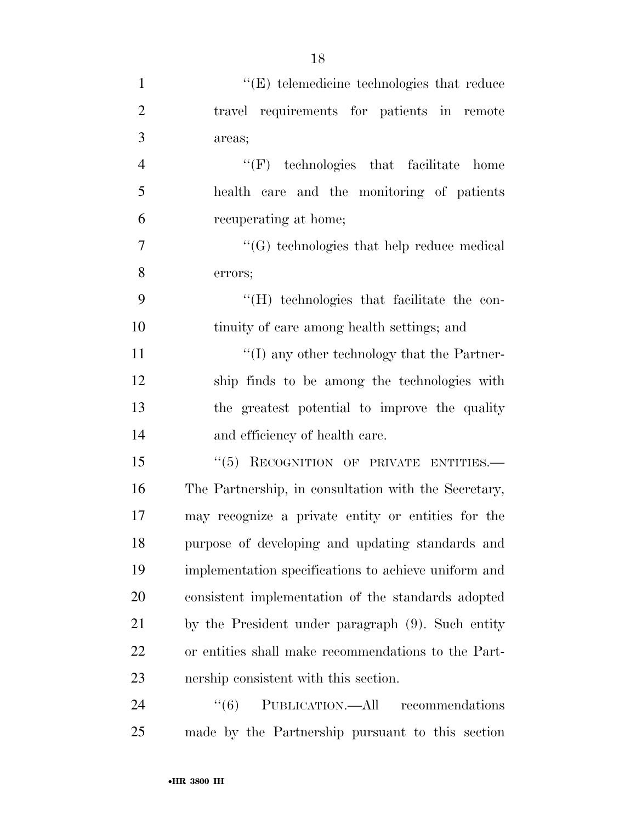| $\mathbf{1}$   | $\lq\lq$ telemedicine technologies that reduce       |
|----------------|------------------------------------------------------|
| $\overline{2}$ | travel requirements for patients in remote           |
| 3              | areas;                                               |
| $\overline{4}$ | $\lq\lq(F)$ technologies that facilitate home        |
| 5              | health care and the monitoring of patients           |
| 6              | recuperating at home;                                |
| 7              | $\lq\lq(G)$ technologies that help reduce medical    |
| 8              | errors;                                              |
| 9              | "(H) technologies that facilitate the con-           |
| 10             | tinuity of care among health settings; and           |
| 11             | $\lq\lq$ (I) any other technology that the Partner-  |
| 12             | ship finds to be among the technologies with         |
| 13             | the greatest potential to improve the quality        |
| 14             | and efficiency of health care.                       |
| 15             | "(5) RECOGNITION OF PRIVATE ENTITIES.-               |
| 16             | The Partnership, in consultation with the Secretary, |
| 17             | may recognize a private entity or entities for the   |
| 18             | purpose of developing and updating standards and     |
| 19             | implementation specifications to achieve uniform and |
| 20             | consistent implementation of the standards adopted   |
| 21             | by the President under paragraph (9). Such entity    |
| 22             | or entities shall make recommendations to the Part-  |
| 23             | nership consistent with this section.                |
| 24             | PUBLICATION.—All recommendations<br>``(6)            |
| 25             | made by the Partnership pursuant to this section     |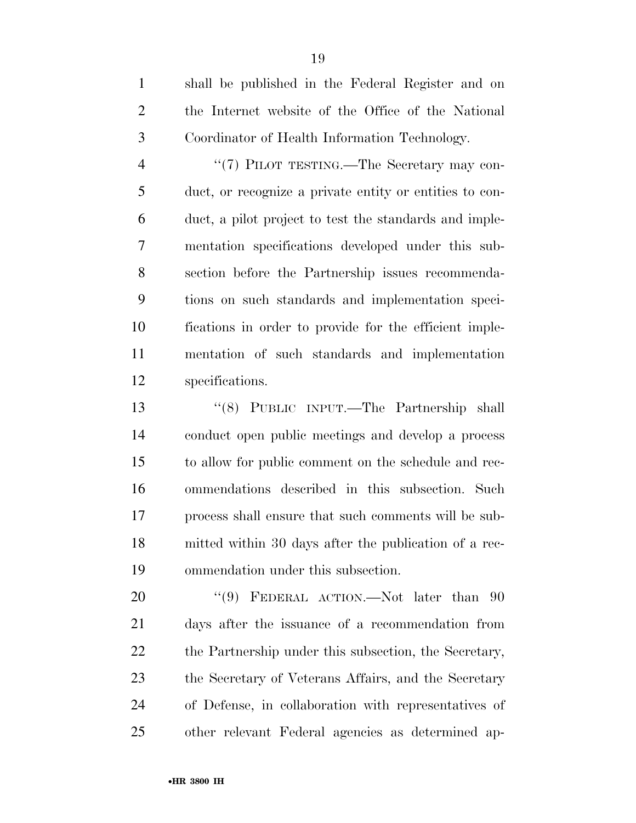shall be published in the Federal Register and on the Internet website of the Office of the National Coordinator of Health Information Technology.

4 "(7) PILOT TESTING.—The Secretary may con- duct, or recognize a private entity or entities to con- duct, a pilot project to test the standards and imple- mentation specifications developed under this sub- section before the Partnership issues recommenda- tions on such standards and implementation speci- fications in order to provide for the efficient imple- mentation of such standards and implementation specifications.

 ''(8) PUBLIC INPUT.—The Partnership shall conduct open public meetings and develop a process to allow for public comment on the schedule and rec- ommendations described in this subsection. Such process shall ensure that such comments will be sub- mitted within 30 days after the publication of a rec-ommendation under this subsection.

20 "(9) FEDERAL ACTION.—Not later than 90 days after the issuance of a recommendation from 22 the Partnership under this subsection, the Secretary, the Secretary of Veterans Affairs, and the Secretary of Defense, in collaboration with representatives of other relevant Federal agencies as determined ap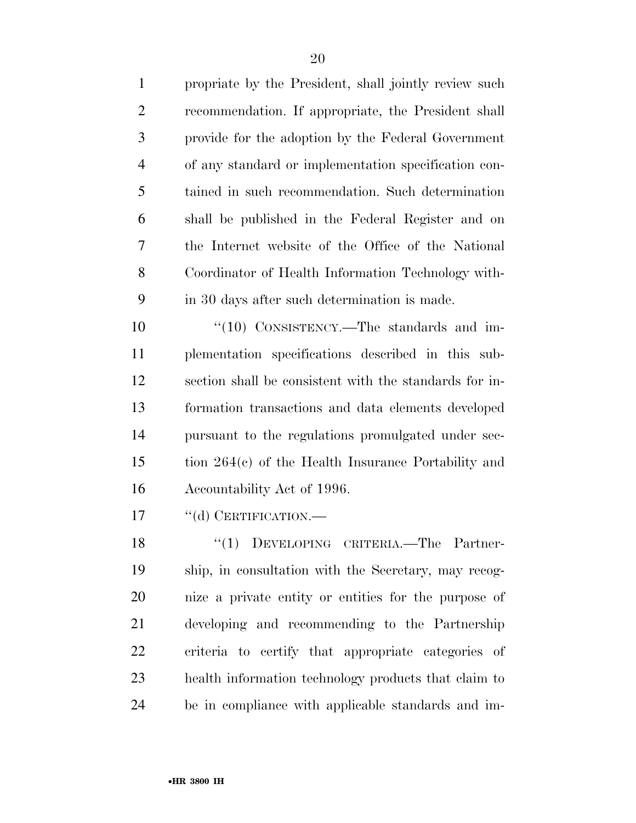propriate by the President, shall jointly review such recommendation. If appropriate, the President shall provide for the adoption by the Federal Government of any standard or implementation specification con- tained in such recommendation. Such determination shall be published in the Federal Register and on the Internet website of the Office of the National Coordinator of Health Information Technology with-in 30 days after such determination is made.

10 "(10) CONSISTENCY.—The standards and im- plementation specifications described in this sub- section shall be consistent with the standards for in- formation transactions and data elements developed pursuant to the regulations promulgated under sec- tion 264(c) of the Health Insurance Portability and Accountability Act of 1996.

17 "(d) CERTIFICATION.—

18 "(1) DEVELOPING CRITERIA.—The Partner- ship, in consultation with the Secretary, may recog- nize a private entity or entities for the purpose of developing and recommending to the Partnership criteria to certify that appropriate categories of health information technology products that claim to be in compliance with applicable standards and im-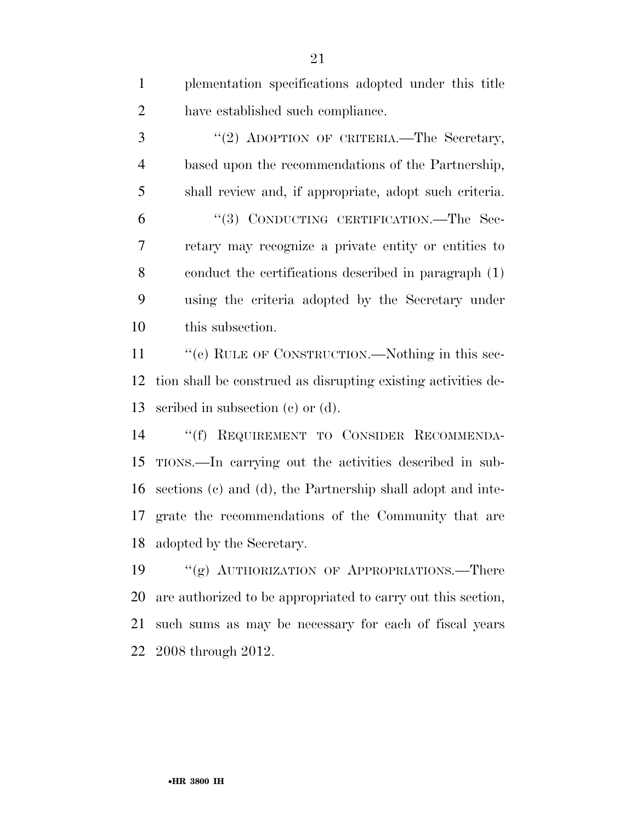| $\mathbf{1}$   | plementation specifications adopted under this title          |
|----------------|---------------------------------------------------------------|
| $\overline{2}$ | have established such compliance.                             |
| 3              | "(2) ADOPTION OF CRITERIA.—The Secretary,                     |
| $\overline{4}$ | based upon the recommendations of the Partnership,            |
| 5              | shall review and, if appropriate, adopt such criteria.        |
| 6              | "(3) CONDUCTING CERTIFICATION.—The Sec-                       |
| $\overline{7}$ | retary may recognize a private entity or entities to          |
| 8              | conduct the certifications described in paragraph (1)         |
| 9              | using the criteria adopted by the Secretary under             |
| 10             | this subsection.                                              |
| 11             | "(e) RULE OF CONSTRUCTION.—Nothing in this sec-               |
| 12             | tion shall be construed as disrupting existing activities de- |
| 13             | scribed in subsection $(e)$ or $(d)$ .                        |
| 14             | "(f) REQUIREMENT TO CONSIDER RECOMMENDA-                      |
| 15             | TIONS.—In carrying out the activities described in sub-       |
| 16             | sections (c) and (d), the Partnership shall adopt and inte-   |
| 17             | grate the recommendations of the Community that are           |
|                | 18 adopted by the Secretary.                                  |
| 19             | "(g) AUTHORIZATION OF APPROPRIATIONS.—There                   |
| 20             | are authorized to be appropriated to carry out this section,  |
| 21             | such sums as may be necessary for each of fiscal years        |
| 22             | 2008 through 2012.                                            |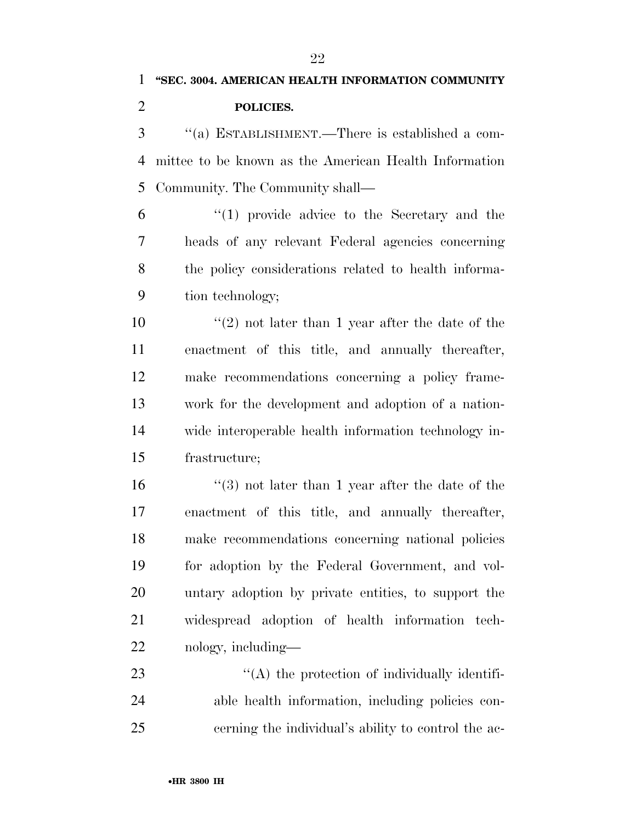''(a) ESTABLISHMENT.—There is established a com- mittee to be known as the American Health Information Community. The Community shall—

 ''(1) provide advice to the Secretary and the heads of any relevant Federal agencies concerning the policy considerations related to health informa-tion technology;

10 ''(2) not later than 1 year after the date of the enactment of this title, and annually thereafter, make recommendations concerning a policy frame- work for the development and adoption of a nation- wide interoperable health information technology in-frastructure;

 ''(3) not later than 1 year after the date of the enactment of this title, and annually thereafter, make recommendations concerning national policies for adoption by the Federal Government, and vol- untary adoption by private entities, to support the widespread adoption of health information tech-nology, including—

23  $\cdot$  (A) the protection of individually identifi- able health information, including policies con-cerning the individual's ability to control the ac-

•**HR 3800 IH**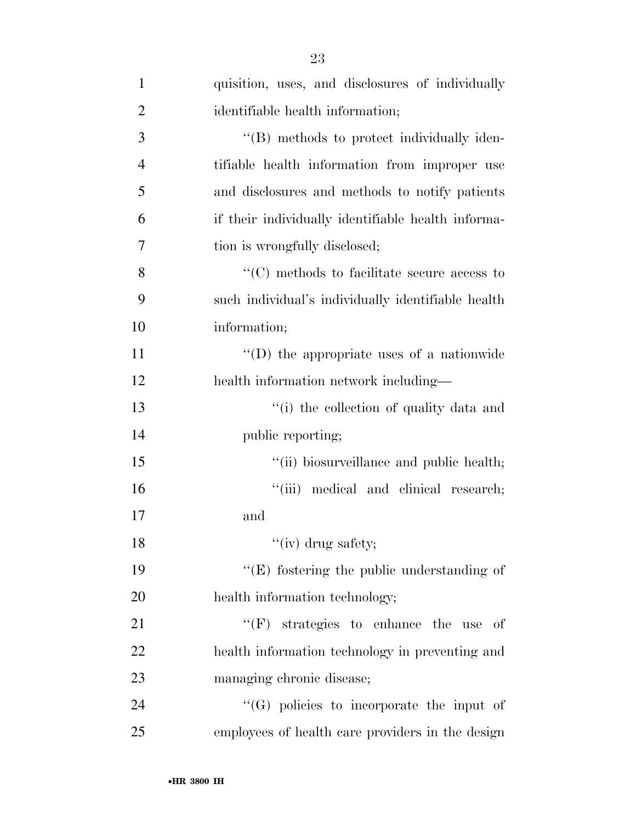| $\mathbf{1}$   | quisition, uses, and disclosures of individually   |
|----------------|----------------------------------------------------|
| $\overline{2}$ | identifiable health information;                   |
| 3              | "(B) methods to protect individually iden-         |
| $\overline{4}$ | tifiable health information from improper use      |
| 5              | and disclosures and methods to notify patients     |
| 6              | if their individually identifiable health informa- |
| 7              | tion is wrongfully disclosed;                      |
| 8              | $\lq\lq$ methods to facilitate secure access to    |
| 9              | such individual's individually identifiable health |
| 10             | information;                                       |
| 11             | "(D) the appropriate uses of a nationwide          |
| 12             | health information network including—              |
| 13             | "(i) the collection of quality data and            |
| 14             | public reporting;                                  |
| 15             | "(ii) biosurveillance and public health;           |
| 16             | "(iii) medical and clinical research;              |
| 17             | and                                                |
| 18             | "(iv) drug safety;                                 |
| 19             | $\lq\lq(E)$ fostering the public understanding of  |
| 20             | health information technology;                     |
| 21             | $\lq\lq(F)$ strategies to enhance the use<br>-of   |
| 22             | health information technology in preventing and    |
| 23             | managing chronic disease;                          |
| 24             | $\lq\lq(G)$ policies to incorporate the input of   |
| 25             | employees of health care providers in the design   |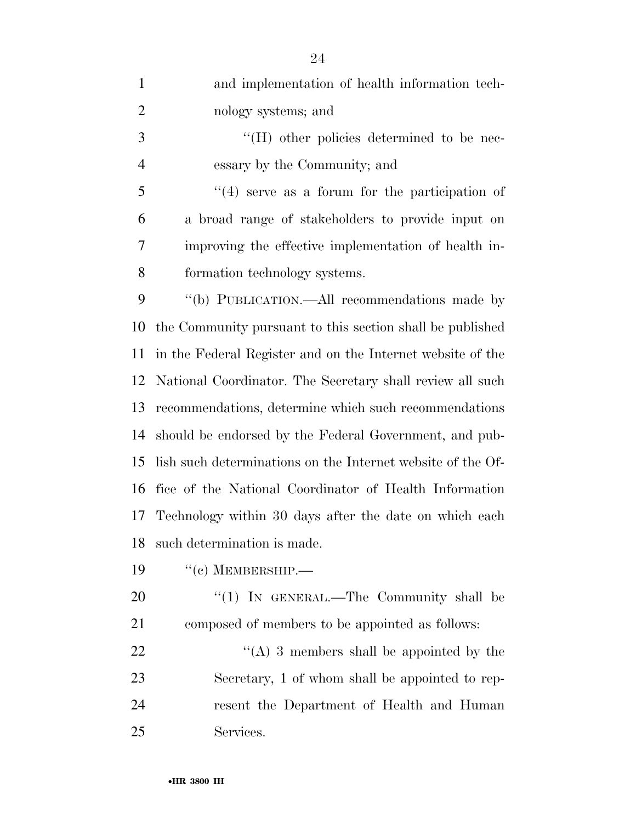| $\mathbf{1}$   | and implementation of health information tech-              |
|----------------|-------------------------------------------------------------|
| $\overline{2}$ | nology systems; and                                         |
| 3              | $\lq\lq (H)$ other policies determined to be nec-           |
| $\overline{4}$ | essary by the Community; and                                |
| 5              | $(4)$ serve as a forum for the participation of             |
| 6              | a broad range of stakeholders to provide input on           |
| 7              | improving the effective implementation of health in-        |
| 8              | formation technology systems.                               |
| 9              | "(b) PUBLICATION.—All recommendations made by               |
| 10             | the Community pursuant to this section shall be published   |
| 11             | in the Federal Register and on the Internet website of the  |
| 12             | National Coordinator. The Secretary shall review all such   |
| 13             | recommendations, determine which such recommendations       |
| 14             | should be endorsed by the Federal Government, and pub-      |
| 15             | lish such determinations on the Internet website of the Of- |
| 16             | fice of the National Coordinator of Health Information      |
| 17             | Technology within 30 days after the date on which each      |
| 18             | such determination is made.                                 |
| 19             | $``(c)$ MEMBERSHIP.—                                        |
| 20             | "(1) IN GENERAL.—The Community shall be                     |
| 21             | composed of members to be appointed as follows:             |
| 22             | "(A) 3 members shall be appointed by the                    |
| 23             | Secretary, 1 of whom shall be appointed to rep-             |
| 24             | resent the Department of Health and Human                   |
| 25             | Services.                                                   |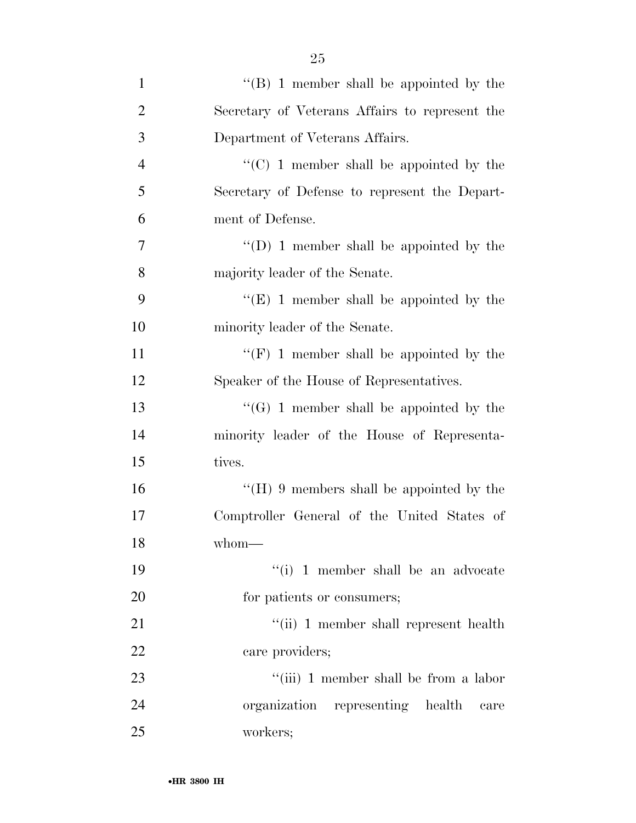| $\mathbf{1}$   | $\lq\lq (B)$ 1 member shall be appointed by the |
|----------------|-------------------------------------------------|
| $\overline{2}$ | Secretary of Veterans Affairs to represent the  |
| 3              | Department of Veterans Affairs.                 |
| $\overline{4}$ | $\cdot$ (C) 1 member shall be appointed by the  |
| 5              | Secretary of Defense to represent the Depart-   |
| 6              | ment of Defense.                                |
| 7              | "(D) 1 member shall be appointed by the         |
| 8              | majority leader of the Senate.                  |
| 9              | " $(E)$ 1 member shall be appointed by the      |
| 10             | minority leader of the Senate.                  |
| 11             | "(F) 1 member shall be appointed by the         |
| 12             | Speaker of the House of Representatives.        |
| 13             | $\lq\lq(G)$ 1 member shall be appointed by the  |
| 14             | minority leader of the House of Representa-     |
| 15             | tives.                                          |
| 16             | "( $H$ ) 9 members shall be appointed by the    |
| 17             | Comptroller General of the United States of     |
| 18             | $whom$ —                                        |
| 19             | "(i) 1 member shall be an advocate              |
| 20             | for patients or consumers;                      |
| 21             | "(ii) 1 member shall represent health           |
| 22             | care providers;                                 |
| 23             | "(iii) 1 member shall be from a labor           |
| 24             | organization representing health<br>care        |
| 25             | workers;                                        |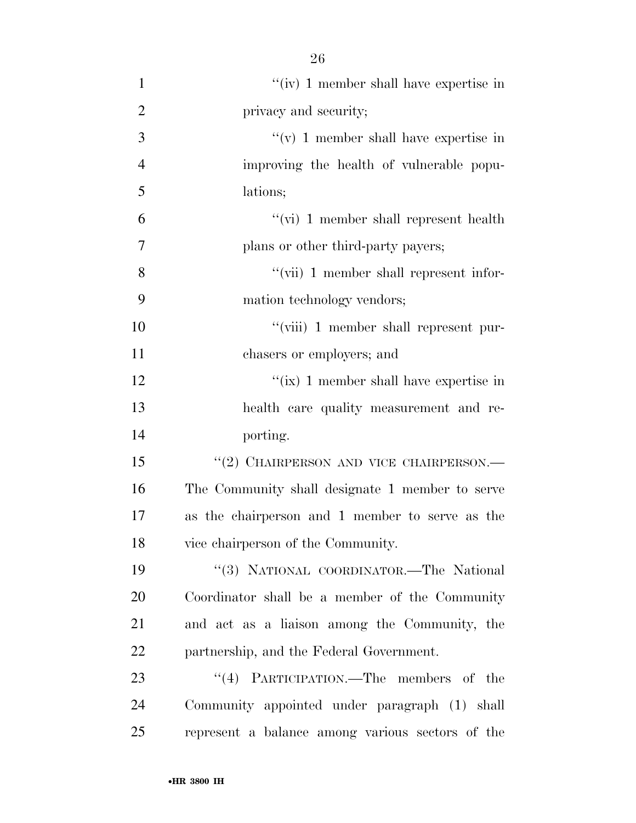| $\mathbf{1}$   | "(iv) 1 member shall have expertise in           |
|----------------|--------------------------------------------------|
| $\overline{2}$ | privacy and security;                            |
| 3              | "(v) 1 member shall have expertise in            |
| $\overline{4}$ | improving the health of vulnerable popu-         |
| 5              | lations;                                         |
| 6              | "(vi) 1 member shall represent health            |
| 7              | plans or other third-party payers;               |
| 8              | $\lq\lq$ (vii) 1 member shall represent infor-   |
| 9              | mation technology vendors;                       |
| 10             | "(viii) 1 member shall represent pur-            |
| 11             | chasers or employers; and                        |
| 12             | "(ix) 1 member shall have expertise in           |
| 13             | health care quality measurement and re-          |
| 14             | porting.                                         |
| 15             | "(2) CHAIRPERSON AND VICE CHAIRPERSON.—          |
| 16             | The Community shall designate 1 member to serve  |
| 17             | as the chairperson and 1 member to serve as the  |
| 18             | vice chairperson of the Community.               |
| 19             | "(3) NATIONAL COORDINATOR.—The National          |
| 20             | Coordinator shall be a member of the Community   |
| 21             | and act as a liaison among the Community, the    |
| 22             | partnership, and the Federal Government.         |
| 23             | "(4) PARTICIPATION.—The members of the           |
| 24             | Community appointed under paragraph (1) shall    |
| 25             | represent a balance among various sectors of the |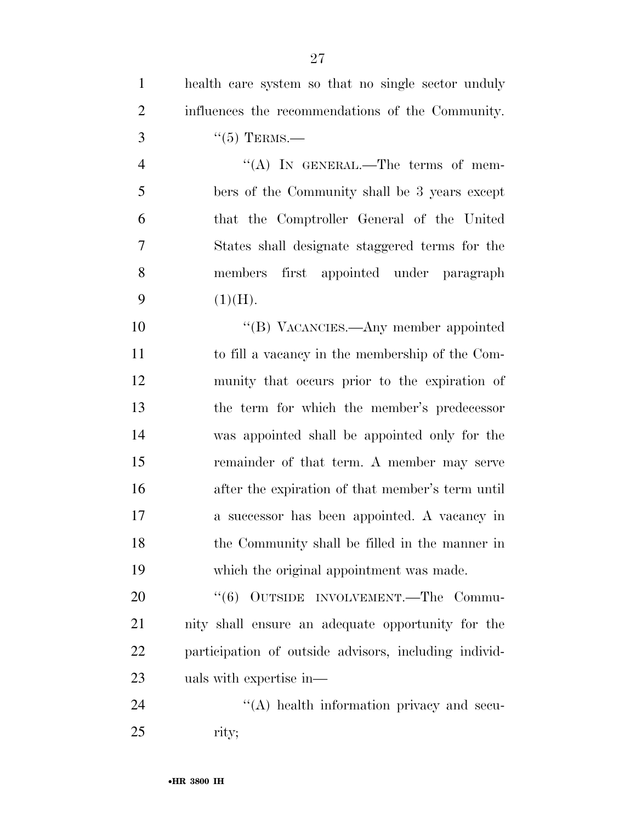| $\mathbf{1}$   | health care system so that no single sector unduly    |
|----------------|-------------------------------------------------------|
| $\overline{2}$ | influences the recommendations of the Community.      |
| 3              | $``(5)$ TERMS.—                                       |
| $\overline{4}$ | "(A) IN GENERAL.—The terms of mem-                    |
| 5              | bers of the Community shall be 3 years except         |
| 6              | that the Comptroller General of the United            |
| 7              | States shall designate staggered terms for the        |
| 8              | members first appointed under paragraph               |
| 9              | (1)(H).                                               |
| 10             | "(B) VACANCIES.—Any member appointed                  |
| 11             | to fill a vacancy in the membership of the Com-       |
| 12             | munity that occurs prior to the expiration of         |
| 13             | the term for which the member's predecessor           |
| 14             | was appointed shall be appointed only for the         |
| 15             | remainder of that term. A member may serve            |
| 16             | after the expiration of that member's term until      |
| 17             | a successor has been appointed. A vacancy in          |
| 18             | the Community shall be filled in the manner in        |
| 19             | which the original appointment was made.              |
| 20             | "(6) OUTSIDE INVOLVEMENT.—The Commu-                  |
| 21             | nity shall ensure an adequate opportunity for the     |
| 22             | participation of outside advisors, including individ- |
| 23             | uals with expertise in—                               |

24 ''(A) health information privacy and secu-rity;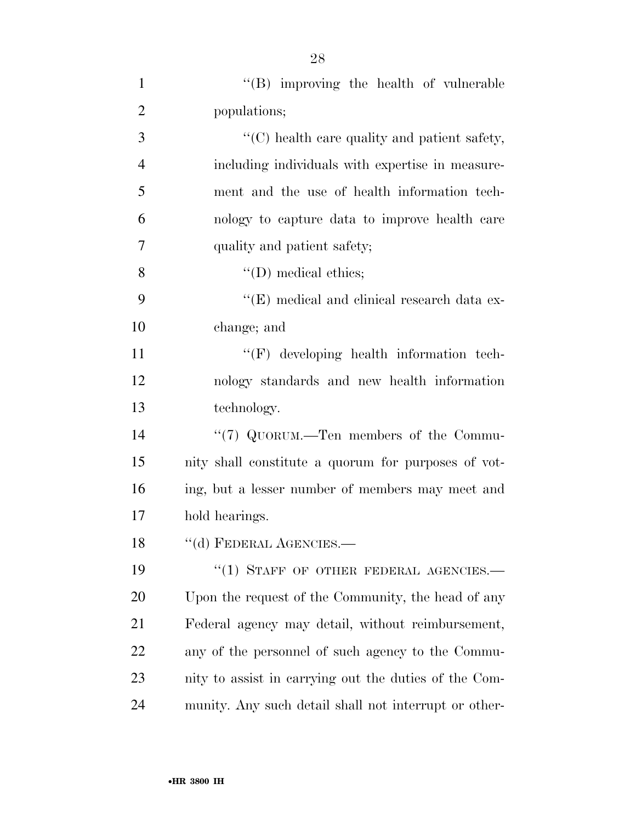| $\mathbf{1}$   | "(B) improving the health of vulnerable               |
|----------------|-------------------------------------------------------|
| $\overline{2}$ | populations;                                          |
| 3              | "(C) health care quality and patient safety,          |
| 4              | including individuals with expertise in measure-      |
| 5              | ment and the use of health information tech-          |
| 6              | nology to capture data to improve health care         |
| 7              | quality and patient safety;                           |
| 8              | $\lq\lq$ (D) medical ethics;                          |
| 9              | "(E) medical and clinical research data ex-           |
| 10             | change; and                                           |
| <sup>11</sup>  | $\lq\lq(F)$ developing health information tech-       |
| 12             | nology standards and new health information           |
| 13             | technology.                                           |
| 14             | "(7) QUORUM.—Ten members of the Commu-                |
| 15             | nity shall constitute a quorum for purposes of vot-   |
| 16             | ing, but a lesser number of members may meet and      |
| 17             | hold hearings.                                        |
| 18             | "(d) FEDERAL AGENCIES.—                               |
| 19             | "(1) STAFF OF OTHER FEDERAL AGENCIES.-                |
| 20             | Upon the request of the Community, the head of any    |
| 21             | Federal agency may detail, without reimbursement,     |
| 22             | any of the personnel of such agency to the Commu-     |
| 23             | nity to assist in carrying out the duties of the Com- |
| 24             | munity. Any such detail shall not interrupt or other- |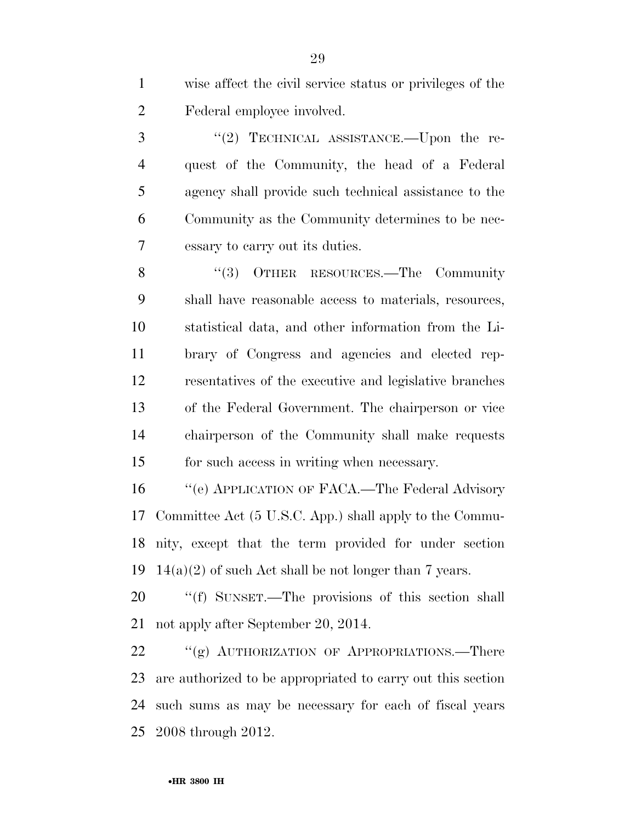wise affect the civil service status or privileges of the Federal employee involved.

3 "(2) TECHNICAL ASSISTANCE.—Upon the re- quest of the Community, the head of a Federal agency shall provide such technical assistance to the Community as the Community determines to be nec-essary to carry out its duties.

8 "(3) OTHER RESOURCES.—The Community shall have reasonable access to materials, resources, statistical data, and other information from the Li- brary of Congress and agencies and elected rep- resentatives of the executive and legislative branches of the Federal Government. The chairperson or vice chairperson of the Community shall make requests for such access in writing when necessary.

16 "'(e) APPLICATION OF FACA.—The Federal Advisory Committee Act (5 U.S.C. App.) shall apply to the Commu- nity, except that the term provided for under section 19 14(a)(2) of such Act shall be not longer than 7 years.

20 "(f) SUNSET.—The provisions of this section shall not apply after September 20, 2014.

22 ""(g) AUTHORIZATION OF APPROPRIATIONS.—There are authorized to be appropriated to carry out this section such sums as may be necessary for each of fiscal years 2008 through 2012.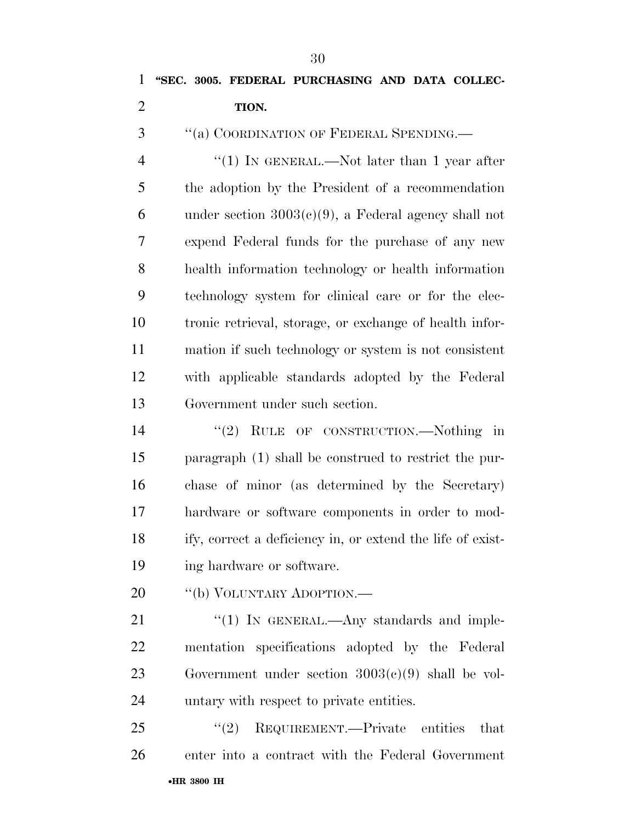''(a) COORDINATION OF FEDERAL SPENDING.—

4 "(1) IN GENERAL.—Not later than 1 year after the adoption by the President of a recommendation 6 under section  $3003(c)(9)$ , a Federal agency shall not expend Federal funds for the purchase of any new health information technology or health information technology system for clinical care or for the elec- tronic retrieval, storage, or exchange of health infor- mation if such technology or system is not consistent with applicable standards adopted by the Federal Government under such section.

14 "(2) RULE OF CONSTRUCTION.—Nothing in paragraph (1) shall be construed to restrict the pur- chase of minor (as determined by the Secretary) hardware or software components in order to mod- ify, correct a deficiency in, or extend the life of exist-ing hardware or software.

20 "(b) VOLUNTARY ADOPTION.—

21 "(1) In GENERAL.—Any standards and imple- mentation specifications adopted by the Federal Government under section 3003(c)(9) shall be vol-untary with respect to private entities.

•**HR 3800 IH** 25 "(2) REQUIREMENT.—Private entities that enter into a contract with the Federal Government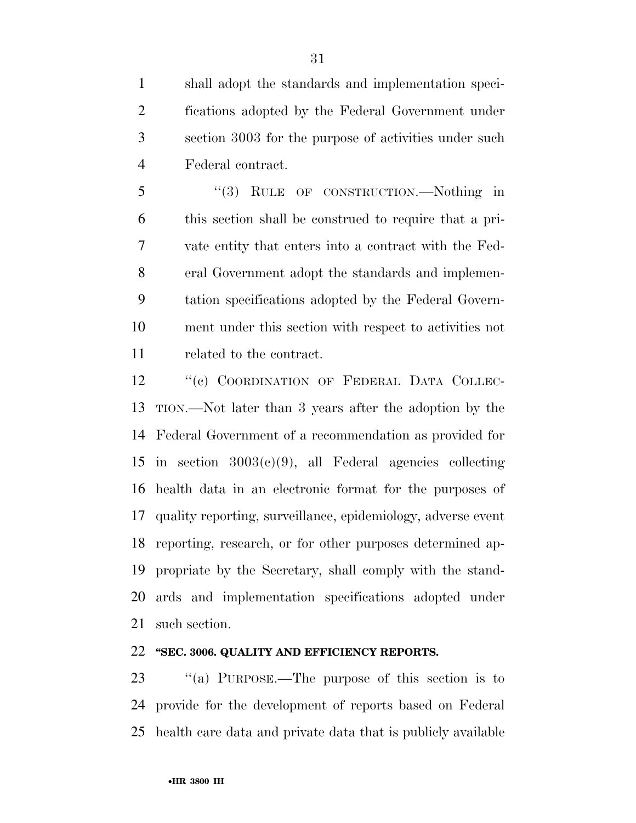shall adopt the standards and implementation speci- fications adopted by the Federal Government under section 3003 for the purpose of activities under such Federal contract.

 ''(3) RULE OF CONSTRUCTION.—Nothing in this section shall be construed to require that a pri- vate entity that enters into a contract with the Fed- eral Government adopt the standards and implemen- tation specifications adopted by the Federal Govern- ment under this section with respect to activities not related to the contract.

12 "(c) COORDINATION OF FEDERAL DATA COLLEC- TION.—Not later than 3 years after the adoption by the Federal Government of a recommendation as provided for in section 3003(c)(9), all Federal agencies collecting health data in an electronic format for the purposes of quality reporting, surveillance, epidemiology, adverse event reporting, research, or for other purposes determined ap- propriate by the Secretary, shall comply with the stand- ards and implementation specifications adopted under such section.

## **''SEC. 3006. QUALITY AND EFFICIENCY REPORTS.**

 ''(a) PURPOSE.—The purpose of this section is to provide for the development of reports based on Federal health care data and private data that is publicly available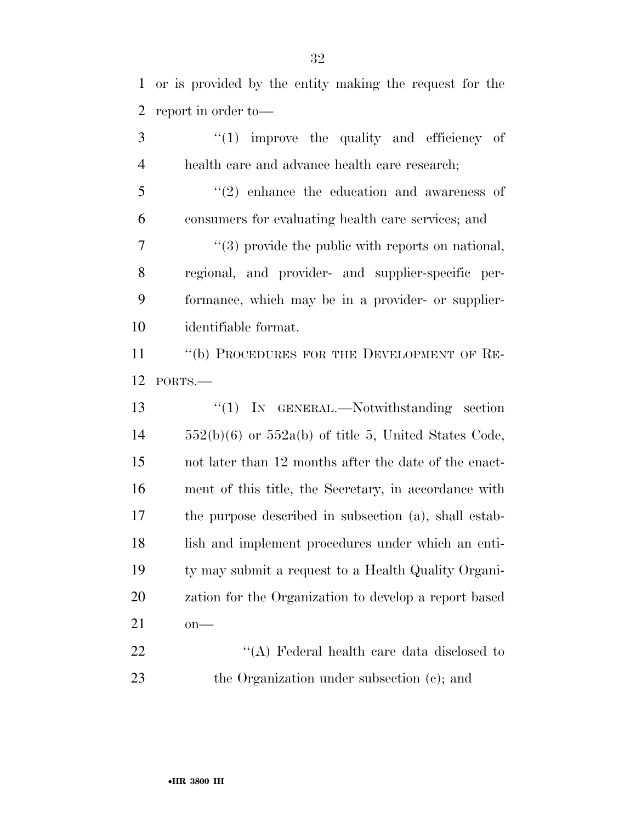or is provided by the entity making the request for the report in order to—

3 ''(1) improve the quality and efficiency of health care and advance health care research; 5 "(2) enhance the education and awareness of consumers for evaluating health care services; and 7  $\frac{1}{3}$  or  $\frac{1}{3}$  provide the public with reports on national, regional, and provider- and supplier-specific per- formance, which may be in a provider- or supplier- identifiable format. 11 "(b) PROCEDURES FOR THE DEVELOPMENT OF RE- PORTS.— ''(1) IN GENERAL.—Notwithstanding section  $14 \qquad 552(b)(6)$  or  $552a(b)$  of title 5, United States Code, not later than 12 months after the date of the enact- ment of this title, the Secretary, in accordance with the purpose described in subsection (a), shall estab-18 lish and implement procedures under which an enti- ty may submit a request to a Health Quality Organi- zation for the Organization to develop a report based on— 22 "'(A) Federal health care data disclosed to 23 the Organization under subsection (c); and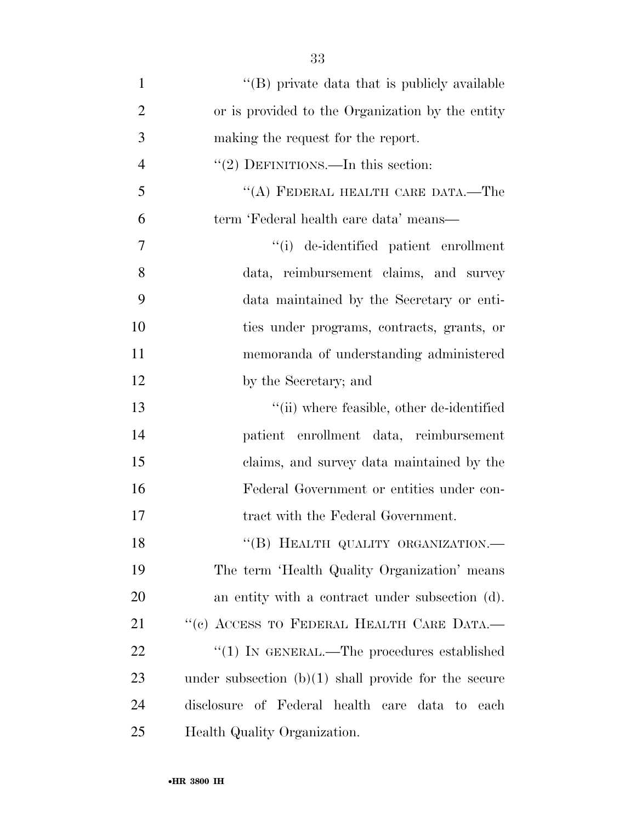| $\mathbf{1}$   | "(B) private data that is publicly available           |
|----------------|--------------------------------------------------------|
| $\overline{2}$ | or is provided to the Organization by the entity       |
| 3              | making the request for the report.                     |
| $\overline{4}$ | $"(2)$ DEFINITIONS.—In this section:                   |
| 5              | "(A) FEDERAL HEALTH CARE DATA.—The                     |
| 6              | term 'Federal health care data' means—                 |
| 7              | "(i) de-identified patient enrollment                  |
| 8              | data, reimbursement claims, and survey                 |
| 9              | data maintained by the Secretary or enti-              |
| 10             | ties under programs, contracts, grants, or             |
| 11             | memoranda of understanding administered                |
| 12             | by the Secretary; and                                  |
| 13             | "(ii) where feasible, other de-identified              |
| 14             | patient enrollment data, reimbursement                 |
| 15             | claims, and survey data maintained by the              |
| 16             | Federal Government or entities under con-              |
| 17             | tract with the Federal Government.                     |
| 18             | "(B) HEALTH QUALITY ORGANIZATION.-                     |
| 19             | The term 'Health Quality Organization' means           |
| 20             | an entity with a contract under subsection (d).        |
| 21             | "(c) ACCESS TO FEDERAL HEALTH CARE DATA.-              |
| 22             | "(1) IN GENERAL.—The procedures established            |
| 23             | under subsection $(b)(1)$ shall provide for the secure |
| 24             | disclosure of Federal health care data to each         |
| 25             | Health Quality Organization.                           |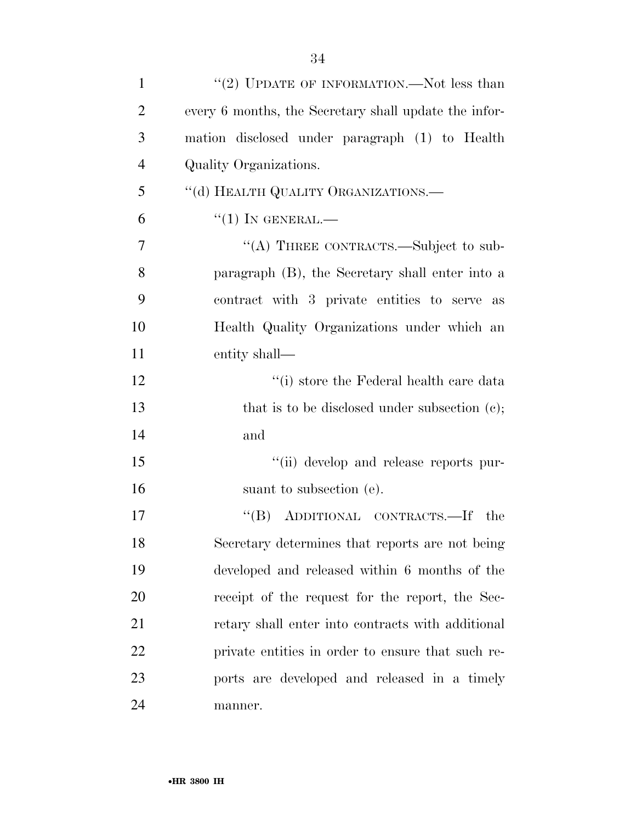| $\mathbf{1}$   | "(2) UPDATE OF INFORMATION.—Not less than             |
|----------------|-------------------------------------------------------|
| $\overline{2}$ | every 6 months, the Secretary shall update the infor- |
| 3              | mation disclosed under paragraph (1) to Health        |
| $\overline{4}$ | Quality Organizations.                                |
| 5              | "(d) HEALTH QUALITY ORGANIZATIONS.-                   |
| 6              | $``(1)$ IN GENERAL.—                                  |
| $\overline{7}$ | "(A) THREE CONTRACTS.—Subject to sub-                 |
| 8              | paragraph (B), the Secretary shall enter into a       |
| 9              | contract with 3 private entities to serve as          |
| 10             | Health Quality Organizations under which an           |
| 11             | entity shall—                                         |
| 12             | $``(i)$ store the Federal health care data            |
| 13             | that is to be disclosed under subsection $(c)$ ;      |
| 14             | and                                                   |
| 15             | "(ii) develop and release reports pur-                |
| 16             | suant to subsection (e).                              |
| 17             | "(B) ADDITIONAL CONTRACTS.—If the                     |
| 18             | Secretary determines that reports are not being       |
| 19             | developed and released within 6 months of the         |
| 20             | receipt of the request for the report, the Sec-       |
| 21             | retary shall enter into contracts with additional     |
| 22             | private entities in order to ensure that such re-     |
| 23             | ports are developed and released in a timely          |

manner.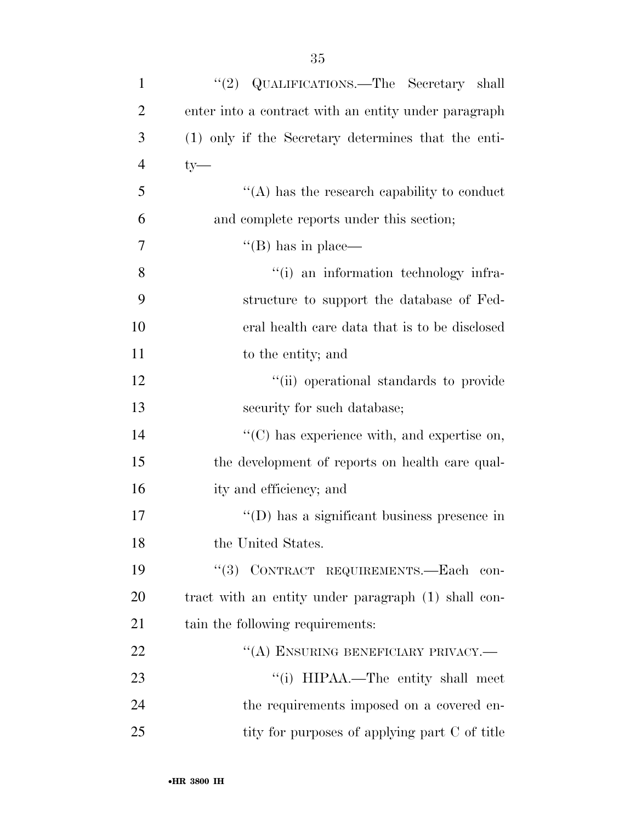| $\mathbf{1}$   | QUALIFICATIONS.—The Secretary shall<br>(2)           |
|----------------|------------------------------------------------------|
| $\overline{2}$ | enter into a contract with an entity under paragraph |
| 3              | (1) only if the Secretary determines that the enti-  |
| $\overline{4}$ | $ty-$                                                |
| 5              | $\lq\lq$ has the research capability to conduct      |
| 6              | and complete reports under this section;             |
| 7              | $\lq\lq (B)$ has in place—                           |
| 8              | "(i) an information technology infra-                |
| 9              | structure to support the database of Fed-            |
| 10             | eral health care data that is to be disclosed        |
| 11             | to the entity; and                                   |
| 12             | "(ii) operational standards to provide               |
| 13             | security for such database;                          |
| 14             | "(C) has experience with, and expertise on,          |
| 15             | the development of reports on health care qual-      |
| 16             | ity and efficiency; and                              |
| 17             | "(D) has a significant business presence in          |
| 18             | the United States.                                   |
| 19             | "(3) CONTRACT REQUIREMENTS.—Each con-                |
| 20             | tract with an entity under paragraph (1) shall con-  |
| 21             | tain the following requirements:                     |
| 22             | "(A) ENSURING BENEFICIARY PRIVACY.-                  |
| 23             | "(i) HIPAA.—The entity shall meet                    |
| 24             | the requirements imposed on a covered en-            |
| 25             | tity for purposes of applying part C of title        |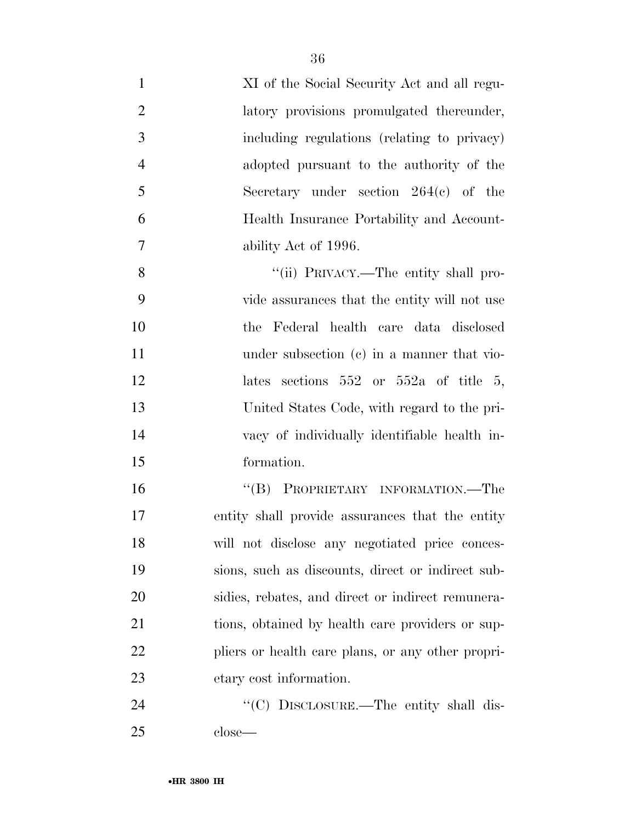| $\mathbf{1}$   | XI of the Social Security Act and all regu-       |
|----------------|---------------------------------------------------|
| $\overline{2}$ | latory provisions promulgated thereunder,         |
| 3              | including regulations (relating to privacy)       |
| $\overline{4}$ | adopted pursuant to the authority of the          |
| 5              | Secretary under section $264(e)$ of the           |
| 6              | Health Insurance Portability and Account-         |
| $\tau$         | ability Act of 1996.                              |
| 8              | "(ii) PRIVACY.—The entity shall pro-              |
| 9              | vide assurances that the entity will not use      |
| 10             | the Federal health care data disclosed            |
| 11             | under subsection (c) in a manner that vio-        |
| 12             | lates sections $552$ or $552a$ of title 5,        |
| 13             | United States Code, with regard to the pri-       |
| 14             | vacy of individually identifiable health in-      |
| 15             | formation.                                        |
| 16             | "(B) PROPRIETARY INFORMATION.—The                 |
| 17             | entity shall provide assurances that the entity   |
| 18             | will not disclose any negotiated price conces-    |
| 19             | sions, such as discounts, direct or indirect sub- |
| 20             | sidies, rebates, and direct or indirect remunera- |
| 21             | tions, obtained by health care providers or sup-  |
| 22             | pliers or health care plans, or any other propri- |
| 23             | etary cost information.                           |
| 24             | "(C) DISCLOSURE.—The entity shall dis-            |
| 25             | $close-$                                          |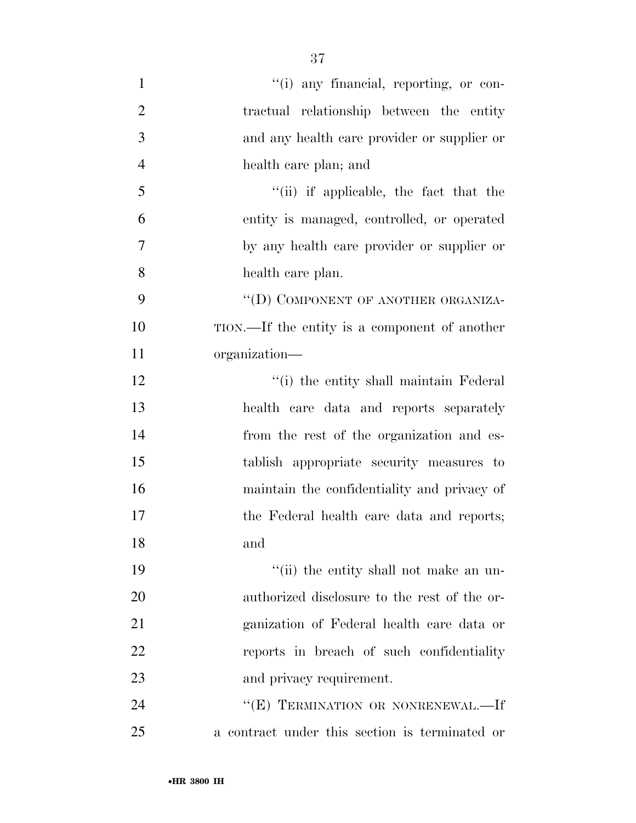| $\mathbf{1}$   | "(i) any financial, reporting, or con-         |
|----------------|------------------------------------------------|
| $\overline{2}$ | tractual relationship between the entity       |
| 3              | and any health care provider or supplier or    |
| $\overline{4}$ | health care plan; and                          |
| 5              | "(ii) if applicable, the fact that the         |
| 6              | entity is managed, controlled, or operated     |
| 7              | by any health care provider or supplier or     |
| 8              | health care plan.                              |
| 9              | "(D) COMPONENT OF ANOTHER ORGANIZA-            |
| 10             | TION.—If the entity is a component of another  |
| 11             | organization—                                  |
| 12             | "(i) the entity shall maintain Federal         |
| 13             | health care data and reports separately        |
| 14             | from the rest of the organization and es-      |
| 15             | tablish appropriate security measures to       |
| 16             | maintain the confidentiality and privacy of    |
| 17             | the Federal health care data and reports;      |
| 18             | and                                            |
| 19             | "(ii) the entity shall not make an un-         |
| 20             | authorized disclosure to the rest of the or-   |
| 21             | ganization of Federal health care data or      |
| 22             | reports in breach of such confidentiality      |
| 23             | and privacy requirement.                       |
| 24             | "(E) TERMINATION OR NONRENEWAL.-If             |
| 25             | a contract under this section is terminated or |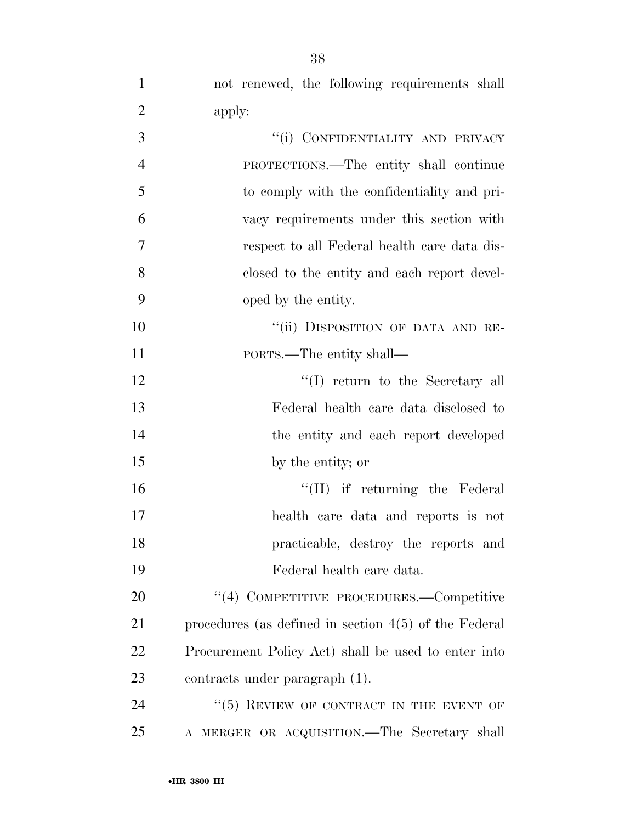|   |        | not renewed, the following requirements shall |  |
|---|--------|-----------------------------------------------|--|
|   | apply: |                                               |  |
| 3 |        | "(i) CONFIDENTIALITY AND PRIVACY              |  |
|   |        |                                               |  |

| $\overline{4}$ | PROTECTIONS.—The entity shall continue       |
|----------------|----------------------------------------------|
| 5              | to comply with the confidentiality and pri-  |
| 6              | vacy requirements under this section with    |
| 7              | respect to all Federal health care data dis- |
| 8              | closed to the entity and each report devel-  |
| 9              | oped by the entity.                          |
|                |                                              |

10  $"$ (ii) DISPOSITION OF DATA AND RE-PORTS.—The entity shall—

12 ''(I) return to the Secretary all Federal health care data disclosed to the entity and each report developed by the entity; or

16 ''(II) if returning the Federal health care data and reports is not practicable, destroy the reports and Federal health care data.

20 "(4) COMPETITIVE PROCEDURES.—Competitive procedures (as defined in section 4(5) of the Federal Procurement Policy Act) shall be used to enter into contracts under paragraph (1).

24 "(5) REVIEW OF CONTRACT IN THE EVENT OF A MERGER OR ACQUISITION.—The Secretary shall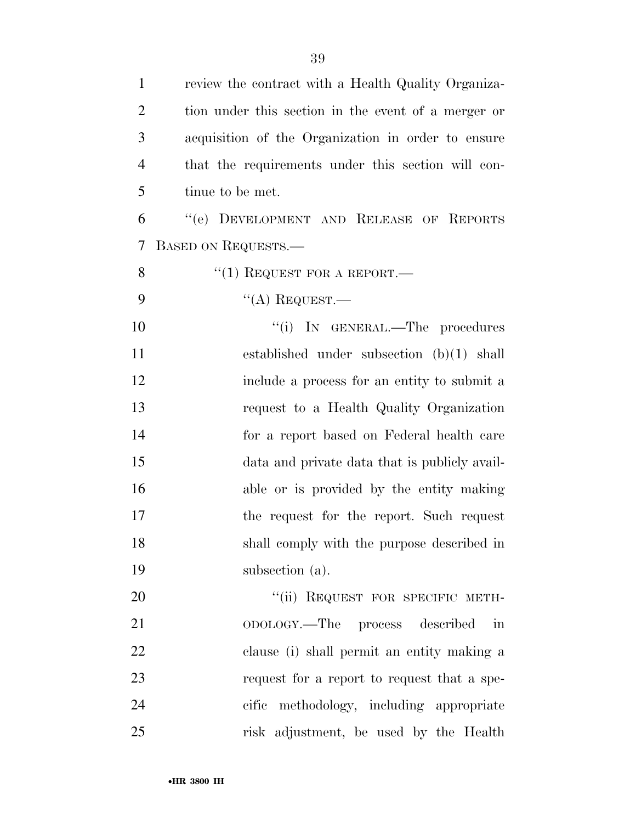| $\mathbf{1}$   | review the contract with a Health Quality Organiza- |
|----------------|-----------------------------------------------------|
| $\overline{2}$ | tion under this section in the event of a merger or |
| 3              | acquisition of the Organization in order to ensure  |
| $\overline{4}$ | that the requirements under this section will con-  |
| 5              | tinue to be met.                                    |
| 6              | "(e) DEVELOPMENT AND RELEASE OF REPORTS             |
| 7              | <b>BASED ON REQUESTS.—</b>                          |
| 8              | "(1) REQUEST FOR A REPORT.—                         |
| 9              | $\lq\lq$ Request.                                   |
| 10             | "(i) IN GENERAL.—The procedures                     |
| 11             | established under subsection $(b)(1)$ shall         |
| 12             | include a process for an entity to submit a         |
| 13             | request to a Health Quality Organization            |
| 14             | for a report based on Federal health care           |
| 15             | data and private data that is publicly avail-       |
| 16             | able or is provided by the entity making            |
| 17             | the request for the report. Such request            |
| 18             | shall comply with the purpose described in          |
| 19             | subsection (a).                                     |
| 20             | "(ii) REQUEST FOR SPECIFIC METH-                    |
| 21             | ODOLOGY.—The process described<br>in                |
| 22             | clause (i) shall permit an entity making a          |
| 23             | request for a report to request that a spe-         |
| 24             | cific methodology, including appropriate            |
| 25             | risk adjustment, be used by the Health              |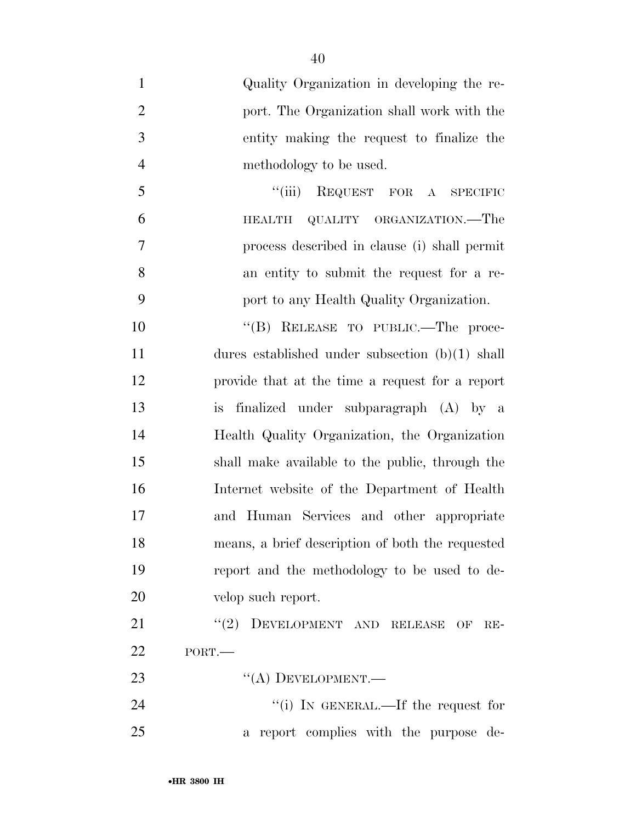- Quality Organization in developing the re- port. The Organization shall work with the entity making the request to finalize the methodology to be used. ''(iii) REQUEST FOR A SPECIFIC
- HEALTH QUALITY ORGANIZATION.—The process described in clause (i) shall permit an entity to submit the request for a re-port to any Health Quality Organization.

10 "(B) RELEASE TO PUBLIC.—The proce- dures established under subsection (b)(1) shall provide that at the time a request for a report is finalized under subparagraph (A) by a Health Quality Organization, the Organization shall make available to the public, through the Internet website of the Department of Health and Human Services and other appropriate means, a brief description of both the requested report and the methodology to be used to de-velop such report.

21 "(2) DEVELOPMENT AND RELEASE OF RE-PORT.—

23 "(A) DEVELOPMENT.—

24  $\frac{1}{1}$  In GENERAL.—If the request for a report complies with the purpose de-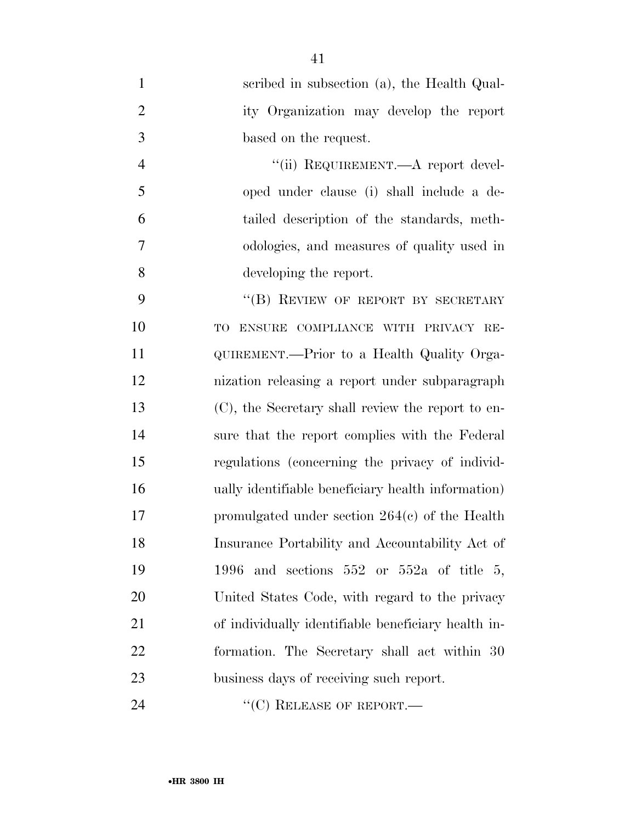| $\mathbf{1}$   | scribed in subsection (a), the Health Qual-         |
|----------------|-----------------------------------------------------|
| $\overline{2}$ | ity Organization may develop the report             |
| 3              | based on the request.                               |
| $\overline{4}$ | "(ii) REQUIREMENT.—A report devel-                  |
| 5              | oped under clause (i) shall include a de-           |
| 6              | tailed description of the standards, meth-          |
| 7              | odologies, and measures of quality used in          |
| 8              | developing the report.                              |
| 9              | "(B) REVIEW OF REPORT BY SECRETARY                  |
| 10             | ENSURE COMPLIANCE WITH PRIVACY RE-<br>TO            |
| 11             | QUIREMENT.—Prior to a Health Quality Orga-          |
| 12             | nization releasing a report under subparagraph      |
| 13             | (C), the Secretary shall review the report to en-   |
| 14             | sure that the report complies with the Federal      |
| 15             | regulations (concerning the privacy of individ-     |
| 16             | ually identifiable beneficiary health information)  |
| 17             | promulgated under section $264(c)$ of the Health    |
| 18             | Insurance Portability and Accountability Act of     |
| 19             | 1996 and sections $552$ or $552a$ of title 5,       |
| 20             | United States Code, with regard to the privacy      |
| 21             | of individually identifiable beneficiary health in- |
| 22             | formation. The Secretary shall act within 30        |
| 23             | business days of receiving such report.             |
| 24             | $\lq\lq$ <sup>(C)</sup> RELEASE OF REPORT.—         |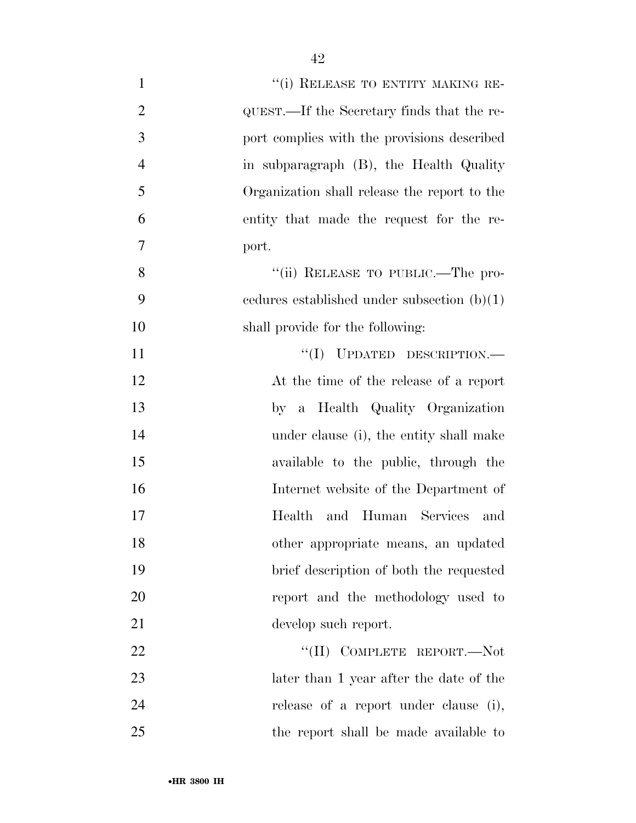| "(i) RELEASE TO ENTITY MAKING RE-<br>$\mathbf{1}$            |  |
|--------------------------------------------------------------|--|
| $\overline{2}$<br>QUEST.—If the Secretary finds that the re- |  |
| 3<br>port complies with the provisions described             |  |
| $\overline{4}$<br>in subparagraph (B), the Health Quality    |  |
| 5<br>Organization shall release the report to the            |  |
| 6<br>entity that made the request for the re-                |  |
| 7<br>port.                                                   |  |
| 8<br>"(ii) RELEASE TO PUBLIC.—The pro-                       |  |
| 9<br>cedures established under subsection $(b)(1)$           |  |
| 10<br>shall provide for the following:                       |  |
| $``(I)$ UPDATED DESCRIPTION.—<br>11                          |  |
| 12<br>At the time of the release of a report                 |  |
| 13<br>by a Health Quality Organization                       |  |
| 14<br>under clause (i), the entity shall make                |  |
| 15<br>available to the public, through the                   |  |
| 16<br>Internet website of the Department of                  |  |
| 17<br>and Human Services and<br>Health                       |  |
| 18<br>other appropriate means, an updated                    |  |
| 19<br>brief description of both the requested                |  |
| 20<br>report and the methodology used to                     |  |
| 21<br>develop such report.                                   |  |
| "(II) COMPLETE REPORT.-Not<br>22                             |  |
| 23<br>later than 1 year after the date of the                |  |
| 24<br>release of a report under clause (i),                  |  |
| $25\,$<br>the report shall be made available to              |  |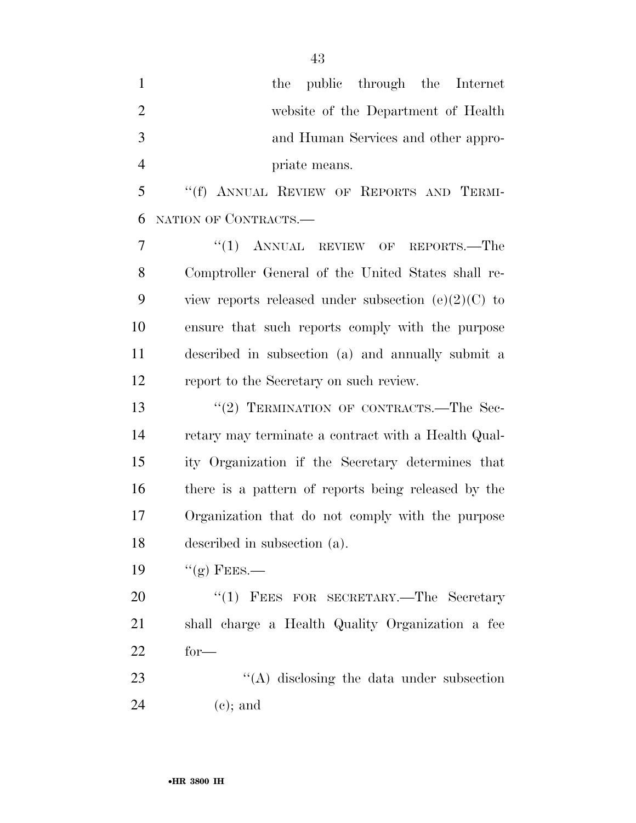| $\mathbf{1}$   | the public through the Internet                       |
|----------------|-------------------------------------------------------|
| $\overline{2}$ | website of the Department of Health                   |
| 3              | and Human Services and other appro-                   |
| $\overline{4}$ | priate means.                                         |
| 5              | "(f) ANNUAL REVIEW OF REPORTS AND TERMI-              |
| 6              | NATION OF CONTRACTS.-                                 |
| 7              | $"(1)$ ANNUAL REVIEW OF REPORTS.—The                  |
| 8              | Comptroller General of the United States shall re-    |
| 9              | view reports released under subsection $(e)(2)(C)$ to |
| 10             | ensure that such reports comply with the purpose      |
| 11             | described in subsection (a) and annually submit a     |
| 12             | report to the Secretary on such review.               |
| 13             | "(2) TERMINATION OF CONTRACTS.—The Sec-               |
| 14             | retary may terminate a contract with a Health Qual-   |
| 15             | ity Organization if the Secretary determines that     |
| 16             | there is a pattern of reports being released by the   |
| 17             | Organization that do not comply with the purpose      |
| 18             | described in subsection (a).                          |
| 19             | $\lq(2)$ FEES.—                                       |
| 20             | "(1) FEES FOR SECRETARY.—The Secretary                |
| 21             | shall charge a Health Quality Organization a fee      |
| 22             | $for-$                                                |
|                |                                                       |

23 ''(A) disclosing the data under subsection (c); and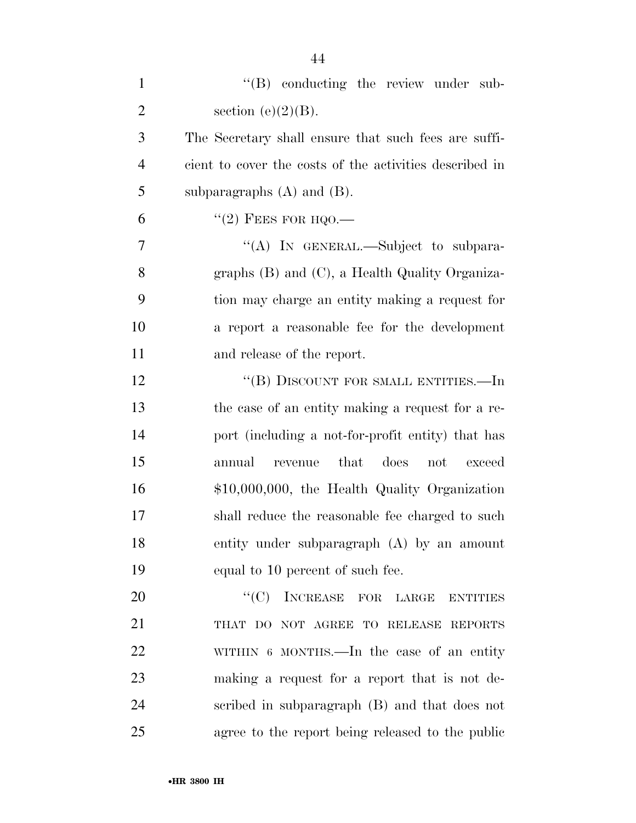| $\mathbf{1}$   | "(B) conducting the review under sub-                   |
|----------------|---------------------------------------------------------|
| $\overline{2}$ | section (e) $(2)(B)$ .                                  |
| 3              | The Secretary shall ensure that such fees are suffi-    |
| $\overline{4}$ | cient to cover the costs of the activities described in |
| 5              | subparagraphs $(A)$ and $(B)$ .                         |
| 6              | $\lq(2)$ FEES FOR HQO.—                                 |
| 7              | "(A) IN GENERAL.—Subject to subpara-                    |
| 8              | graphs $(B)$ and $(C)$ , a Health Quality Organiza-     |
| 9              | tion may charge an entity making a request for          |
| 10             | a report a reasonable fee for the development           |
| 11             | and release of the report.                              |
| 12             | "(B) DISCOUNT FOR SMALL ENTITIES.—In                    |
| 13             | the case of an entity making a request for a re-        |
| 14             | port (including a not-for-profit entity) that has       |
| 15             | revenue<br>that<br>does not<br>annual<br>exceed         |
| 16             | \$10,000,000, the Health Quality Organization           |
| 17             | shall reduce the reasonable fee charged to such         |
| 18             | entity under subparagraph (A) by an amount              |
| 19             | equal to 10 percent of such fee.                        |
| 20             | "(C) INCREASE FOR LARGE<br><b>ENTITIES</b>              |
| 21             | THAT DO NOT AGREE TO RELEASE REPORTS                    |
| 22             | WITHIN 6 MONTHS.—In the case of an entity               |
| 23             | making a request for a report that is not de-           |
| 24             | scribed in subparagraph (B) and that does not           |
| 25             | agree to the report being released to the public        |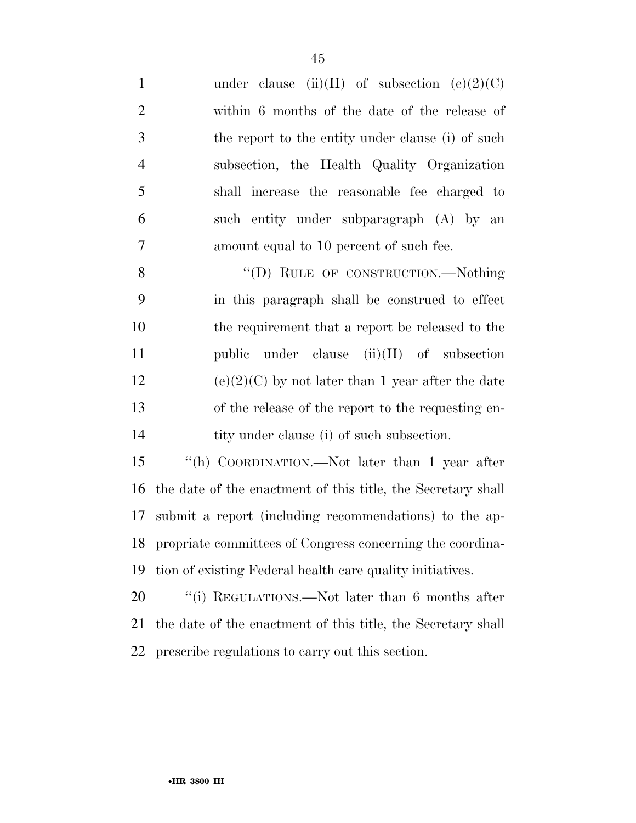1 under clause (ii)(II) of subsection  $(e)(2)(C)$  within 6 months of the date of the release of the report to the entity under clause (i) of such subsection, the Health Quality Organization shall increase the reasonable fee charged to such entity under subparagraph (A) by an amount equal to 10 percent of such fee. 8 "(D) RULE OF CONSTRUCTION.—Nothing in this paragraph shall be construed to effect the requirement that a report be released to the public under clause (ii)(II) of subsection 12 (e)(2)(C) by not later than 1 year after the date of the release of the report to the requesting en-14 tity under clause (i) of such subsection. ''(h) COORDINATION.—Not later than 1 year after the date of the enactment of this title, the Secretary shall submit a report (including recommendations) to the ap-

 propriate committees of Congress concerning the coordina-tion of existing Federal health care quality initiatives.

20 "(i) REGULATIONS.—Not later than 6 months after the date of the enactment of this title, the Secretary shall prescribe regulations to carry out this section.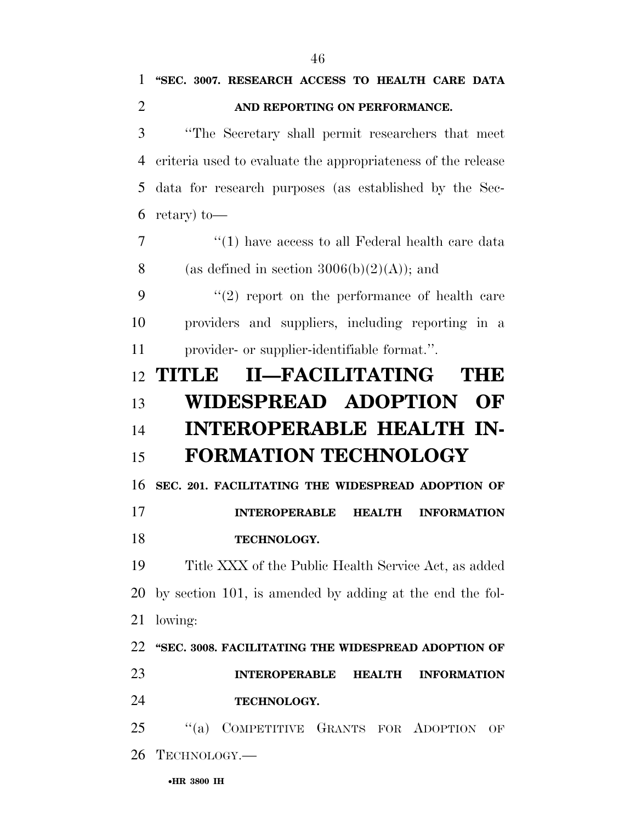| 1              | "SEC. 3007. RESEARCH ACCESS TO HEALTH CARE DATA              |
|----------------|--------------------------------------------------------------|
| $\overline{2}$ | AND REPORTING ON PERFORMANCE.                                |
| 3              | "The Secretary shall permit researchers that meet            |
| 4              | criteria used to evaluate the appropriateness of the release |
| 5              | data for research purposes (as established by the Sec-       |
| 6              | retary) to—                                                  |
| $\overline{7}$ | $\lq(1)$ have access to all Federal health care data         |
| 8              | (as defined in section $3006(b)(2)(A)$ ); and                |
| 9              | $(2)$ report on the performance of health care               |
| 10             | providers and suppliers, including reporting in a            |
| 11             | provider- or supplier-identifiable format.".                 |
| 12             | II-FACILITATING<br>TITLE<br>THE                              |
| 13             | <b>WIDESPREAD ADOPTION</b><br>OF                             |
|                |                                                              |
| 14             | <b>INTEROPERABLE HEALTH IN-</b>                              |
| 15             | <b>FORMATION TECHNOLOGY</b>                                  |
| 16             | SEC. 201. FACILITATING THE WIDESPREAD ADOPTION OF            |
| 17             | <b>INTEROPERABLE</b><br><b>HEALTH</b><br><b>INFORMATION</b>  |
| 18             | TECHNOLOGY.                                                  |
|                | Title XXX of the Public Health Service Act, as added         |
| 19<br>20       | by section 101, is amended by adding at the end the fol-     |
| 21             | lowing:                                                      |
| 22             | "SEC. 3008. FACILITATING THE WIDESPREAD ADOPTION OF          |
|                | <b>INTEROPERABLE</b><br><b>HEALTH</b><br><b>INFORMATION</b>  |
| 23<br>24       | TECHNOLOGY.                                                  |
| 25             | "(a) COMPETITIVE GRANTS FOR ADOPTION<br>OF                   |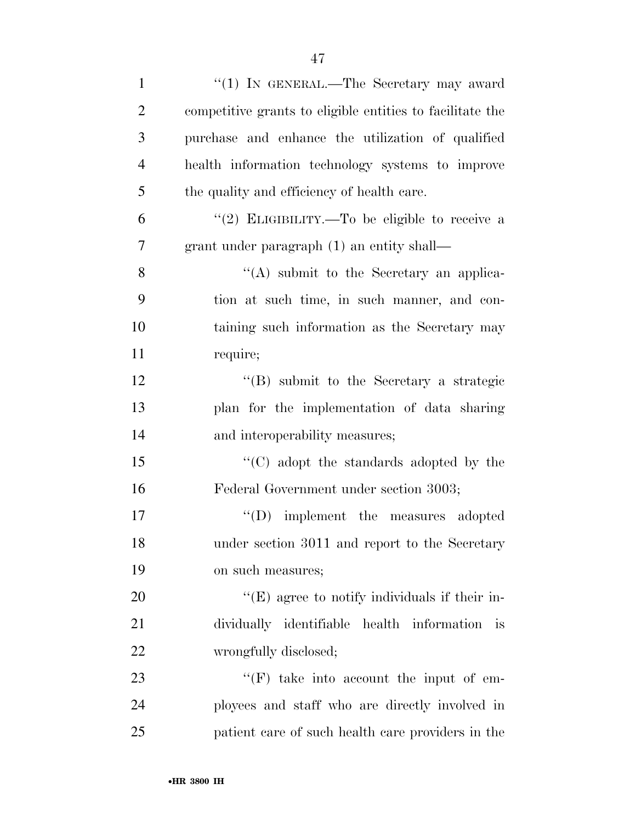| $\mathbf{1}$   | "(1) IN GENERAL.—The Secretary may award                  |
|----------------|-----------------------------------------------------------|
| $\overline{2}$ | competitive grants to eligible entities to facilitate the |
| 3              | purchase and enhance the utilization of qualified         |
| $\overline{4}$ | health information technology systems to improve          |
| 5              | the quality and efficiency of health care.                |
| 6              | "(2) ELIGIBILITY.—To be eligible to receive a             |
| $\overline{7}$ | grant under paragraph (1) an entity shall—                |
| 8              | $\lq\lq$ submit to the Secretary an applica-              |
| 9              | tion at such time, in such manner, and con-               |
| 10             | taining such information as the Secretary may             |
| 11             | require;                                                  |
| 12             | $\lq\lq (B)$ submit to the Secretary a strategic          |
| 13             | plan for the implementation of data sharing               |
| 14             | and interoperability measures;                            |
| 15             | "(C) adopt the standards adopted by the                   |
| 16             | Federal Government under section 3003;                    |
| 17             | "(D) implement the measures adopted                       |
| 18             | under section 3011 and report to the Secretary            |
| 19             | on such measures;                                         |
| 20             | $\lq\lq(E)$ agree to notify individuals if their in-      |
| 21             | dividually identifiable health information is             |
| 22             | wrongfully disclosed;                                     |
| 23             | $\lq\lq(F)$ take into account the input of em-            |
| 24             | ployees and staff who are directly involved in            |
| 25             | patient care of such health care providers in the         |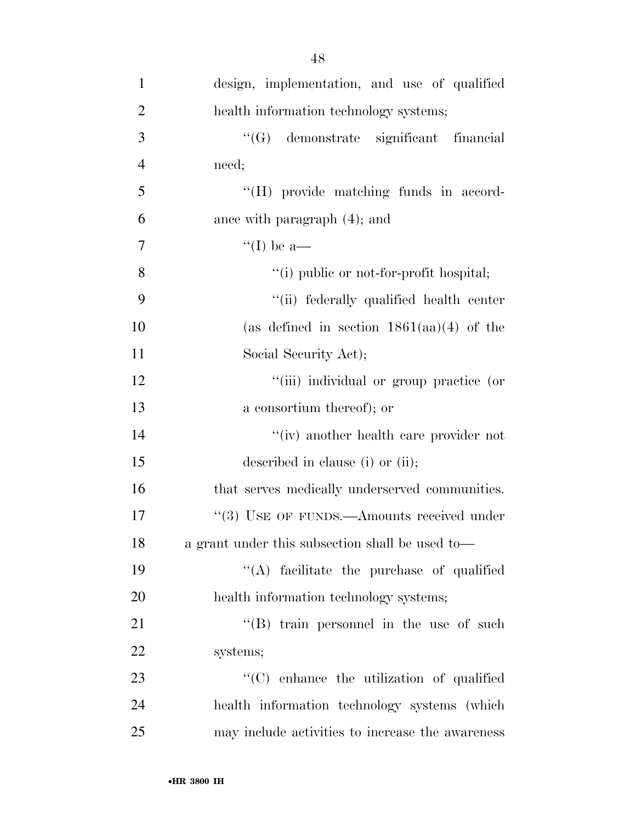| $\mathbf{1}$   | design, implementation, and use of qualified     |
|----------------|--------------------------------------------------|
| $\overline{2}$ | health information technology systems;           |
| 3              | "(G) demonstrate significant financial           |
| $\overline{4}$ | need;                                            |
| 5              | "(H) provide matching funds in accord-           |
| 6              | ance with paragraph (4); and                     |
| $\overline{7}$ | "(I) be a—                                       |
| 8              | "(i) public or not-for-profit hospital;          |
| 9              | "(ii) federally qualified health center          |
| 10             | (as defined in section $1861(aa)(4)$ of the      |
| 11             | Social Security Act);                            |
| 12             | "(iii) individual or group practice (or          |
| 13             | a consortium thereof); or                        |
| 14             | $``(iv)$ another health care provider not        |
| 15             | described in clause (i) or (ii);                 |
| 16             | that serves medically underserved communities.   |
| 17             | "(3) USE OF FUNDS.—Amounts received under        |
| 18             | a grant under this subsection shall be used to-  |
| 19             | "(A) facilitate the purchase of qualified        |
| 20             | health information technology systems;           |
| 21             | "(B) train personnel in the use of such          |
| 22             | systems;                                         |
| 23             | "(C) enhance the utilization of qualified        |
| 24             | health information technology systems (which     |
| 25             | may include activities to increase the awareness |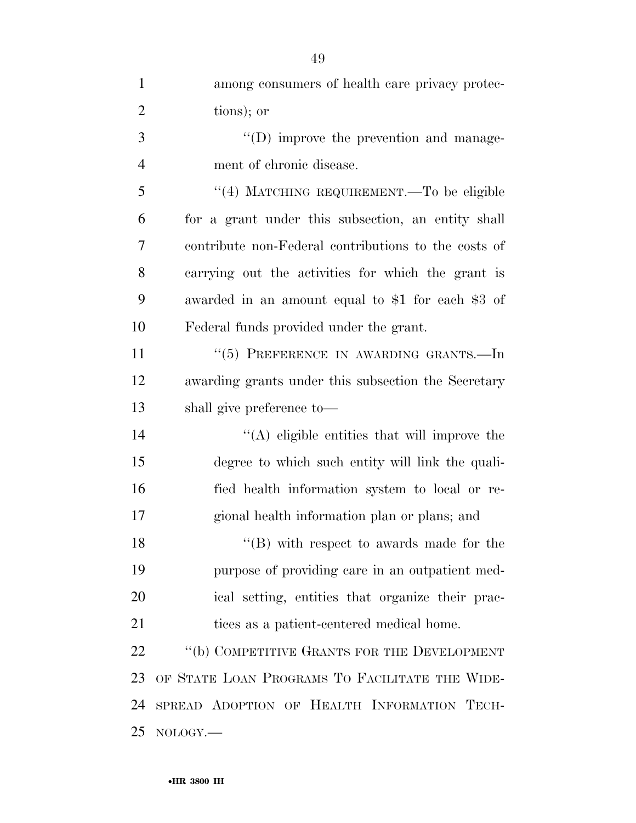| $\mathbf{1}$   | among consumers of health care privacy protec-       |
|----------------|------------------------------------------------------|
| $\overline{2}$ | tions); or                                           |
| 3              | $\lq\lq$ (D) improve the prevention and manage-      |
| $\overline{4}$ | ment of chronic disease.                             |
| 5              | "(4) MATCHING REQUIREMENT.—To be eligible            |
| 6              | for a grant under this subsection, an entity shall   |
| 7              | contribute non-Federal contributions to the costs of |
| 8              | carrying out the activities for which the grant is   |
| 9              | awarded in an amount equal to \$1 for each \$3 of    |
| 10             | Federal funds provided under the grant.              |
| 11             | "(5) PREFERENCE IN AWARDING GRANTS.-In               |
| 12             | awarding grants under this subsection the Secretary  |
| 13             | shall give preference to—                            |
| 14             | $\lq\lq$ eligible entities that will improve the     |
| 15             | degree to which such entity will link the quali-     |
| 16             | fied health information system to local or re-       |
| 17             | gional health information plan or plans; and         |
| 18             | $\lq\lq$ with respect to awards made for the         |
| 19             | purpose of providing care in an outpatient med-      |
| 20             | ical setting, entities that organize their prac-     |
| 21             | tices as a patient-centered medical home.            |
| 22             | "(b) COMPETITIVE GRANTS FOR THE DEVELOPMENT          |
| 23             | OF STATE LOAN PROGRAMS TO FACILITATE THE WIDE-       |
| 24             | SPREAD ADOPTION OF HEALTH INFORMATION TECH-          |
| 25             | NOLOGY.                                              |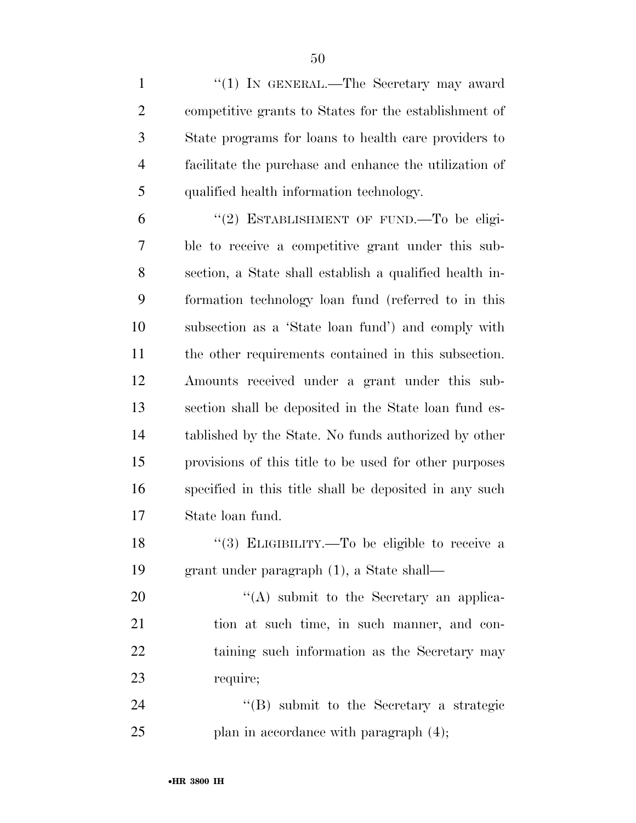1 "(1) IN GENERAL.—The Secretary may award competitive grants to States for the establishment of State programs for loans to health care providers to facilitate the purchase and enhance the utilization of qualified health information technology.

6 "(2) ESTABLISHMENT OF FUND.—To be eligi- ble to receive a competitive grant under this sub- section, a State shall establish a qualified health in- formation technology loan fund (referred to in this subsection as a 'State loan fund') and comply with the other requirements contained in this subsection. Amounts received under a grant under this sub- section shall be deposited in the State loan fund es- tablished by the State. No funds authorized by other provisions of this title to be used for other purposes specified in this title shall be deposited in any such State loan fund.

18 "(3) ELIGIBILITY.—To be eligible to receive a grant under paragraph (1), a State shall—

 $\langle (A)$  submit to the Secretary an applica- tion at such time, in such manner, and con-22 taining such information as the Secretary may require;

 ''(B) submit to the Secretary a strategic 25 plan in accordance with paragraph  $(4)$ ;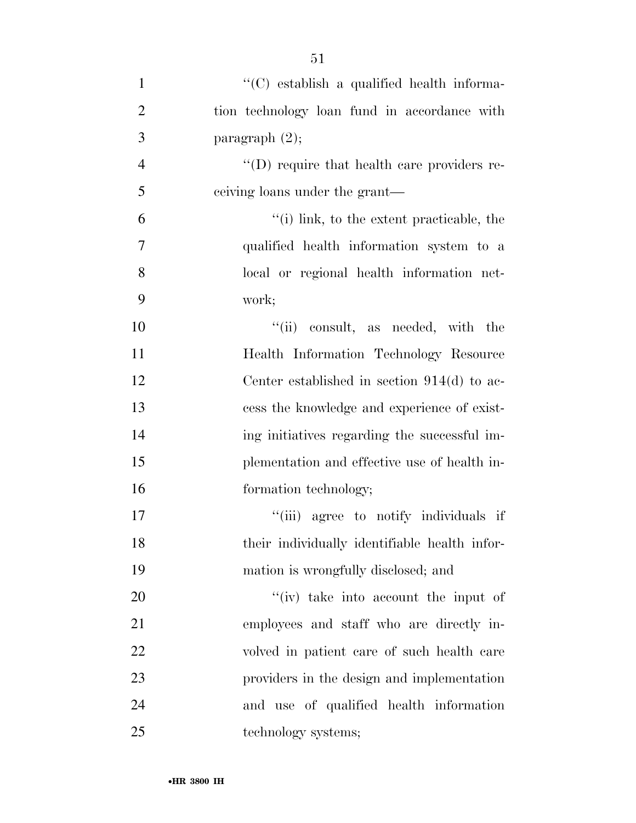| $\mathbf{1}$   | "(C) establish a qualified health informa-    |
|----------------|-----------------------------------------------|
| $\overline{2}$ | tion technology loan fund in accordance with  |
| 3              | paragraph $(2)$ ;                             |
| $\overline{4}$ | "(D) require that health care providers re-   |
| 5              | eeiving loans under the grant—                |
| 6              | "(i) link, to the extent practicable, the     |
| 7              | qualified health information system to a      |
| 8              | local or regional health information net-     |
| 9              | work;                                         |
| 10             | "(ii) consult, as needed, with the            |
| 11             | Health Information Technology Resource        |
| 12             | Center established in section $914(d)$ to ac- |
| 13             | cess the knowledge and experience of exist-   |
| 14             | ing initiatives regarding the successful im-  |
| 15             | plementation and effective use of health in-  |
| 16             | formation technology;                         |
| 17             | "(iii) agree to notify individuals if         |
| 18             | their individually identifiable health infor- |
| 19             | mation is wrongfully disclosed; and           |
| 20             | $f'(iv)$ take into account the input of       |
| 21             | employees and staff who are directly in-      |
| 22             | volved in patient care of such health care    |
| 23             | providers in the design and implementation    |
| 24             | and use of qualified health information       |
| 25             | technology systems;                           |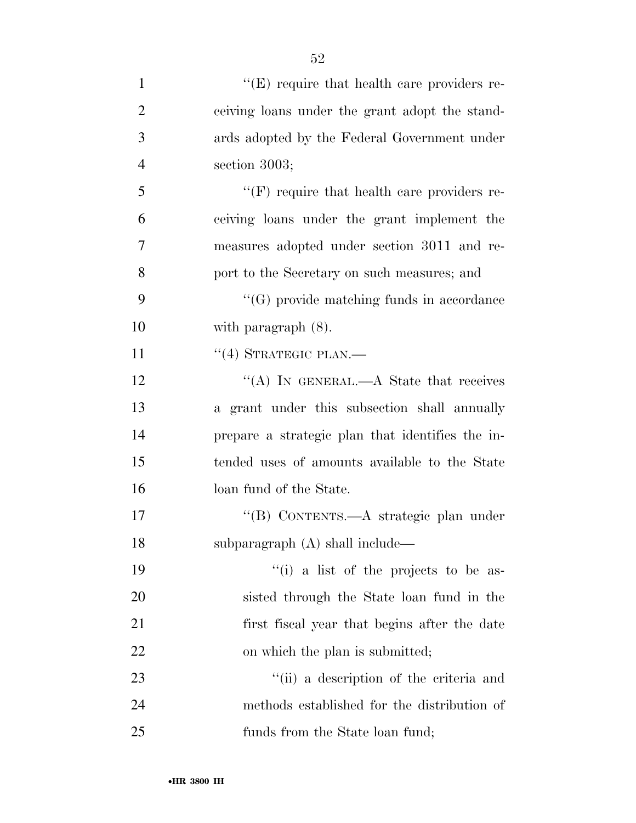| $\mathbf{1}$   | $\lq\lq(E)$ require that health care providers re- |
|----------------|----------------------------------------------------|
| $\overline{2}$ | ceiving loans under the grant adopt the stand-     |
| 3              | ards adopted by the Federal Government under       |
| $\overline{4}$ | section 3003;                                      |
| 5              | $\lq\lq(F)$ require that health care providers re- |
| 6              | ceiving loans under the grant implement the        |
| 7              | measures adopted under section 3011 and re-        |
| 8              | port to the Secretary on such measures; and        |
| 9              | $\lq\lq(G)$ provide matching funds in accordance   |
| 10             | with paragraph $(8)$ .                             |
| 11             | $``(4)$ STRATEGIC PLAN.—                           |
| 12             | "(A) IN GENERAL.—A State that receives             |
| 13             | a grant under this subsection shall annually       |
| 14             | prepare a strategic plan that identifies the in-   |
| 15             | tended uses of amounts available to the State      |
| 16             | loan fund of the State.                            |
| 17             | "(B) CONTENTS.—A strategic plan under              |
| 18             | subparagraph (A) shall include—                    |
| 19             | "(i) a list of the projects to be as-              |
| 20             | sisted through the State loan fund in the          |
| 21             | first fiscal year that begins after the date       |
| <u>22</u>      | on which the plan is submitted;                    |
| 23             | "(ii) a description of the criteria and            |
| 24             | methods established for the distribution of        |
| 25             | funds from the State loan fund;                    |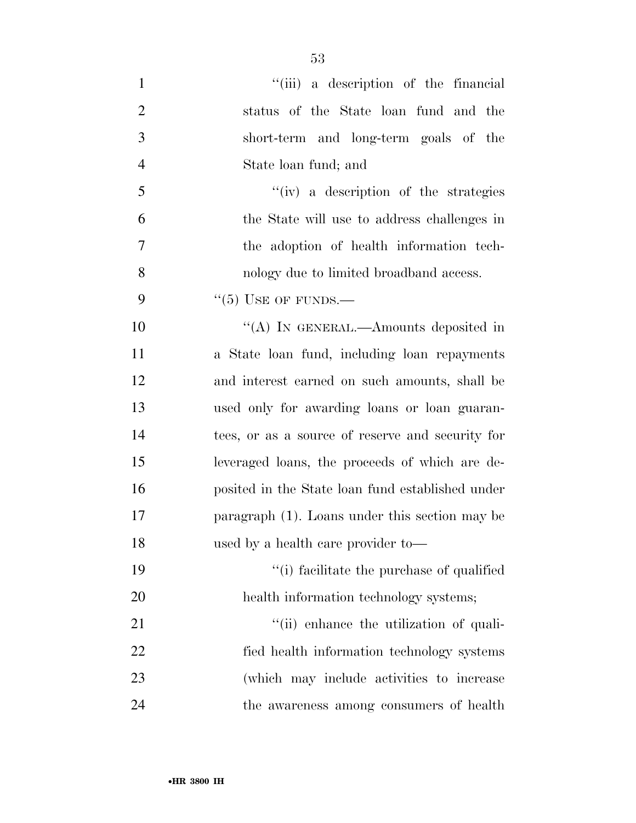| $\mathbf{1}$   | "(iii) a description of the financial            |
|----------------|--------------------------------------------------|
| $\overline{2}$ | status of the State loan fund and the            |
| 3              | short-term and long-term goals of the            |
| $\overline{4}$ | State loan fund; and                             |
| 5              | "(iv) a description of the strategies            |
| 6              | the State will use to address challenges in      |
| 7              | the adoption of health information tech-         |
| 8              | nology due to limited broadband access.          |
| 9              | $``(5)$ USE OF FUNDS.—                           |
| 10             | "(A) IN GENERAL.—Amounts deposited in            |
| 11             | a State loan fund, including loan repayments     |
| 12             | and interest earned on such amounts, shall be    |
| 13             | used only for awarding loans or loan guaran-     |
| 14             | tees, or as a source of reserve and security for |
| 15             | leveraged loans, the proceeds of which are de-   |
| 16             | posited in the State loan fund established under |
| 17             | paragraph (1). Loans under this section may be   |
| 18             | used by a health care provider to—               |
| 19             | "(i) facilitate the purchase of qualified        |
| 20             | health information technology systems;           |
| 21             | "(ii) enhance the utilization of quali-          |
| 22             | fied health information technology systems       |
| 23             | (which may include activities to increase        |
| 24             | the awareness among consumers of health          |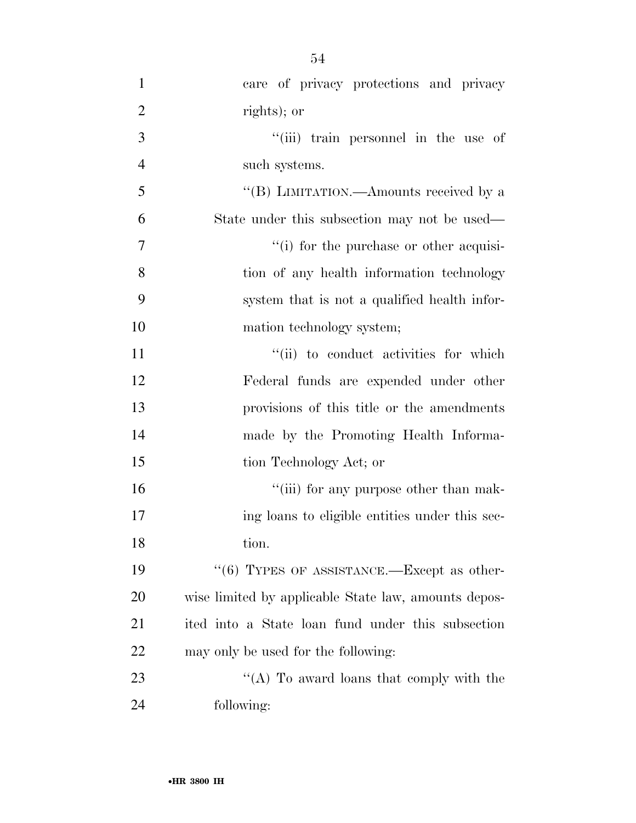| $\mathbf{1}$   | care of privacy protections and privacy                |
|----------------|--------------------------------------------------------|
| $\overline{2}$ | rights); or                                            |
| 3              | "(iii) train personnel in the use of                   |
| $\overline{4}$ | such systems.                                          |
| 5              | "(B) LIMITATION.—Amounts received by a                 |
| 6              | State under this subsection may not be used—           |
| $\overline{7}$ | "(i) for the purchase or other acquisi-                |
| 8              | tion of any health information technology              |
| 9              | system that is not a qualified health infor-           |
| 10             | mation technology system;                              |
| 11             | "(ii) to conduct activities for which                  |
| 12             | Federal funds are expended under other                 |
| 13             | provisions of this title or the amendments             |
| 14             | made by the Promoting Health Informa-                  |
| 15             | tion Technology Act; or                                |
| 16             | "(iii) for any purpose other than mak-                 |
| 17             | ing loans to eligible entities under this sec-         |
| 18             | tion.                                                  |
| 19             | $\cdot\cdot$ (6) TYPES OF ASSISTANCE.—Except as other- |
| 20             | wise limited by applicable State law, amounts depos-   |
| 21             | ited into a State loan fund under this subsection      |
| 22             | may only be used for the following:                    |
| 23             | "(A) To award loans that comply with the               |
| 24             | following:                                             |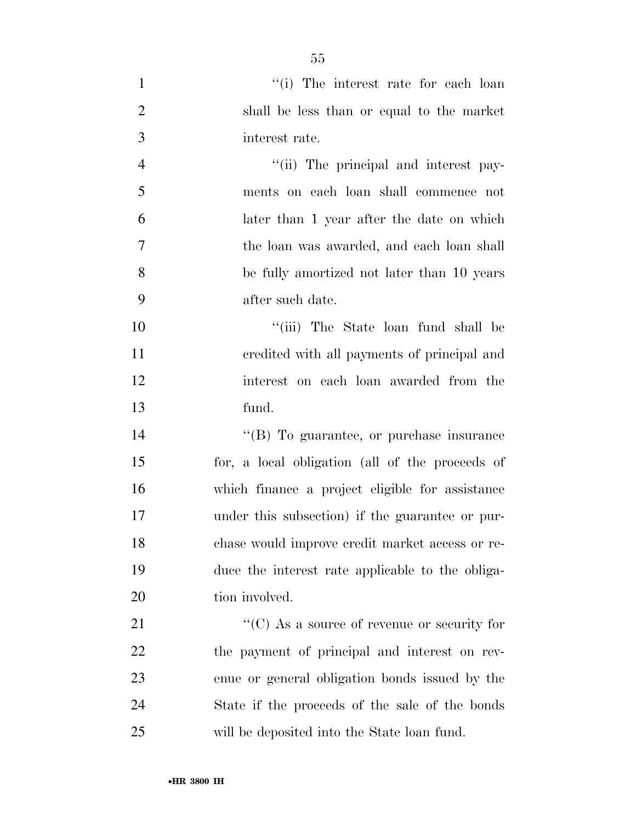| $\mathbf{1}$   | "(i) The interest rate for each loan                |
|----------------|-----------------------------------------------------|
| $\overline{2}$ | shall be less than or equal to the market           |
| 3              | interest rate.                                      |
| $\overline{4}$ | "(ii) The principal and interest pay-               |
| 5              | ments on each loan shall commence not               |
| 6              | later than 1 year after the date on which           |
| $\tau$         | the loan was awarded, and each loan shall           |
| 8              | be fully amortized not later than 10 years          |
| 9              | after such date.                                    |
| 10             | "(iii) The State loan fund shall be                 |
| 11             | credited with all payments of principal and         |
| 12             | interest on each loan awarded from the              |
| 13             | fund.                                               |
| 14             | "(B) To guarantee, or purchase insurance            |
| 15             | for, a local obligation (all of the proceeds of     |
| 16             | which finance a project eligible for assistance     |
| 17             | under this subsection) if the guarantee or pur-     |
| 18             | chase would improve credit market access or re-     |
| 19             | duce the interest rate applicable to the obliga-    |
| 20             | tion involved.                                      |
| 21             | $\lq\lq$ (C) As a source of revenue or security for |
| 22             | the payment of principal and interest on rev-       |
| 23             | enue or general obligation bonds issued by the      |
| 24             | State if the proceeds of the sale of the bonds      |
| 25             | will be deposited into the State loan fund.         |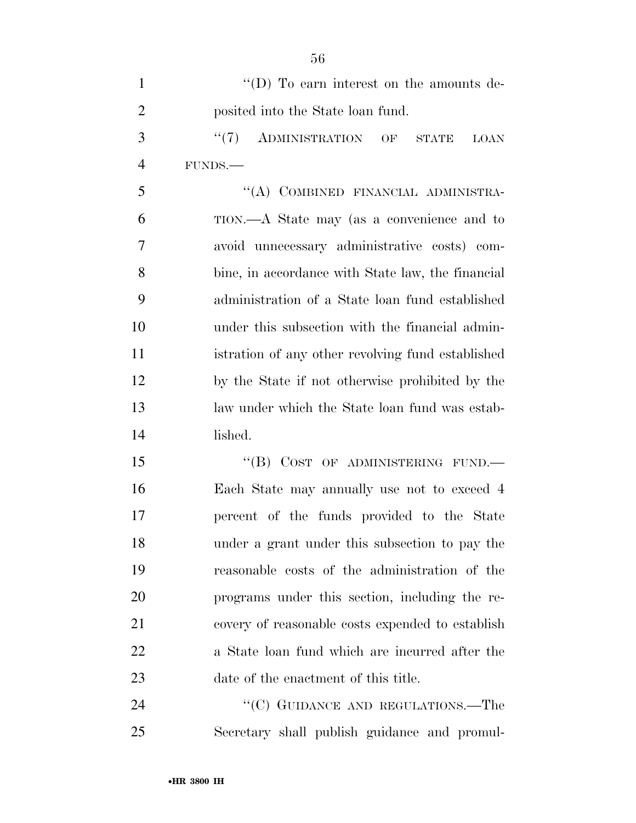| 1              | $\lq\lq$ (D) To earn interest on the amounts de-      |
|----------------|-------------------------------------------------------|
| $\overline{2}$ | posited into the State loan fund.                     |
| 3              | "(7) ADMINISTRATION OF<br><b>STATE</b><br><b>LOAN</b> |
| $\overline{4}$ | FUNDS.-                                               |
| 5              | "(A) COMBINED FINANCIAL ADMINISTRA-                   |
| 6              | TION.—A State may (as a convenience and to            |
| 7              | avoid unnecessary administrative costs) com-          |
| 8              | bine, in accordance with State law, the financial     |
| 9              | administration of a State loan fund established       |
| 10             | under this subsection with the financial admin-       |
| 11             | istration of any other revolving fund established     |
| 12             | by the State if not otherwise prohibited by the       |
| 13             | law under which the State loan fund was estab-        |
| 14             | lished.                                               |
| 15             | "(B) COST OF ADMINISTERING FUND.—                     |
| 16             | Each State may annually use not to exceed 4           |
| 17             | percent of the funds provided to the State            |
| 18             | under a grant under this subsection to pay the        |
| 19             | reasonable costs of the administration of the         |
| 20             | programs under this section, including the re-        |
| 21             | covery of reasonable costs expended to establish      |
| 22             | a State loan fund which are incurred after the        |
| 23             | date of the enactment of this title.                  |
| 24             | "(C) GUIDANCE AND REGULATIONS.—The                    |
| 25             | Secretary shall publish guidance and promul-          |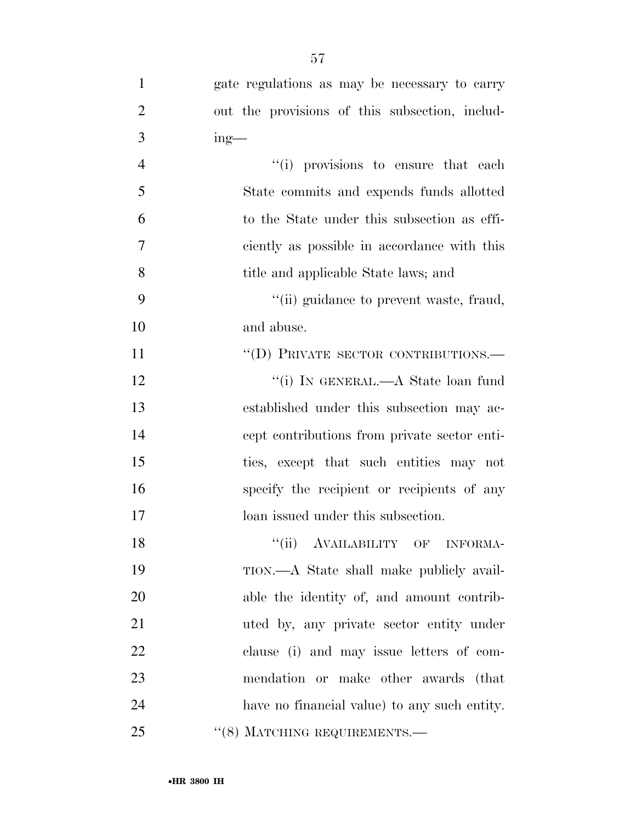| $\mathbf{1}$   | gate regulations as may be necessary to carry  |
|----------------|------------------------------------------------|
| $\overline{2}$ | out the provisions of this subsection, includ- |
| 3              | $ing$ —                                        |
| $\overline{4}$ | "(i) provisions to ensure that each            |
| 5              | State commits and expends funds allotted       |
| 6              | to the State under this subsection as effi-    |
| 7              | ciently as possible in accordance with this    |
| 8              | title and applicable State laws; and           |
| 9              | "(ii) guidance to prevent waste, fraud,        |
| 10             | and abuse.                                     |
| 11             | "(D) PRIVATE SECTOR CONTRIBUTIONS.—            |
| 12             | "(i) IN GENERAL.—A State loan fund             |
| 13             | established under this subsection may ac-      |
| 14             | cept contributions from private sector enti-   |
| 15             | ties, except that such entities may not        |
| 16             | specify the recipient or recipients of any     |
| 17             | loan issued under this subsection.             |
| 18             | ``(ii)<br>AVAILABILITY OF INFORMA-             |
| 19             | TION.—A State shall make publicly avail-       |
| 20             | able the identity of, and amount contrib-      |
| 21             | uted by, any private sector entity under       |
| 22             | clause (i) and may issue letters of com-       |
| 23             | mendation or make other awards (that           |
| 24             | have no financial value) to any such entity.   |
| 25             | $``(8)$ MATCHING REQUIREMENTS.—                |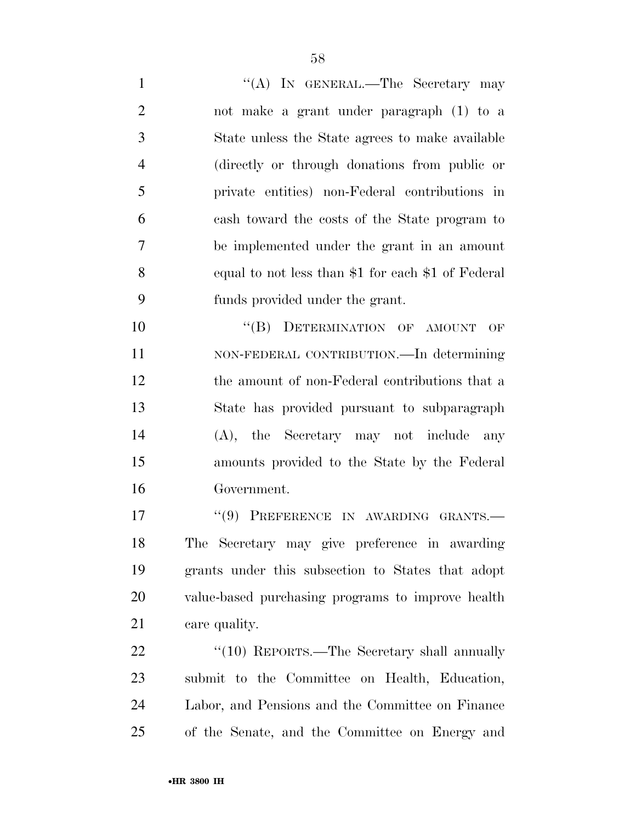1 ''(A) IN GENERAL.—The Secretary may not make a grant under paragraph (1) to a State unless the State agrees to make available (directly or through donations from public or private entities) non-Federal contributions in cash toward the costs of the State program to be implemented under the grant in an amount equal to not less than \$1 for each \$1 of Federal funds provided under the grant.

10 "(B) DETERMINATION OF AMOUNT OF NON-FEDERAL CONTRIBUTION.—In determining the amount of non-Federal contributions that a State has provided pursuant to subparagraph (A), the Secretary may not include any amounts provided to the State by the Federal Government.

17 "(9) PREFERENCE IN AWARDING GRANTS. The Secretary may give preference in awarding grants under this subsection to States that adopt value-based purchasing programs to improve health care quality.

22 "(10) REPORTS.—The Secretary shall annually submit to the Committee on Health, Education, Labor, and Pensions and the Committee on Finance of the Senate, and the Committee on Energy and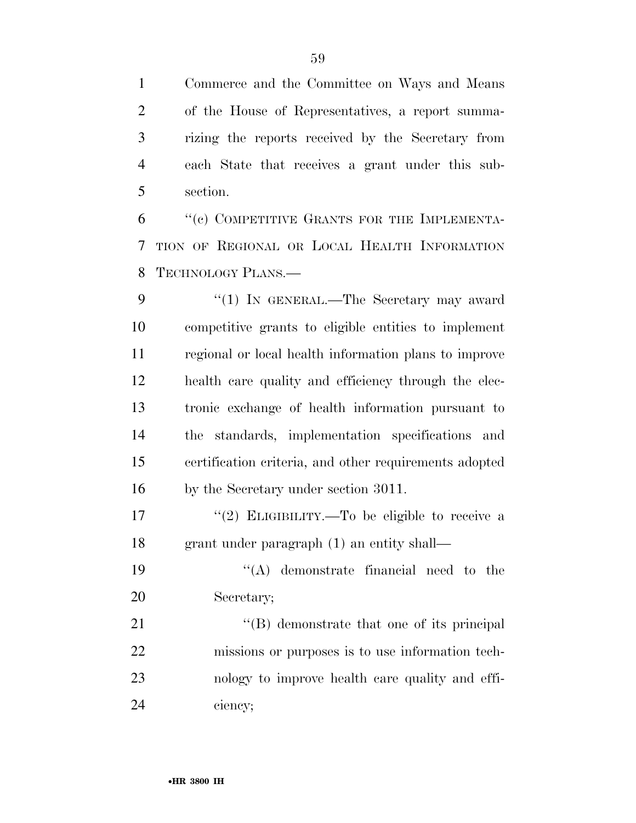Commerce and the Committee on Ways and Means of the House of Representatives, a report summa- rizing the reports received by the Secretary from each State that receives a grant under this sub-section.

 ''(c) COMPETITIVE GRANTS FOR THE IMPLEMENTA- TION OF REGIONAL OR LOCAL HEALTH INFORMATION TECHNOLOGY PLANS.—

9 "(1) In GENERAL.—The Secretary may award competitive grants to eligible entities to implement regional or local health information plans to improve health care quality and efficiency through the elec- tronic exchange of health information pursuant to the standards, implementation specifications and certification criteria, and other requirements adopted by the Secretary under section 3011.

17  $(2)$  ELIGIBILITY.—To be eligible to receive a grant under paragraph (1) an entity shall—

 ''(A) demonstrate financial need to the Secretary;

21 ''(B) demonstrate that one of its principal missions or purposes is to use information tech- nology to improve health care quality and effi-ciency;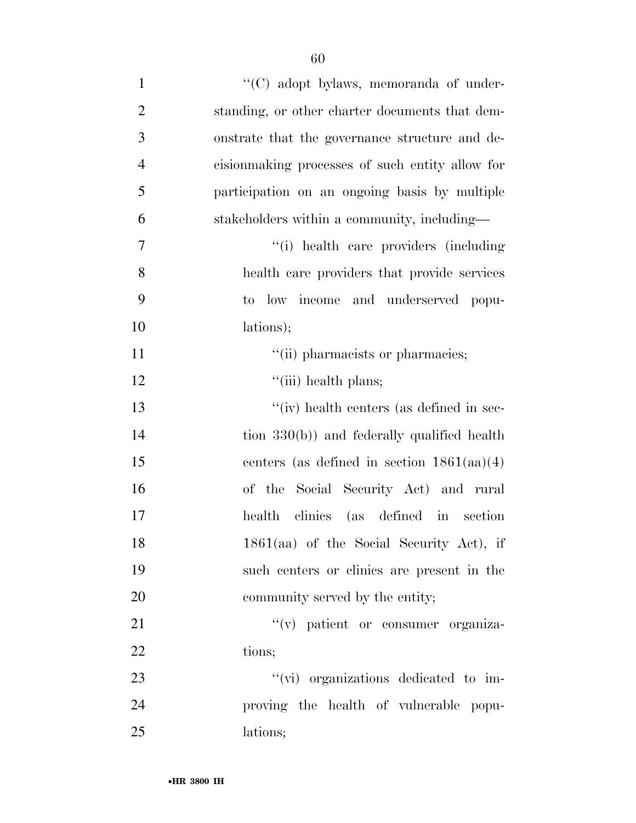| $\mathbf{1}$   | "(C) adopt bylaws, memoranda of under-           |
|----------------|--------------------------------------------------|
| $\overline{2}$ | standing, or other charter documents that dem-   |
| 3              | onstrate that the governance structure and de-   |
| $\overline{4}$ | cision making processes of such entity allow for |
| 5              | participation on an ongoing basis by multiple    |
| 6              | stakeholders within a community, including—      |
| $\overline{7}$ | "(i) health care providers (including            |
| 8              | health care providers that provide services      |
| 9              | low income and underserved popu-<br>to           |
| 10             | lations);                                        |
| 11             | "(ii) pharmacists or pharmacies;                 |
| 12             | $``(iii)$ health plans;                          |
| 13             | "(iv) health centers (as defined in sec-         |
| 14             | tion $330(b)$ ) and federally qualified health   |
| 15             | centers (as defined in section $1861(aa)(4)$ )   |
| 16             | of the Social Security Act) and rural            |
| 17             | health clinics (as defined in section            |
| 18             | 1861(aa) of the Social Security Act), if         |
| 19             | such centers or clinics are present in the       |
| 20             | community served by the entity;                  |
| 21             | $f'(v)$ patient or consumer organiza-            |
| 22             | tions;                                           |
| 23             | "(vi) organizations dedicated to im-             |
| 24             | proving the health of vulnerable popu-           |
| 25             | lations;                                         |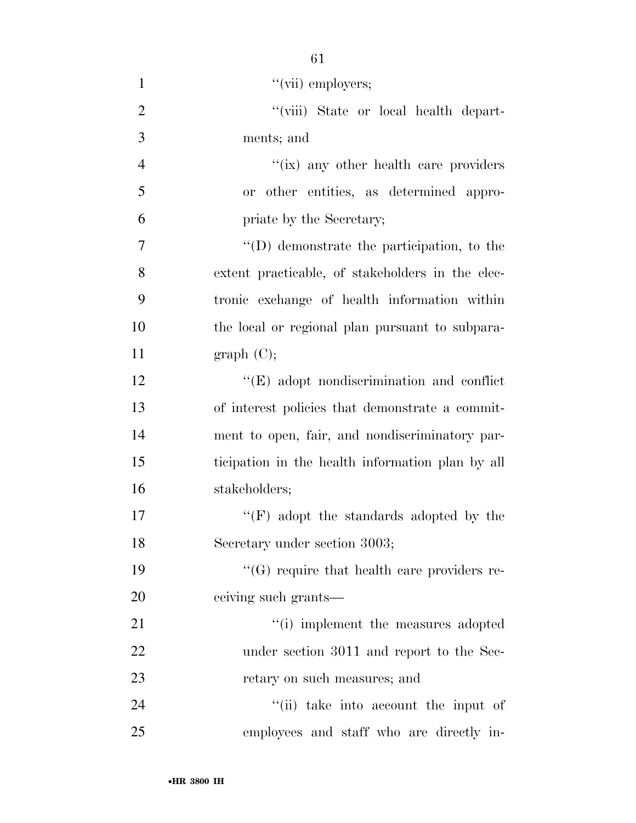| $\mathbf{1}$   | " $(vii)$ employers;                              |
|----------------|---------------------------------------------------|
| $\overline{2}$ | "(viii) State or local health depart-             |
| 3              | ments; and                                        |
| $\overline{4}$ | "(ix) any other health care providers             |
| 5              | or other entities, as determined appro-           |
| 6              | priate by the Secretary;                          |
| 7              | "(D) demonstrate the participation, to the        |
| 8              | extent practicable, of stakeholders in the elec-  |
| 9              | tronic exchange of health information within      |
| 10             | the local or regional plan pursuant to subpara-   |
| 11             | graph(C);                                         |
| 12             | $\lq\lq$ (E) adopt nondiscrimination and conflict |
| 13             | of interest policies that demonstrate a commit-   |
| 14             | ment to open, fair, and nondiscriminatory par-    |
| 15             | ticipation in the health information plan by all  |
| 16             | stakeholders;                                     |
| 17             | "(F) adopt the standards adopted by the           |
| 18             | Secretary under section 3003;                     |
| 19             | "(G) require that health care providers re-       |
| 20             | ceiving such grants—                              |
| 21             | "(i) implement the measures adopted               |
| 22             | under section 3011 and report to the Sec-         |
| 23             | retary on such measures; and                      |
| 24             | "(ii) take into account the input of              |
| 25             | employees and staff who are directly in-          |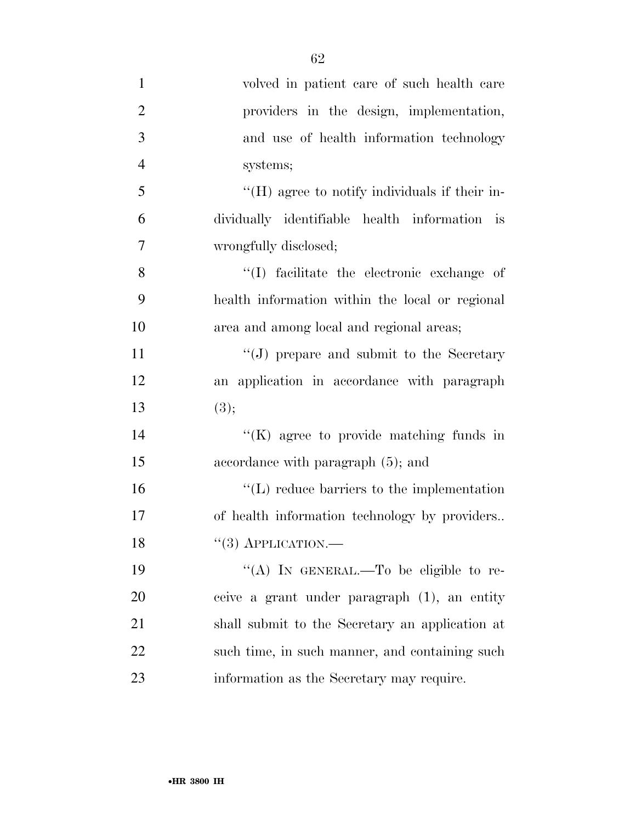| $\mathbf{1}$   | volved in patient care of such health care             |
|----------------|--------------------------------------------------------|
| $\overline{2}$ | providers in the design, implementation,               |
| 3              | and use of health information technology               |
| $\overline{4}$ | systems;                                               |
| 5              | $\rm{``(H)}$ agree to notify individuals if their in-  |
| 6              | dividually identifiable health information is          |
| $\tau$         | wrongfully disclosed;                                  |
| 8              | "(I) facilitate the electronic exchange of             |
| 9              | health information within the local or regional        |
| 10             | area and among local and regional areas;               |
| 11             | $\lq\lq(J)$ prepare and submit to the Secretary        |
| 12             | an application in accordance with paragraph            |
| 13             | (3);                                                   |
| 14             | $\lq\lq(K)$ agree to provide matching funds in         |
| 15             | accordance with paragraph (5); and                     |
| 16             | $\lq\lq$ . The vector contriered to the implementation |
| 17             | of health information technology by providers          |
| 18             | $``(3)$ APPLICATION.—                                  |
| 19             | "(A) IN GENERAL.—To be eligible to re-                 |
| 20             | ceive a grant under paragraph (1), an entity           |
| 21             | shall submit to the Secretary an application at        |
| 22             | such time, in such manner, and containing such         |
| 23             | information as the Secretary may require.              |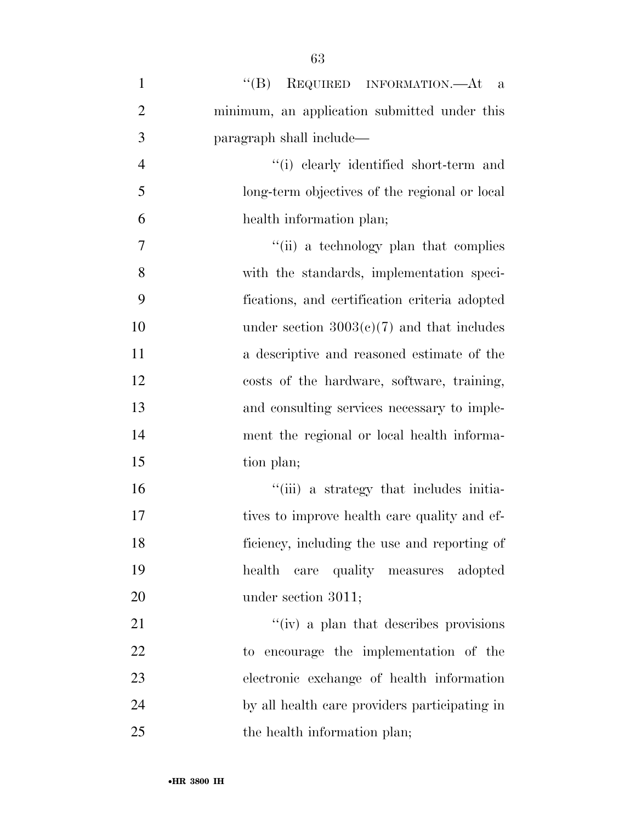| $\mathbf{1}$   | $\lq\lq (B)$<br>REQUIRED INFORMATION.—At a    |
|----------------|-----------------------------------------------|
| $\overline{2}$ | minimum, an application submitted under this  |
| 3              | paragraph shall include—                      |
| $\overline{4}$ | "(i) clearly identified short-term and        |
| 5              | long-term objectives of the regional or local |
| 6              | health information plan;                      |
| 7              | "(ii) a technology plan that complies         |
| 8              | with the standards, implementation speci-     |
| 9              | fications, and certification criteria adopted |
| 10             | under section $3003(c)(7)$ and that includes  |
| 11             | a descriptive and reasoned estimate of the    |
| 12             | costs of the hardware, software, training,    |
| 13             | and consulting services necessary to imple-   |
| 14             | ment the regional or local health informa-    |
| 15             | tion plan;                                    |
| 16             | "(iii) a strategy that includes initia-       |
| 17             | tives to improve health care quality and ef-  |
| 18             | ficiency, including the use and reporting of  |
| 19             | care quality measures adopted<br>health       |
| 20             | under section 3011;                           |
| 21             | "(iv) a plan that describes provisions        |
| 22             | to encourage the implementation of the        |
| 23             | electronic exchange of health information     |
| 24             | by all health care providers participating in |
| 25             | the health information plan;                  |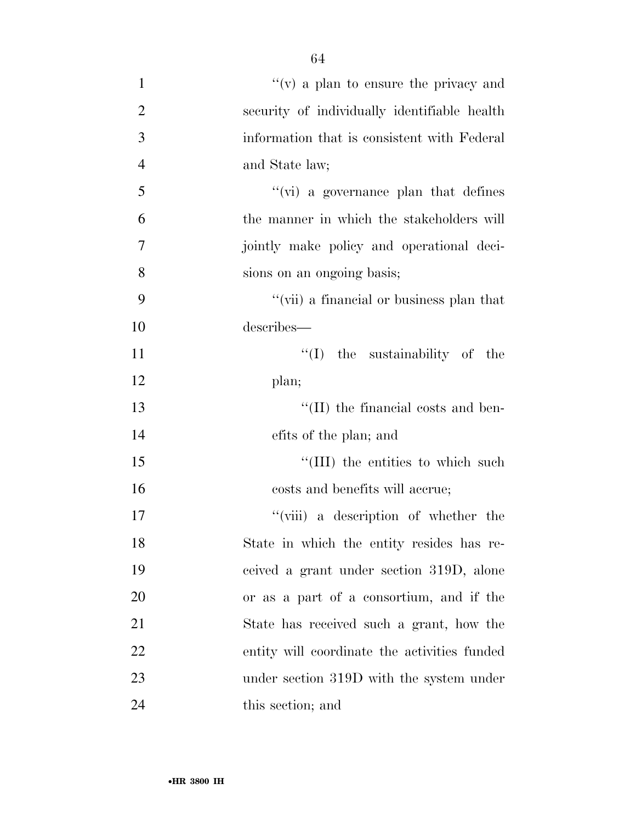$''(v)$  a plan to ensure the privacy and security of individually identifiable health information that is consistent with Federal and State law; 5 ''(vi) a governance plan that defines the manner in which the stakeholders will jointly make policy and operational deci- sions on an ongoing basis; ''(vii) a financial or business plan that describes—  $\text{``(I)}$  the sustainability of the 12 plan;  $\text{``(II)}$  the financial costs and ben- efits of the plan; and  $\frac{15}{15}$  The entities to which such 16 costs and benefits will accrue; 17 ''(viii) a description of whether the State in which the entity resides has re- ceived a grant under section 319D, alone or as a part of a consortium, and if the State has received such a grant, how the entity will coordinate the activities funded 23 under section 319D with the system under this section; and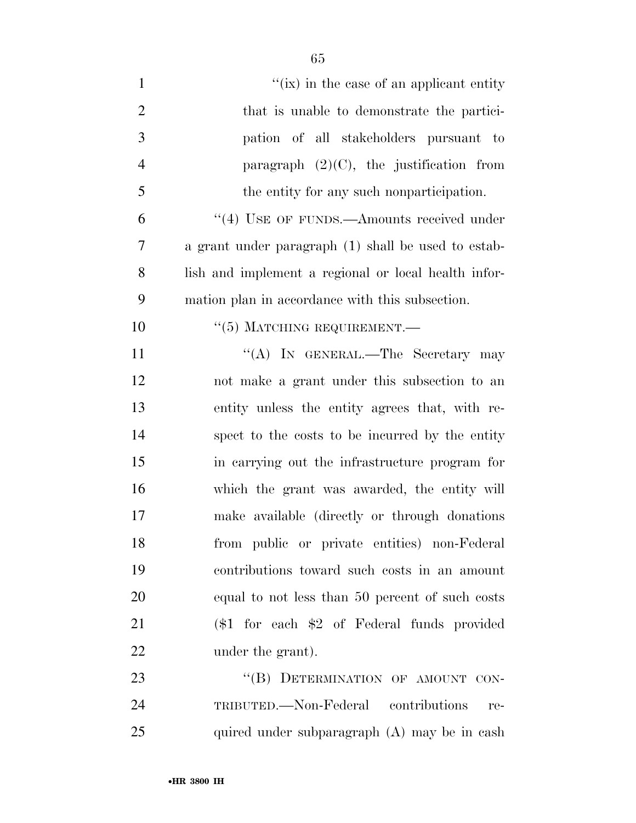| $\mathbf{1}$   | "(ix) in the case of an applicant entity             |
|----------------|------------------------------------------------------|
| $\overline{2}$ | that is unable to demonstrate the partici-           |
| 3              | pation of all stakeholders pursuant to               |
| $\overline{4}$ | paragraph $(2)(C)$ , the justification from          |
| 5              | the entity for any such nonparticipation.            |
| 6              | "(4) USE OF FUNDS.—Amounts received under            |
| 7              | a grant under paragraph (1) shall be used to estab-  |
| 8              | lish and implement a regional or local health infor- |
| 9              | mation plan in accordance with this subsection.      |
| 10             | $``(5)$ MATCHING REQUIREMENT.                        |
| 11             | "(A) IN GENERAL.—The Secretary may                   |
| 12             | not make a grant under this subsection to an         |
| 13             | entity unless the entity agrees that, with re-       |
| 14             | spect to the costs to be incurred by the entity      |
| 15             | in carrying out the infrastructure program for       |
| 16             | which the grant was awarded, the entity will         |
| 17             | make available (directly or through donations)       |
| 18             | from public or private entities) non-Federal         |
| 19             | contributions toward such costs in an amount         |
| 20             | equal to not less than 50 percent of such costs      |
| 21             | $($1$ for each $$2$ of Federal funds provided        |
| 22             | under the grant).                                    |
| 23             | "(B) DETERMINATION OF AMOUNT CON-                    |
| 24             | TRIBUTED.—Non-Federal contributions<br>re-           |
| 25             | quired under subparagraph (A) may be in cash         |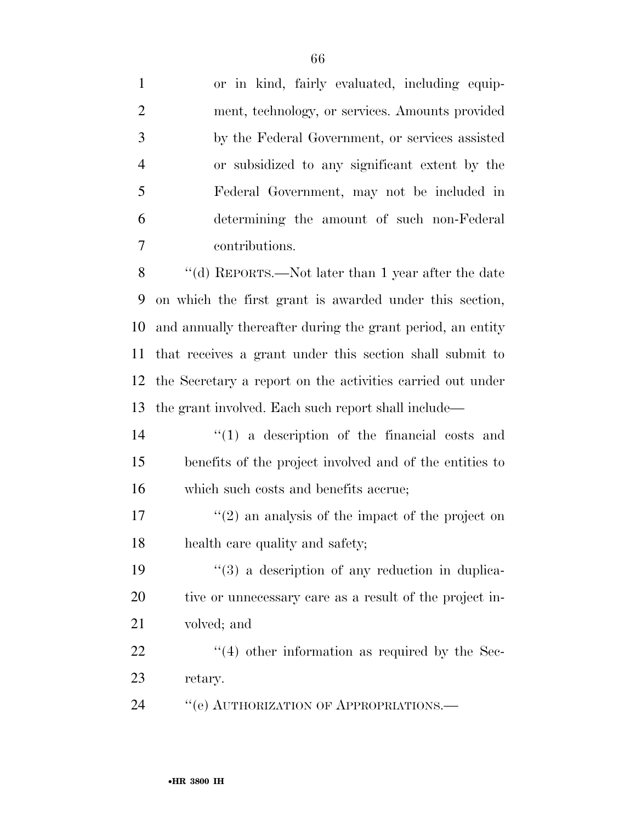or in kind, fairly evaluated, including equip- ment, technology, or services. Amounts provided by the Federal Government, or services assisted or subsidized to any significant extent by the Federal Government, may not be included in determining the amount of such non-Federal contributions. ''(d) REPORTS.—Not later than 1 year after the date on which the first grant is awarded under this section, and annually thereafter during the grant period, an entity that receives a grant under this section shall submit to the Secretary a report on the activities carried out under the grant involved. Each such report shall include— ''(1) a description of the financial costs and benefits of the project involved and of the entities to which such costs and benefits accrue;  $\binom{17}{2}$  an analysis of the impact of the project on health care quality and safety;  $(3)$  a description of any reduction in duplica- tive or unnecessary care as a result of the project in- volved; and  $\frac{1}{22}$  ''(4) other information as required by the Sec- retary. 24 "(e) AUTHORIZATION OF APPROPRIATIONS.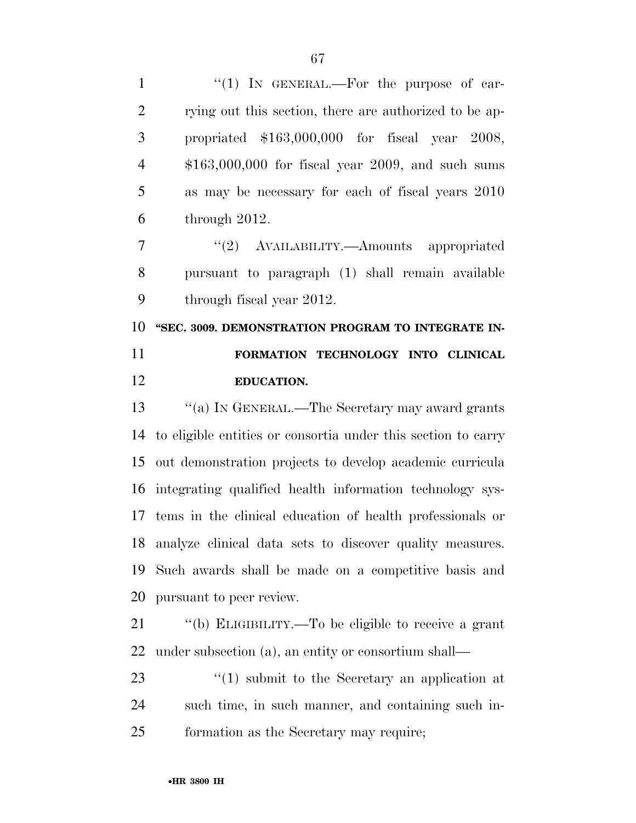| $\mathbf{1}$   | "(1) IN GENERAL.—For the purpose of car-                      |
|----------------|---------------------------------------------------------------|
| $\overline{2}$ | rying out this section, there are authorized to be ap-        |
| 3              | propriated $$163,000,000$ for fiscal year 2008,               |
| $\overline{4}$ | $$163,000,000$ for fiscal year 2009, and such sums            |
| 5              | as may be necessary for each of fiscal years 2010             |
| 6              | through 2012.                                                 |
| $\overline{7}$ | "(2) AVAILABILITY.—Amounts appropriated                       |
| 8              | pursuant to paragraph (1) shall remain available              |
| 9              | through fiscal year 2012.                                     |
| 10             | "SEC. 3009. DEMONSTRATION PROGRAM TO INTEGRATE IN-            |
|                |                                                               |
| 11             | FORMATION TECHNOLOGY INTO CLINICAL                            |
| 12             | <b>EDUCATION.</b>                                             |
| 13             | "(a) IN GENERAL.—The Secretary may award grants               |
| 14             | to eligible entities or consortia under this section to carry |
| 15             | out demonstration projects to develop academic curricula      |
| 16             | integrating qualified health information technology sys-      |
| 17             | tems in the clinical education of health professionals or     |
|                | 18 analyze clinical data sets to discover quality measures.   |
| 19             | Such awards shall be made on a competitive basis and          |
| 20             | pursuant to peer review.                                      |
| 21             | "(b) ELIGIBILITY.—To be eligible to receive a grant           |

23 ''(1) submit to the Secretary an application at such time, in such manner, and containing such in-formation as the Secretary may require;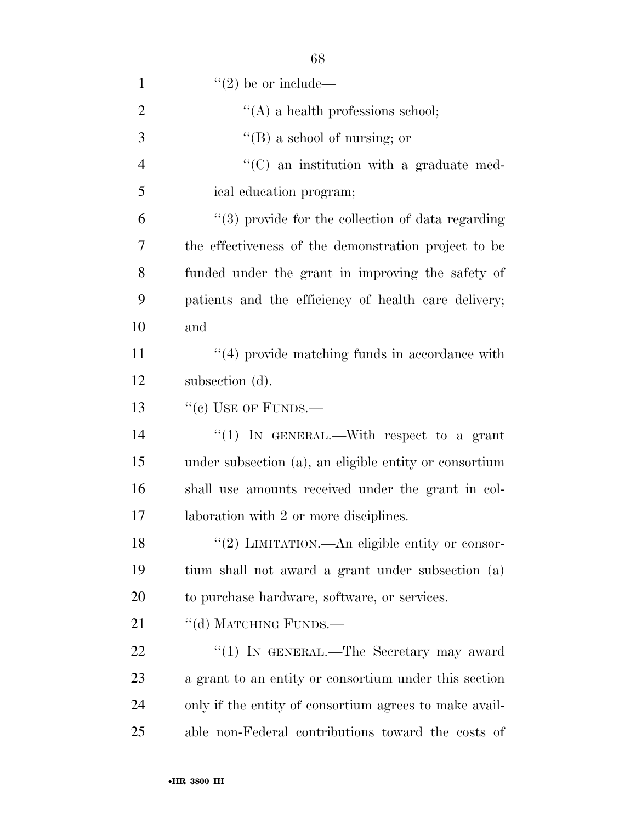| $\lq (2)$ be or include—                               |
|--------------------------------------------------------|
| $\lq\lq$ a health professions school;                  |
| $\lq\lq (B)$ a school of nursing; or                   |
| $\cdot$ (C) an institution with a graduate med-        |
| ical education program;                                |
| $\lq(3)$ provide for the collection of data regarding  |
| the effectiveness of the demonstration project to be   |
| funded under the grant in improving the safety of      |
| patients and the efficiency of health care delivery;   |
| and                                                    |
| $\cdot$ (4) provide matching funds in accordance with  |
| subsection (d).                                        |
| $``(e)$ USE OF FUNDS.—                                 |
| "(1) IN GENERAL.—With respect to a grant               |
| under subsection (a), an eligible entity or consortium |
| shall use amounts received under the grant in col-     |
| laboration with 2 or more disciplines.                 |
| "(2) LIMITATION.—An eligible entity or consor-         |
| tium shall not award a grant under subsection (a)      |
| to purchase hardware, software, or services.           |
| "(d) MATCHING FUNDS.—                                  |
| "(1) IN GENERAL.—The Secretary may award               |
| a grant to an entity or consortium under this section  |
| only if the entity of consortium agrees to make avail- |
| able non-Federal contributions toward the costs of     |
|                                                        |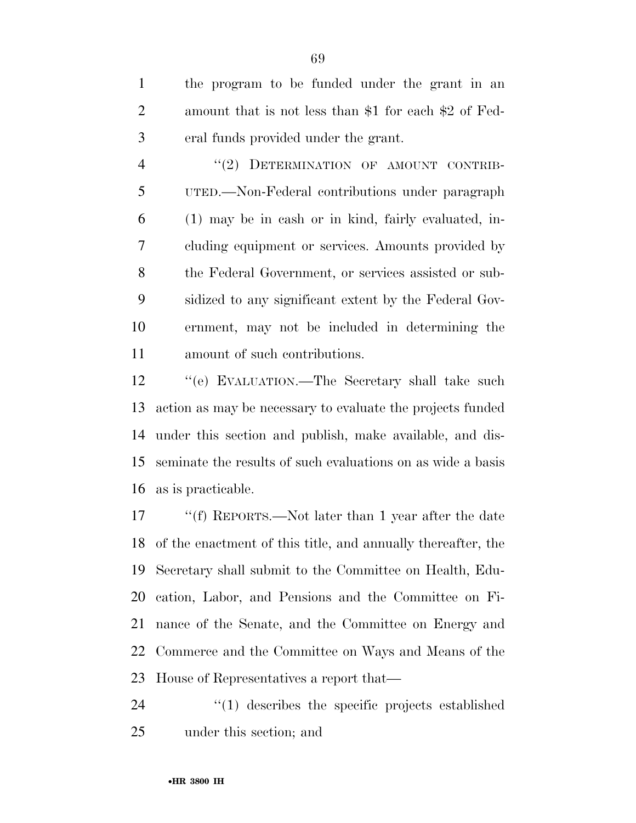the program to be funded under the grant in an amount that is not less than \$1 for each \$2 of Fed-eral funds provided under the grant.

4 "(2) DETERMINATION OF AMOUNT CONTRIB- UTED.—Non-Federal contributions under paragraph (1) may be in cash or in kind, fairly evaluated, in- cluding equipment or services. Amounts provided by the Federal Government, or services assisted or sub- sidized to any significant extent by the Federal Gov- ernment, may not be included in determining the amount of such contributions.

 ''(e) EVALUATION.—The Secretary shall take such action as may be necessary to evaluate the projects funded under this section and publish, make available, and dis- seminate the results of such evaluations on as wide a basis as is practicable.

 ''(f) REPORTS.—Not later than 1 year after the date of the enactment of this title, and annually thereafter, the Secretary shall submit to the Committee on Health, Edu- cation, Labor, and Pensions and the Committee on Fi- nance of the Senate, and the Committee on Energy and Commerce and the Committee on Ways and Means of the House of Representatives a report that—

24  $\frac{1}{2}$  (1) describes the specific projects established under this section; and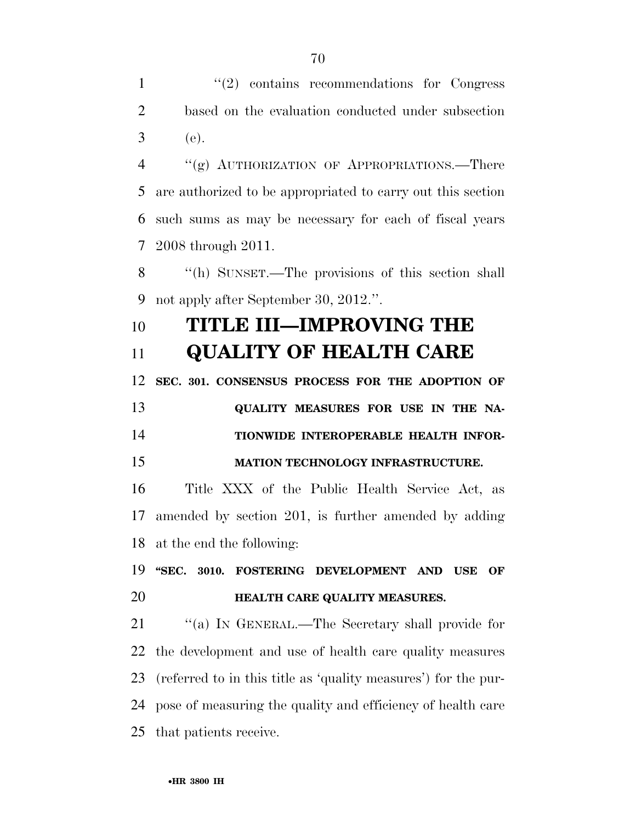1 ''(2) contains recommendations for Congress based on the evaluation conducted under subsection (e).

 ''(g) AUTHORIZATION OF APPROPRIATIONS.—There are authorized to be appropriated to carry out this section such sums as may be necessary for each of fiscal years 2008 through 2011.

 ''(h) SUNSET.—The provisions of this section shall not apply after September 30, 2012.''.

## **TITLE III—IMPROVING THE QUALITY OF HEALTH CARE**

**SEC. 301. CONSENSUS PROCESS FOR THE ADOPTION OF** 

**QUALITY MEASURES FOR USE IN THE NA- TIONWIDE INTEROPERABLE HEALTH INFOR-MATION TECHNOLOGY INFRASTRUCTURE.** 

 Title XXX of the Public Health Service Act, as amended by section 201, is further amended by adding at the end the following:

 **''SEC. 3010. FOSTERING DEVELOPMENT AND USE OF HEALTH CARE QUALITY MEASURES.** 

21 "(a) IN GENERAL.—The Secretary shall provide for the development and use of health care quality measures (referred to in this title as 'quality measures') for the pur- pose of measuring the quality and efficiency of health care that patients receive.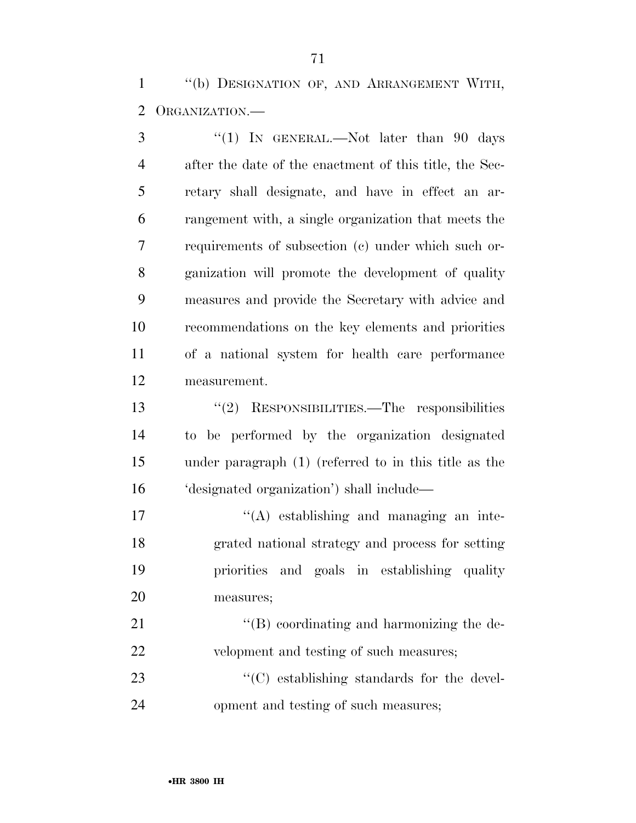''(b) DESIGNATION OF, AND ARRANGEMENT WITH, ORGANIZATION.—

3 "(1) IN GENERAL.—Not later than 90 days after the date of the enactment of this title, the Sec- retary shall designate, and have in effect an ar- rangement with, a single organization that meets the requirements of subsection (c) under which such or- ganization will promote the development of quality measures and provide the Secretary with advice and recommendations on the key elements and priorities of a national system for health care performance measurement.

 ''(2) RESPONSIBILITIES.—The responsibilities to be performed by the organization designated under paragraph (1) (referred to in this title as the 'designated organization') shall include—

 $\langle (A)$  establishing and managing an inte- grated national strategy and process for setting priorities and goals in establishing quality measures;

21 ''(B) coordinating and harmonizing the de-velopment and testing of such measures;

23  $\cdot$  (C) establishing standards for the devel-opment and testing of such measures;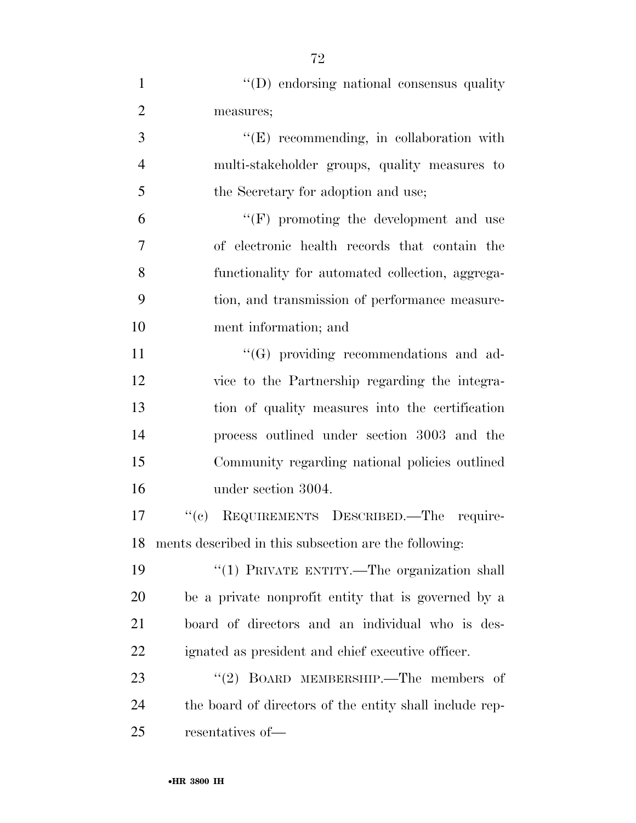| $\mathbf{1}$   | "(D) endorsing national consensus quality               |
|----------------|---------------------------------------------------------|
| $\overline{2}$ | measures;                                               |
| 3              | "(E) recommending, in collaboration with                |
| $\overline{4}$ | multi-stakeholder groups, quality measures to           |
| 5              | the Secretary for adoption and use;                     |
| 6              | $\lq\lq(F)$ promoting the development and use           |
| 7              | of electronic health records that contain the           |
| 8              | functionality for automated collection, aggrega-        |
| 9              | tion, and transmission of performance measure-          |
| 10             | ment information; and                                   |
| 11             | $\lq\lq(G)$ providing recommendations and ad-           |
| 12             | vice to the Partnership regarding the integra-          |
| 13             | tion of quality measures into the certification         |
| 14             | process outlined under section 3003 and the             |
| 15             | Community regarding national policies outlined          |
| 16             | under section 3004.                                     |
| 17             | REQUIREMENTS DESCRIBED. The require-<br>``(e)           |
| 18             | ments described in this subsection are the following:   |
| 19             | "(1) PRIVATE ENTITY.—The organization shall             |
| 20             | be a private nonprofit entity that is governed by a     |
| 21             | board of directors and an individual who is des-        |
| 22             | ignated as president and chief executive officer.       |
| 23             | "(2) BOARD MEMBERSHIP.—The members of                   |
| 24             | the board of directors of the entity shall include rep- |
| 25             | resentatives of-                                        |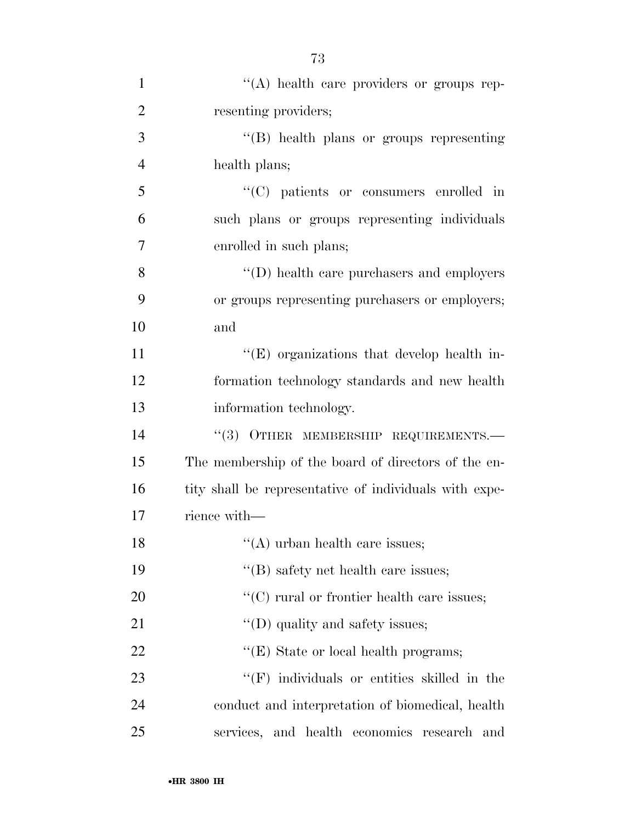| $\mathbf{1}$   | "(A) health care providers or groups rep-              |
|----------------|--------------------------------------------------------|
| $\overline{2}$ | resenting providers;                                   |
| 3              | "(B) health plans or groups representing               |
| $\overline{4}$ | health plans;                                          |
| 5              | $\lq\lq$ patients or consumers enrolled in             |
| 6              | such plans or groups representing individuals          |
| 7              | enrolled in such plans;                                |
| 8              | $\lq\lq$ (D) health care purchasers and employers      |
| 9              | or groups representing purchasers or employers;        |
| 10             | and                                                    |
| 11             | $\lq\lq$ organizations that develop health in-         |
| 12             | formation technology standards and new health          |
| 13             | information technology.                                |
| 14             | "(3) OTHER MEMBERSHIP REQUIREMENTS.-                   |
| 15             | The membership of the board of directors of the en-    |
| 16             | tity shall be representative of individuals with expe- |
| 17             | rience with—                                           |
| 18             | "(A) urban health care issues;                         |
| 19             | $\lq$ (B) safety net health care issues;               |
| 20             | $\lq\lq$ rural or frontier health care issues;         |
| 21             | $\lq\lq$ (D) quality and safety issues;                |
| 22             | $\lq\lq(E)$ State or local health programs;            |
| 23             | $\lq\lq(F)$ individuals or entities skilled in the     |
| 24             | conduct and interpretation of biomedical, health       |
| 25             | services, and health economics research and            |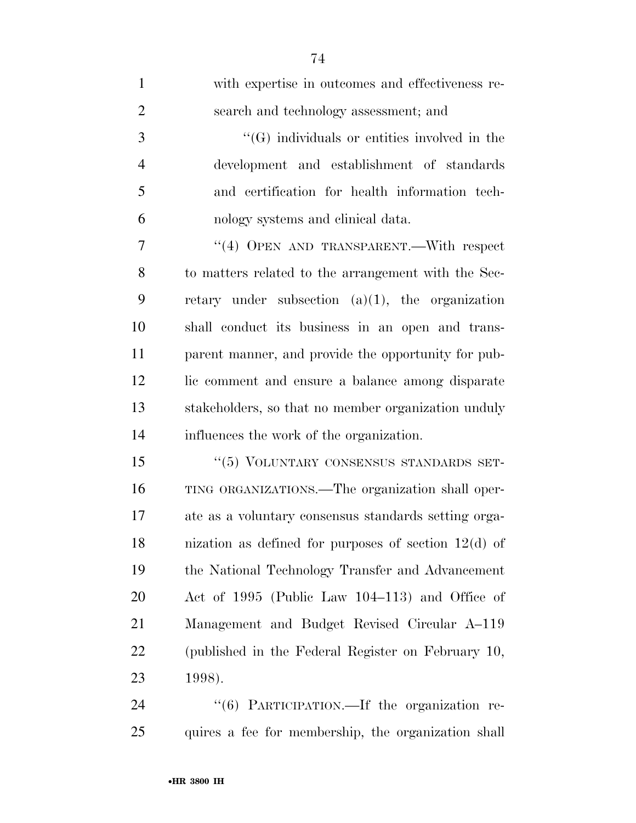| $\mathbf{1}$   | with expertise in outcomes and effectiveness re-              |
|----------------|---------------------------------------------------------------|
| $\overline{2}$ | search and technology assessment; and                         |
| 3              | $\lq\lq(G)$ individuals or entities involved in the           |
| $\overline{4}$ | development and establishment of standards                    |
| 5              | and certification for health information tech-                |
| 6              | nology systems and clinical data.                             |
| 7              | "(4) OPEN AND TRANSPARENT.—With respect                       |
| 8              | to matters related to the arrangement with the Sec-           |
| 9              | retary under subsection $(a)(1)$ , the organization           |
| 10             | shall conduct its business in an open and trans-              |
| 11             | parent manner, and provide the opportunity for pub-           |
| 12             | lic comment and ensure a balance among disparate              |
| 13             | stakeholders, so that no member organization unduly           |
| 14             | influences the work of the organization.                      |
| 15             | "(5) VOLUNTARY CONSENSUS STANDARDS SET-                       |
| 16             | TING ORGANIZATIONS.—The organization shall oper-              |
| 17             | ate as a voluntary consensus standards setting orga-          |
| 18             | nization as defined for purposes of section $12(d)$ of        |
| 19             | the National Technology Transfer and Advancement              |
| 20             | Act of 1995 (Public Law 104–113) and Office of                |
| 21             | Management and Budget Revised Circular A-119                  |
| 22             | (published in the Federal Register on February 10,            |
| 23             | 1998).                                                        |
| 24             | $\frac{1}{16}$ PARTICIPATION $\equiv$ If the organization re- |

24 "(6) PARTICIPATION.—If the organization re-quires a fee for membership, the organization shall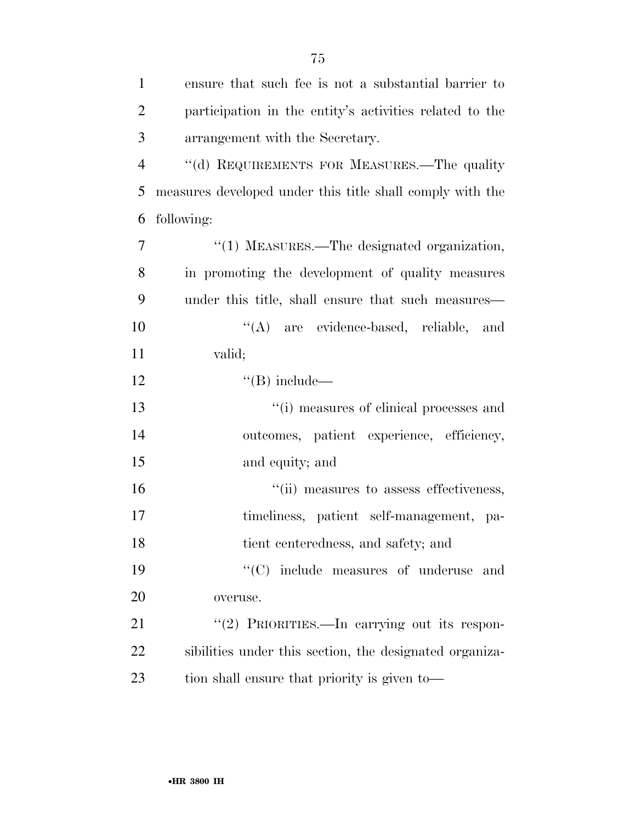| $\mathbf{1}$   | ensure that such fee is not a substantial barrier to      |
|----------------|-----------------------------------------------------------|
| $\overline{2}$ | participation in the entity's activities related to the   |
| 3              | arrangement with the Secretary.                           |
| $\overline{4}$ | "(d) REQUIREMENTS FOR MEASURES.—The quality               |
| 5              | measures developed under this title shall comply with the |
| 6              | following:                                                |
| $\overline{7}$ | "(1) MEASURES.—The designated organization,               |
| 8              | in promoting the development of quality measures          |
| 9              | under this title, shall ensure that such measures—        |
| 10             | "(A) are evidence-based, reliable, and                    |
| 11             | valid;                                                    |
| 12             | $\lq\lq (B)$ include—                                     |
| 13             | "(i) measures of clinical processes and                   |
| 14             | outcomes, patient experience, efficiency,                 |
| 15             | and equity; and                                           |
| 16             | "(ii) measures to assess effectiveness,                   |
| 17             | timeliness, patient self-management, pa-                  |
| 18             | tient centeredness, and safety; and                       |
| 19             | $\cdot$ (C) include measures of underuse and              |
| 20             | overuse.                                                  |
| 21             | "(2) PRIORITIES.—In carrying out its respon-              |
| 22             | sibilities under this section, the designated organiza-   |
| 23             | tion shall ensure that priority is given to-              |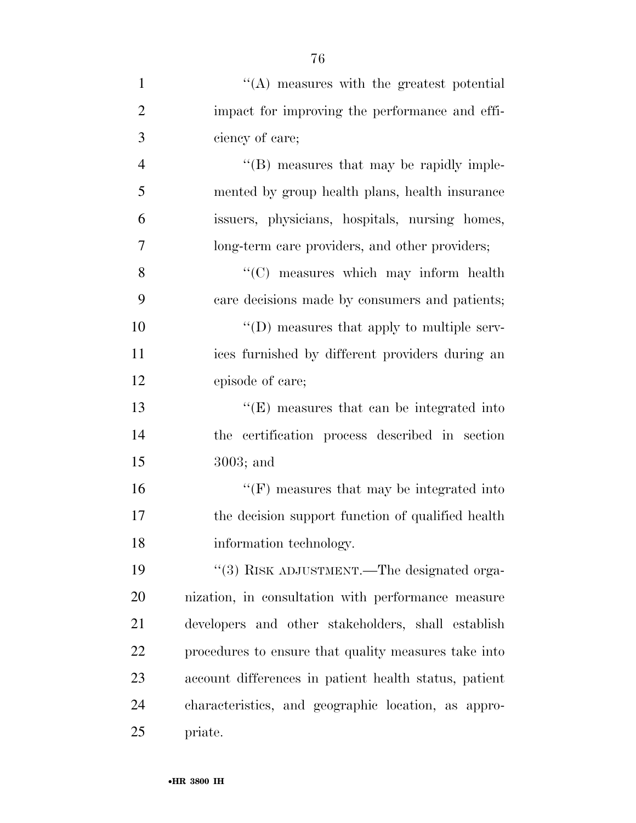| 1              | $\lq\lq$ measures with the greatest potential         |
|----------------|-------------------------------------------------------|
| $\overline{2}$ | impact for improving the performance and effi-        |
| 3              | ciency of care;                                       |
| $\overline{4}$ | "(B) measures that may be rapidly imple-              |
| 5              | mented by group health plans, health insurance        |
| 6              | issuers, physicians, hospitals, nursing homes,        |
| 7              | long-term care providers, and other providers;        |
| 8              | "(C) measures which may inform health                 |
| 9              | care decisions made by consumers and patients;        |
| 10             | $\lq\lq$ (D) measures that apply to multiple serv-    |
| 11             | ices furnished by different providers during an       |
| 12             | episode of care;                                      |
| 13             | $\lq\lq(E)$ measures that can be integrated into      |
| 14             | the certification process described in section        |
| 15             | $3003$ ; and                                          |
| 16             | $\lq\lq(F)$ measures that may be integrated into      |
| 17             | the decision support function of qualified health     |
| 18             | information technology.                               |
| 19             | "(3) RISK ADJUSTMENT.—The designated orga-            |
| 20             | nization, in consultation with performance measure    |
| 21             | developers and other stakeholders, shall establish    |
| 22             | procedures to ensure that quality measures take into  |
| 23             | account differences in patient health status, patient |
| 24             | characteristics, and geographic location, as appro-   |
| 25             | priate.                                               |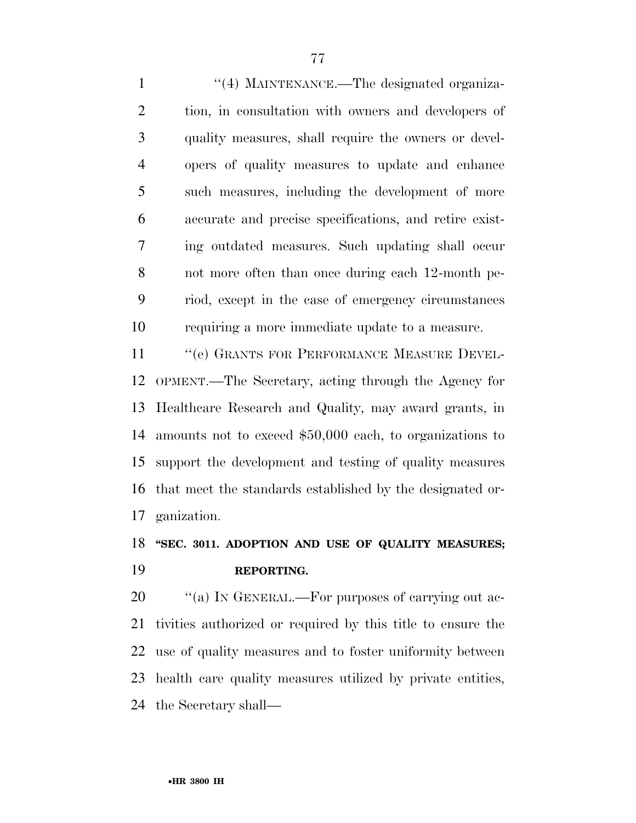1 "(4) MAINTENANCE.—The designated organiza- tion, in consultation with owners and developers of quality measures, shall require the owners or devel- opers of quality measures to update and enhance such measures, including the development of more accurate and precise specifications, and retire exist- ing outdated measures. Such updating shall occur not more often than once during each 12-month pe- riod, except in the case of emergency circumstances requiring a more immediate update to a measure.

11 "(e) GRANTS FOR PERFORMANCE MEASURE DEVEL- OPMENT.—The Secretary, acting through the Agency for Healthcare Research and Quality, may award grants, in amounts not to exceed \$50,000 each, to organizations to support the development and testing of quality measures that meet the standards established by the designated or-ganization.

### **''SEC. 3011. ADOPTION AND USE OF QUALITY MEASURES; REPORTING.**

 $\%$  (a) In GENERAL.—For purposes of carrying out ac- tivities authorized or required by this title to ensure the use of quality measures and to foster uniformity between health care quality measures utilized by private entities, the Secretary shall—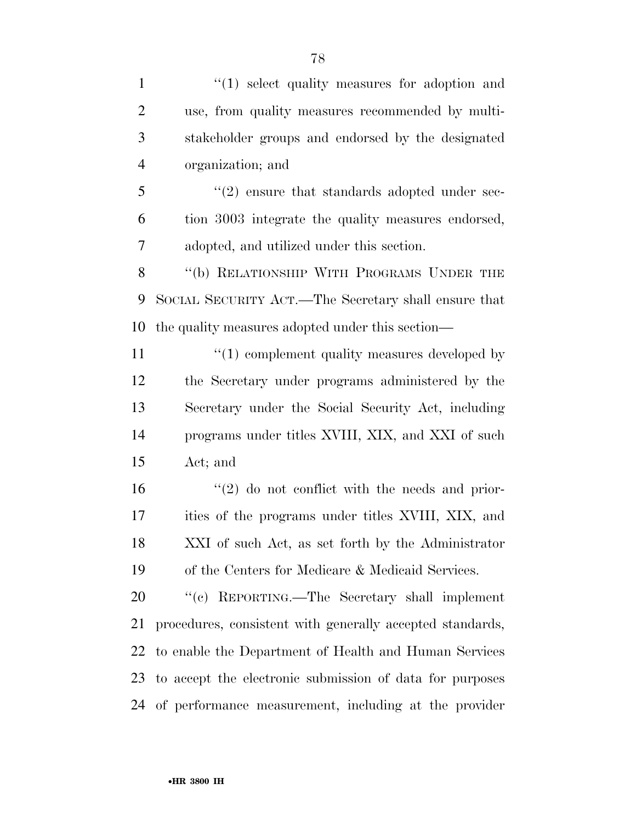$\frac{1}{2}$  1  $\frac{1}{2}$  select quality measures for adoption and use, from quality measures recommended by multi- stakeholder groups and endorsed by the designated organization; and 5 "(2) ensure that standards adopted under sec- tion 3003 integrate the quality measures endorsed, adopted, and utilized under this section. 8 "(b) RELATIONSHIP WITH PROGRAMS UNDER THE SOCIAL SECURITY ACT.—The Secretary shall ensure that the quality measures adopted under this section—  $\frac{1}{2}$  (1) complement quality measures developed by the Secretary under programs administered by the Secretary under the Social Security Act, including programs under titles XVIII, XIX, and XXI of such Act; and  $\frac{16}{20}$  <sup>''</sup>(2) do not conflict with the needs and prior- ities of the programs under titles XVIII, XIX, and XXI of such Act, as set forth by the Administrator of the Centers for Medicare & Medicaid Services. ''(c) REPORTING.—The Secretary shall implement procedures, consistent with generally accepted standards, to enable the Department of Health and Human Services to accept the electronic submission of data for purposes of performance measurement, including at the provider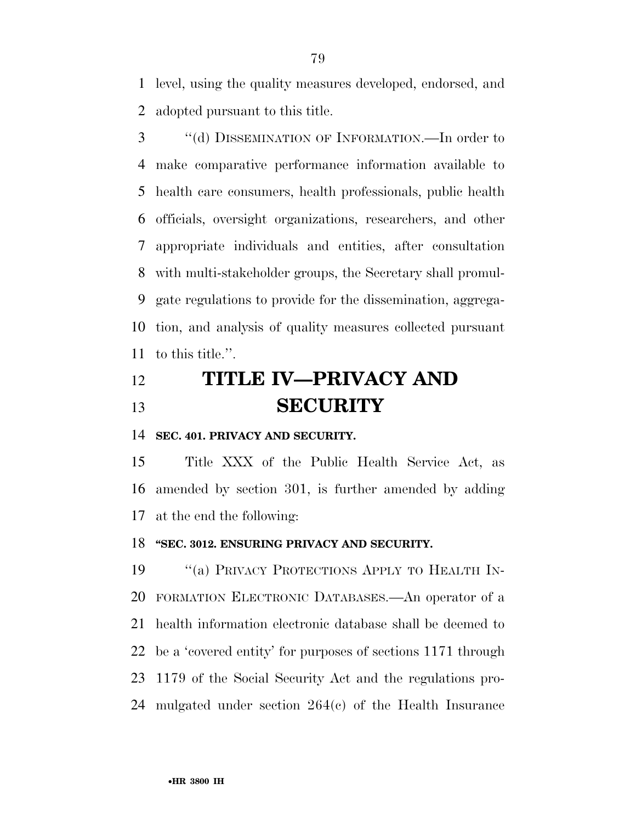level, using the quality measures developed, endorsed, and adopted pursuant to this title.

3 "(d) DISSEMINATION OF INFORMATION.—In order to make comparative performance information available to health care consumers, health professionals, public health officials, oversight organizations, researchers, and other appropriate individuals and entities, after consultation with multi-stakeholder groups, the Secretary shall promul- gate regulations to provide for the dissemination, aggrega- tion, and analysis of quality measures collected pursuant to this title.''.

## **TITLE IV—PRIVACY AND SECURITY**

**SEC. 401. PRIVACY AND SECURITY.** 

 Title XXX of the Public Health Service Act, as amended by section 301, is further amended by adding at the end the following:

#### **''SEC. 3012. ENSURING PRIVACY AND SECURITY.**

19 "(a) PRIVACY PROTECTIONS APPLY TO HEALTH IN- FORMATION ELECTRONIC DATABASES.—An operator of a health information electronic database shall be deemed to be a 'covered entity' for purposes of sections 1171 through 1179 of the Social Security Act and the regulations pro-mulgated under section 264(c) of the Health Insurance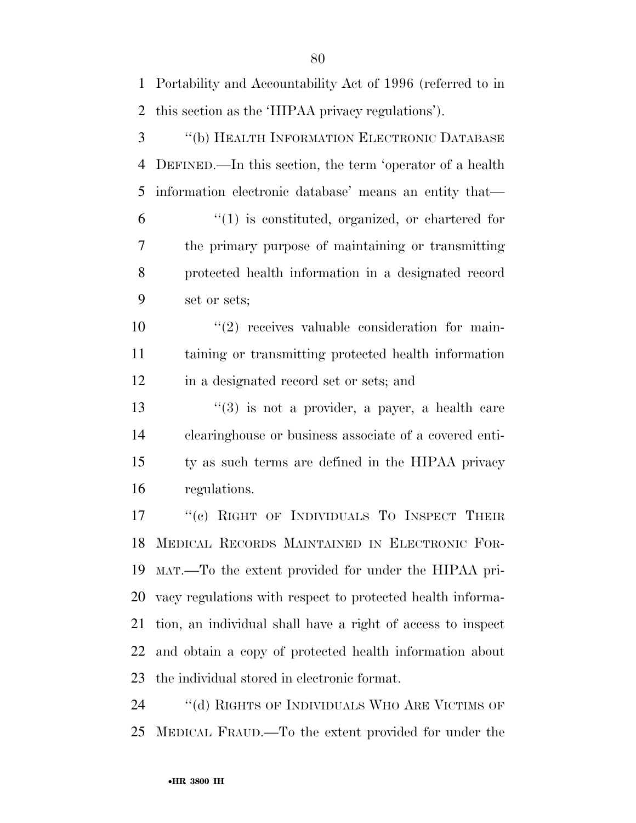Portability and Accountability Act of 1996 (referred to in this section as the 'HIPAA privacy regulations'). ''(b) HEALTH INFORMATION ELECTRONIC DATABASE DEFINED.—In this section, the term 'operator of a health information electronic database' means an entity that— ''(1) is constituted, organized, or chartered for

 the primary purpose of maintaining or transmitting protected health information in a designated record set or sets;

10  $\frac{10}{2}$  receives valuable consideration for main- taining or transmitting protected health information in a designated record set or sets; and

 $\frac{13}{2}$   $\frac{13}{2}$  is not a provider, a payer, a health care clearinghouse or business associate of a covered enti- ty as such terms are defined in the HIPAA privacy regulations.

17 "(c) RIGHT OF INDIVIDUALS TO INSPECT THEIR MEDICAL RECORDS MAINTAINED IN ELECTRONIC FOR- MAT.—To the extent provided for under the HIPAA pri- vacy regulations with respect to protected health informa- tion, an individual shall have a right of access to inspect and obtain a copy of protected health information about the individual stored in electronic format.

24 "(d) RIGHTS OF INDIVIDUALS WHO ARE VICTIMS OF MEDICAL FRAUD.—To the extent provided for under the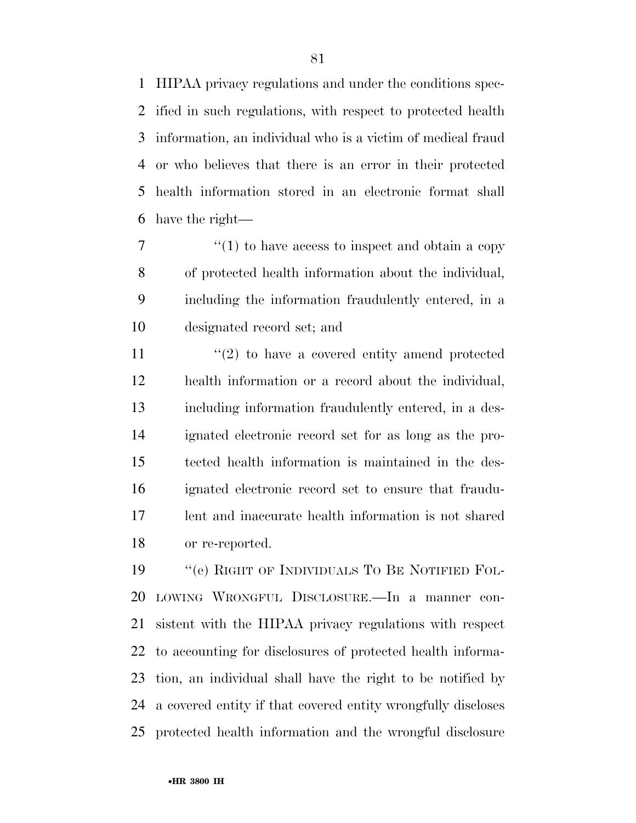HIPAA privacy regulations and under the conditions spec- ified in such regulations, with respect to protected health information, an individual who is a victim of medical fraud or who believes that there is an error in their protected health information stored in an electronic format shall have the right—

 $7 \t\t''(1)$  to have access to inspect and obtain a copy of protected health information about the individual, including the information fraudulently entered, in a designated record set; and

11 ''(2) to have a covered entity amend protected health information or a record about the individual, including information fraudulently entered, in a des- ignated electronic record set for as long as the pro- tected health information is maintained in the des- ignated electronic record set to ensure that fraudu- lent and inaccurate health information is not shared or re-reported.

 ''(e) RIGHT OF INDIVIDUALS TO BE NOTIFIED FOL- LOWING WRONGFUL DISCLOSURE.—In a manner con- sistent with the HIPAA privacy regulations with respect to accounting for disclosures of protected health informa- tion, an individual shall have the right to be notified by a covered entity if that covered entity wrongfully discloses protected health information and the wrongful disclosure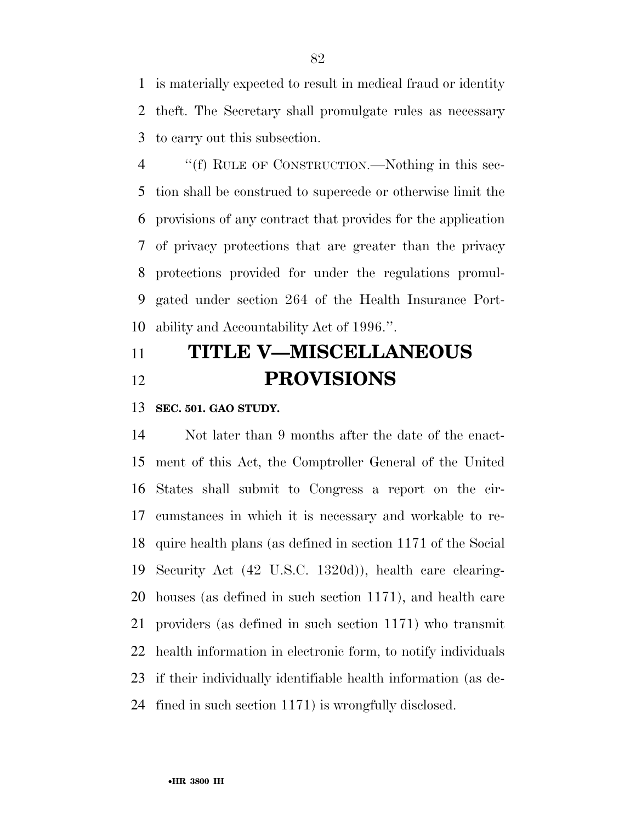is materially expected to result in medical fraud or identity theft. The Secretary shall promulgate rules as necessary to carry out this subsection.

 ''(f) RULE OF CONSTRUCTION.—Nothing in this sec- tion shall be construed to supercede or otherwise limit the provisions of any contract that provides for the application of privacy protections that are greater than the privacy protections provided for under the regulations promul- gated under section 264 of the Health Insurance Port-ability and Accountability Act of 1996.''.

## **TITLE V—MISCELLANEOUS PROVISIONS**

#### **SEC. 501. GAO STUDY.**

 Not later than 9 months after the date of the enact- ment of this Act, the Comptroller General of the United States shall submit to Congress a report on the cir- cumstances in which it is necessary and workable to re- quire health plans (as defined in section 1171 of the Social Security Act (42 U.S.C. 1320d)), health care clearing- houses (as defined in such section 1171), and health care providers (as defined in such section 1171) who transmit health information in electronic form, to notify individuals if their individually identifiable health information (as de-fined in such section 1171) is wrongfully disclosed.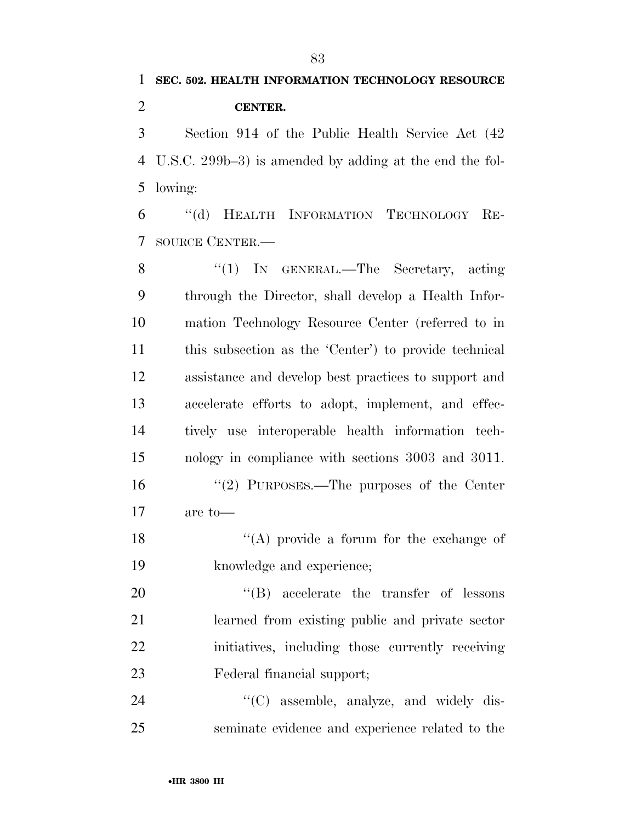# **SEC. 502. HEALTH INFORMATION TECHNOLOGY RESOURCE CENTER.**

 Section 914 of the Public Health Service Act (42 U.S.C. 299b–3) is amended by adding at the end the fol-lowing:

 ''(d) HEALTH INFORMATION TECHNOLOGY RE-SOURCE CENTER.—

8 "(1) IN GENERAL.—The Secretary, acting through the Director, shall develop a Health Infor- mation Technology Resource Center (referred to in this subsection as the 'Center') to provide technical assistance and develop best practices to support and accelerate efforts to adopt, implement, and effec- tively use interoperable health information tech- nology in compliance with sections 3003 and 3011. ''(2) PURPOSES.—The purposes of the Center are to— ''(A) provide a forum for the exchange of knowledge and experience;  $\text{``(B)}$  accelerate the transfer of lessons learned from existing public and private sector initiatives, including those currently receiving

- Federal financial support;
- 24  $\text{``(C)}$  assemble, analyze, and widely dis-seminate evidence and experience related to the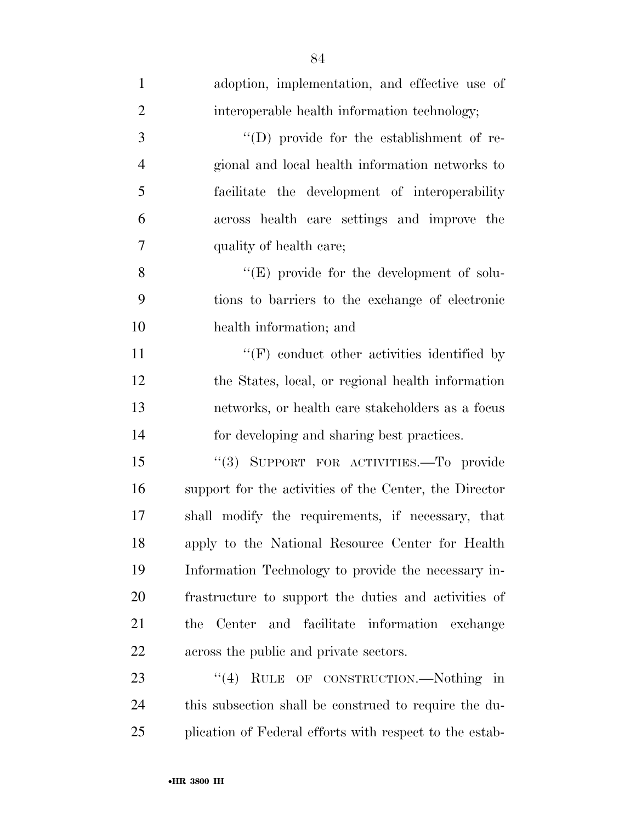| $\mathbf{1}$   | adoption, implementation, and effective use of          |
|----------------|---------------------------------------------------------|
| $\overline{2}$ | interoperable health information technology;            |
| 3              | "(D) provide for the establishment of re-               |
| $\overline{4}$ | gional and local health information networks to         |
| 5              | facilitate the development of interoperability          |
| 6              | across health care settings and improve the             |
| 7              | quality of health care;                                 |
| 8              | $\lq\lq(E)$ provide for the development of solu-        |
| 9              | tions to barriers to the exchange of electronic         |
| 10             | health information; and                                 |
| 11             | $\lq\lq(F)$ conduct other activities identified by      |
| 12             | the States, local, or regional health information       |
| 13             | networks, or health care stakeholders as a focus        |
| 14             | for developing and sharing best practices.              |
| 15             | "(3) SUPPORT FOR ACTIVITIES.—To provide                 |
| 16             | support for the activities of the Center, the Director  |
| 17             | shall modify the requirements, if necessary, that       |
| 18             | apply to the National Resource Center for Health        |
| 19             | Information Technology to provide the necessary in-     |
| 20             | frastructure to support the duties and activities of    |
| 21             | and facilitate information exchange<br>Center<br>the    |
| 22             | across the public and private sectors.                  |
| 23             | RULE OF CONSTRUCTION.—Nothing in<br>(4)                 |
| 24             | this subsection shall be construed to require the du-   |
| 25             | plication of Federal efforts with respect to the estab- |